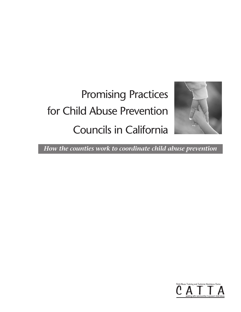# Promising Practices for Child Abuse Prevention Councils in California



*How the counties work to coordinate child abuse prevention*

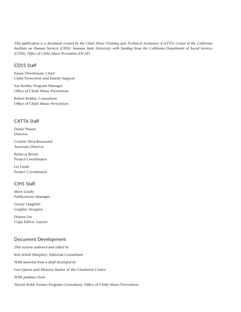*This publication is a document created by the Child Abuse Training and Technical Assistance (CATTA) Center of the California Institute on Human Services (CIHS), Sonoma State University with funding from the California Department of Social Services (CDSS), Office of Child Abuse Prevention (OCAP).*

### CDSS Staff

Susan Nisenbaum, Chief Child Protection and Family Support

Sue Rodda, Program Manager Office of Child Abuse Prevention

Ruben Robles, Consultant Office of Child Abuse Prevention

## CATTA Staff

Diane Nissen Director

Connie Silva-Broussard Associate Director

Rebecca Bevan Project Coordinator

Liz Linde Project Coordinator

## CIHS Staff

Mary Grady Publications Manager

Ginny Laughlin Graphic Designer

Donna Lee Copy Editor, Layout

## Document Development

*This version authored and edited by* Kris Schell Murphey, Editorial Consultant *With material from a draft developed by*  Lisa Quinn and Melanie Barker of the Chadwick Center *With guidance from*  Alyson Kohl, former Program Consultant, Office of Child Abuse Prevention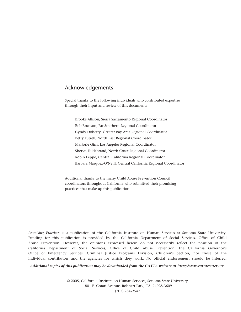## <span id="page-3-0"></span>Acknowledgements

Special thanks to the following individuals who contributed expertise through their input and review of this document:

Brooke Allison, Sierra Sacramento Regional Coordinator Bob Brunson, Far Southern Regional Coordinator Cyndy Doherty, Greater Bay Area Regional Coordinator Betty Futrell, North East Regional Coordinator Marjorie Gins, Los Angeles Regional Coordinator Sheryn Hildebrand, North Coast Regional Coordinator Robin Leppo, Central California Regional Coordinator Barbara Marquez-O'Neill, Central California Regional Coordinator

Additional thanks to the many Child Abuse Prevention Council coordinators throughout California who submitted their promising practices that make up this publication.

*Promising Practices* is a publication of the California Institute on Human Services at Sonoma State University. Funding for this publication is provided by the California Department of Social Services, Office of Child Abuse Prevention. However, the opinions expressed herein do not necessarily reflect the position of the California Department of Social Services, Office of Child Abuse Prevention, the California Governor's Office of Emergency Services, Criminal Justice Programs Division, Children's Section, nor those of the individual contributors and the agencies for which they work. No official endorsement should be inferred.

*Additional copies of this publication may be downloaded from the CATTA website at http://www.cattacenter.org.*

© 2005, California Institute on Human Services, Sonoma State University 1801 E. Cotati Avenue, Rohnert Park, CA 94928-3609 (707) 284-9547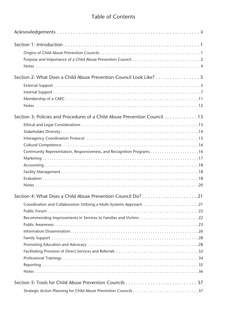# Table of Contents

| Section 2: What Does a Child Abuse Prevention Council Look Like?          |
|---------------------------------------------------------------------------|
|                                                                           |
|                                                                           |
|                                                                           |
|                                                                           |
| Section 3: Policies and Procedures of a Child Abuse Prevention Council 13 |
|                                                                           |
|                                                                           |
|                                                                           |
|                                                                           |
|                                                                           |
|                                                                           |
|                                                                           |
|                                                                           |
|                                                                           |
|                                                                           |
|                                                                           |
|                                                                           |
| Coordination and Collaboration Utilizing a Multi-Systems Approach 21      |
|                                                                           |
| Recommending Improvements in Services to Families and Victims22           |
|                                                                           |
|                                                                           |
|                                                                           |
|                                                                           |
|                                                                           |
|                                                                           |
|                                                                           |
|                                                                           |
|                                                                           |
|                                                                           |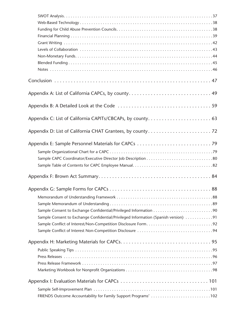| Sample Consent to Exchange Confidential/Privileged Information (Spanish version) 91 |
|-------------------------------------------------------------------------------------|
|                                                                                     |
|                                                                                     |
|                                                                                     |
|                                                                                     |
|                                                                                     |
|                                                                                     |
|                                                                                     |
|                                                                                     |
|                                                                                     |
| FRIENDS Outcome Accountability for Family Support Programs' 102                     |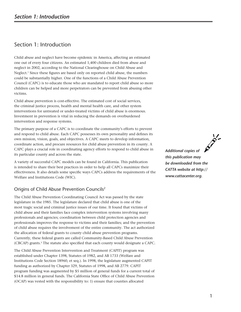# <span id="page-8-0"></span>Section 1: Introduction

Child abuse and neglect have become epidemic in America, affecting an estimated one out of every four citizens. An estimated 1,400 children died from abuse and neglect in 2002, according to the National Clearinghouse on Child Abuse and Neglect.1 Since these figures are based only on reported child abuse, the numbers could be substantially higher. One of the functions of a Child Abuse Prevention Council (CAPC) is to educate those who are mandated to report child abuse so more children can be helped and more perpetrators can be prevented from abusing other victims.

Child abuse prevention is cost-effective. The estimated cost of social services, the criminal justice process, health and mental health care, and other system interventions for untreated or under-treated victims of child abuse is enormous. Investment in prevention is vital in reducing the demands on overburdened intervention and response systems.

The primary purpose of a CAPC is to coordinate the community's efforts to prevent and respond to child abuse. Each CAPC possesses its own personality and defines its own mission, vision, goals, and objectives. A CAPC meets to develop information, coordinate action, and procure resources for child abuse prevention in its county. A CAPC plays a crucial role in coordinating agency efforts to respond to child abuse in its particular county and across the state.

A variety of successful CAPC models can be found in California. This publication is intended to share their best practices in order to help all CAPCs maximize their effectiveness. It also details some specific ways CAPCs address the requirements of the Welfare and Institutions Code (WIC).

# Origins of Child Abuse Prevention Councils2

The Child Abuse Prevention Coordinating Council Act was passed by the state legislature in the 1985. The legislature declared that child abuse is one of the most tragic social and criminal justice issues of our time. It found that victims of child abuse and their families face complex intervention systems involving many professionals and agencies; coordination between child protection agencies and professionals improves the response to victims and their families; and the prevention of child abuse requires the involvement of the entire community. The act authorized the allocation of federal grants to county child abuse prevention programs. Currently, these federal grants are called Community-Based Child Abuse Prevention (CBCAP) grants.3 The statute also specified that each county would designate a CAPC.

The Child Abuse Prevention Intervention and Treatment (CAPIT) program was established under Chapter 1398, Statutes of 1982, and AB 1733 (Welfare and Institutions Code Section 18960, et seq.). In 1998, the legislature augmented CAPIT funding as authorized by Chapter 329, Statutes of 1998, and AB 2779. CAPIT program funding was augmented by \$5 million of general funds for a current total of \$14.8 million in general funds. The California State Office of Child Abuse Prevention (OCAP) was vested with the responsibility to: 1) ensure that counties allocated

*Additional copies of this publication may be downloaded from the CATTA website at http:// www.cattacenter.org.*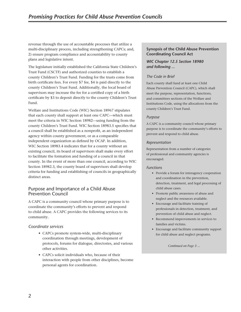<span id="page-9-0"></span>revenue through the use of accountable processes that utilize a multi-disciplinary process, including strengthening CAPCs; and, 2) ensure program compliance and accountability to county plans and legislative intent.

The legislature initially established the California State Children's Trust Fund (CSCTF) and authorized counties to establish a county Children's Trust Fund. Funding for the trusts come from birth certificate fees. For every \$7 fee, \$4 is paid directly to the county Children's Trust Fund. Additionally, the local board of supervisors may increase the fee for a certified copy of a birth certificate by \$3 to deposit directly to the county Children's Trust Fund.

Welfare and Institutions Code (WIC) Section 18967 stipulates that each county shall support at least one CAPC—which must meet the criteria in WIC Section 18982—using funding from the county Children's Trust Fund. WIC Section 18983.5 specifies that a council shall be established as a nonprofit, as an independent agency within county government, or as a comparable independent organization as defined by OCAP. In addition, WIC Section 18983.4 indicates that for a county without an existing council, its board of supervisors shall make every effort to facilitate the formation and funding of a council in that county. In the event of more than one council, according to WIC Section 18982.3, the county board of supervisors shall develop criteria for funding and establishing of councils in geographically distinct areas.

## Purpose and Importance of a Child Abuse Prevention Council

A CAPC is a community council whose primary purpose is to coordinate the community's efforts to prevent and respond to child abuse. A CAPC provides the following services to its community.

#### *Coordinate services*

- CAPCs promote system-wide, multi-disciplinary coordination through meetings, development of protocols, forums for dialogue, directories, and various other activities.
- CAPCs solicit individuals who, because of their interaction with people from other disciplines, become personal agents for coordination.

#### **Synopsis of the Child Abuse Prevention Coordinating Council Act**

#### *WIC Chapter 12.5 Section 18980 and following ...*

#### *The Code in Brief*

Each county shall fund at least one Child Abuse Prevention Council (CAPC), which shall meet the purpose, representation, functions, and committees sections of the Welfare and Institutions Code, using the allocations from the county Children's Trust Fund.

#### *Purpose*

A CAPC is a community council whose primary purpose is to coordinate the community's efforts to prevent and respond to child abuse.

#### *Representation*

Representation from a number of categories of professional and community agencies is encouraged.

#### *Functions*

- Provide a forum for interagency cooperation and coordination in the prevention, detection, treatment, and legal processing of child abuse cases.
- Promote public awareness of abuse and neglect and the resources available.
- Encourage and facilitate training of professionals in detection, treatment, and prevention of child abuse and neglect.
- Recommend improvements in services to families and victims.
- Encourage and facilitate community support for child abuse and neglect programs.

*Continued on Page 3 ...*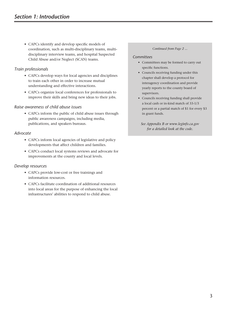• CAPCs identify and develop specific models of coordination, such as multi-disciplinary teams, multidisciplinary interview teams, and hospital Suspected Child Abuse and/or Neglect (SCAN) teams.

## *Train professionals*

- CAPCs develop ways for local agencies and disciplines to train each other in order to increase mutual understanding and effective interactions.
- CAPCs organize local conferences for professionals to improve their skills and bring new ideas to their jobs.

#### *Raise awareness of child abuse issues*

• CAPCs inform the public of child abuse issues through public awareness campaigns, including media, publications, and speakers bureaus.

#### *Advocate*

- CAPCs inform local agencies of legislative and policy developments that affect children and families.
- CAPCs conduct local systems reviews and advocate for improvements at the county and local levels.

## *Develop resources*

- CAPCs provide low-cost or free trainings and information resources.
- CAPCs facilitate coordination of additional resources into local areas for the purpose of enhancing the local infrastructures' abilities to respond to child abuse.

#### *Continued from Page 2 ...*

#### *Committees*

- Committees may be formed to carry out specific functions.
- Councils receiving funding under this chapter shall develop a protocol for interagency coordination and provide yearly reports to the county board of supervisors.
- Councils receiving funding shall provide a local cash or in-kind match of 33-1/3 percent or a partial match of \$1 for every \$3 in grant funds.
	- *See Appendix B or www.leginfo.ca.gov for a detailed look at the code.*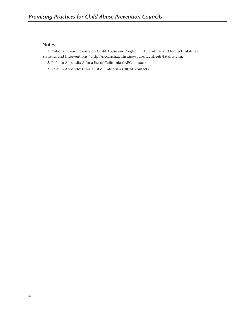#### <span id="page-11-0"></span>Notes

1. National Clearinghouse on Child Abuse and Neglect, "Child Abuse and Neglect Fatalities: Statistics and Interventions," http://nccanch.acf.hss.gov/pubs/factsheets/fatality.cfm.

- 2. Refer to Appendix A for a list of California CAPC contacts.
- 3. Refer to Appendix C for a list of California CBCAP contacts.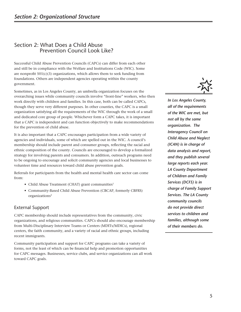# <span id="page-12-0"></span>Section 2: What Does a Child Abuse Prevention Council Look Like?

Successful Child Abuse Prevention Councils (CAPCs) can differ from each other and still be in compliance with the Welfare and Institutions Code (WIC). Some are nonprofit 501(c)(3) organizations, which allows them to seek funding from foundations. Others are independent agencies operating within the county government.

Sometimes, as in Los Angeles County, an umbrella organization focuses on the overarching issues while community councils involve "front-line" workers, who then work directly with children and families. In this case, both can be called CAPCs, though they serve very different purposes. In other counties, the CAPC is a small organization satisfying all the requirements of the WIC through the work of a small and dedicated core group of people. Whichever form a CAPC takes, it is important that a CAPC is independent and can function objectively to make recommendations for the prevention of child abuse.

It is also important that a CAPC encourages participation from a wide variety of agencies and individuals, some of which are spelled out in the WIC. A council's membership should include parent and consumer groups, reflecting the racial and ethnic composition of the county. Councils are encouraged to develop a formalized strategy for involving parents and consumers. In addition, outreach programs need to be ongoing to encourage and solicit community agencies and local businesses to volunteer time and resources toward child abuse prevention goals.

Referrals for participants from the health and mental health care sector can come from:

- Child Abuse Treatment (CHAT) grant communities<sup>1</sup>
- Community-Based Child Abuse Prevention (CBCAP, formerly CBFRS) organizations2

## External Support

CAPC membership should include representatives from the community, civic organizations, and religious communities. CAPCs should also encourage membership from Multi-Disciplinary Interview Teams or Centers (MDITs/MDICs), regional centers, the faith community, and a variety of racial and ethnic groups, including recent immigrants.

Community participation and support for CAPC programs can take a variety of forms, not the least of which can be financial help and promotion opportunities for CAPC messages. Businesses, service clubs, and service organizations can all work toward CAPC goals.



*In Los Angeles County, all of the requirements of the WIC are met, but not all by the same organization. The Interagency Council on Child Abuse and Neglect (ICAN) is in charge of data analysis and report, and they publish several large reports each year. LA County Department of Children and Family Services (DCFS) is in charge of Family Support Services. The LA County community councils do not provide direct services to children and families, although some of their members do.*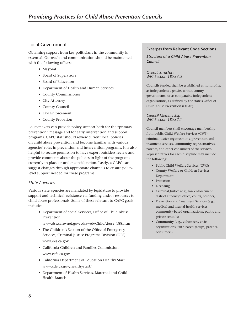## Local Government

Obtaining support from key politicians in the community is essential. Outreach and communication should be maintained with the following offices:

- Mayoral
- Board of Supervisors
- Board of Education
- Department of Health and Human Services
- County Commissioner
- City Attorney
- County Council
- Law Enforcement
- County Probation

Policymakers can provide policy support both for the "primary prevention" message and for early intervention and support programs. CAPC staff should review current local policies on child abuse prevention and become familiar with various agencies' roles in prevention and intervention programs. It is also helpful to secure permission to have expert outsiders review and provide comments about the policies in light of the programs currently in place or under consideration. Lastly, a CAPC can suggest changes through appropriate channels to ensure policylevel support needed for these programs.

#### *State Agencies*

Various state agencies are mandated by legislature to provide support and technical assistance via funding and/or resources to child abuse professionals. Some of these relevant to CAPC goals include:

- Department of Social Services, Office of Child Abuse Prevention
- www.dss.cahwnet.gov/cdssweb/ChildAbuse\_188.htm
- The Children's Section of the Office of Emergency Services, Criminal Justice Programs Division (OES) www.oes.ca.gov
- California Children and Families Commission www.ccfc.ca.gov
- California Department of Education Healthy Start www.cde.ca.gov/healthystart/
- Department of Health Services, Maternal and Child Health Branch

#### **Excerpts from Relevant Code Sections**

*Structure of a Child Abuse Prevention Council*

*Overall Structure WIC Section 18983.5*

Councils funded shall be established as nonprofits, as independent agencies within county governments, or as comparable independent organizations, as defined by the state's Office of Child Abuse Prevention (OCAP).

#### *Council Membership WIC Section 18982.1*

Council members shall encourage membership from public Child Welfare Services (CWS), criminal justice organizations, prevention and treatment services, community representatives, parents, and other consumers of the services. Representatives for each discipline may include the following:

- Public Child Welfare Services (CWS)
- County Welfare or Children Services Department
- Probation
- Licensing
- Criminal Justice (e.g., law enforcement, district attorney's office, courts, coroner)
- Prevention and Treatment Services (e.g., medical and mental health services, community-based organizations, public and private schools)
- Community (e.g., volunteers, civic organizations, faith-based groups, parents, consumers)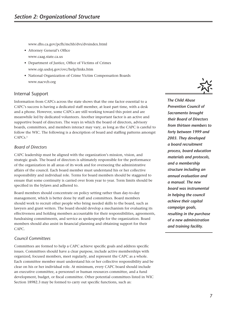<span id="page-14-0"></span>www.dhs.ca.gov/pcfh/mchb/dvs/dvsindex.html

- Attorney General's Office www.caag.state.ca.us
- Department of Justice, Office of Victims of Crimes www.ojp.usdoj.gov/ovc/help/links.htm
- National Organization of Crime Victim Compensation Boards www.nacvcb.org

#### Internal Support

Information from CAPCs across the state shows that the one factor essential to a CAPC's success is having a dedicated staff member, at least part time, with a desk and a phone. However, some CAPCs are still working toward this point and are meanwhile led by dedicated volunteers. Another important factor is an active and supportive board of directors. The ways in which the board of directors, advisory boards, committees, and members interact may vary, as long as the CAPC is careful to follow the WIC. The following is a description of board and staffing patterns amongst CAPCs.3

#### *Board of Directors*

CAPC leadership must be aligned with the organization's mission, vision, and strategic goals. The board of directors is ultimately responsible for the performance of the organization in all areas of its work and for overseeing the administrative affairs of the council. Each board member must understand his or her collective responsibility and individual role. Terms for board members should be staggered to ensure that some continuity is carried over from year to year. Term limits should be specified in the bylaws and adhered to.

Board members should concentrate on policy setting rather than day-to-day management, which is better done by staff and committees. Board members should work to recruit other people who bring needed skills to the board, such as lawyers and grant writers. The board should develop a mechanism for evaluating its effectiveness and holding members accountable for their responsibilities, agreements, fundraising commitments, and service as spokespeople for the organization. Board members should also assist in financial planning and obtaining support for their CAPC.

#### *Council Committees*

Committees are formed to help a CAPC achieve specific goals and address specific issues. Committees should have a clear purpose, include active memberships with organized, focused members, meet regularly, and represent the CAPC as a whole. Each committee member must understand his or her collective responsibility and be clear on his or her individual role. At minimum, every CAPC board should include an executive committee, a personnel or human resources committee, and a fund development, budget, or fiscal committee. Other potential committees listed in WIC Section 18982.3 may be formed to carry out specific functions, such as:



*The Child Abuse Prevention Council of Sacramento brought their Board of Directors from thirteen members to forty between 1999 and 2003. They developed a board recruitment process, board education materials and protocols, and a membership structure including an annual evaluation and a manual. The new board was instrumental in helping the council achieve their capital campaign goals, resulting in the purchase of a new administration and training facility.*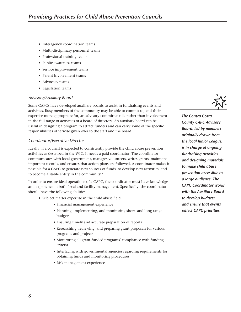- Interagency coordination teams
- Multi-disciplinary personnel teams
- Professional training teams
- Public awareness teams
- Service improvement teams
- Parent involvement teams
- Advocacy teams
- Legislation teams

#### *Advisory/Auxiliary Board*

Some CAPCs have developed auxiliary boards to assist in fundraising events and activities. Busy members of the community may be able to commit to, and their expertise more appropriate for, an advisory committee role rather than involvement in the full range of activities of a board of directors. An auxiliary board can be useful in designing a program to attract funders and can carry some of the specific responsibilities otherwise given over to the staff and the board.

#### *Coordinator/Executive Director*

Ideally, if a council is expected to consistently provide the child abuse prevention activities as described in the WIC, it needs a paid coordinator. The coordinator communicates with local government, manages volunteers, writes grants, maintains important records, and ensures that action plans are followed. A coordinator makes it possible for a CAPC to generate new sources of funds, to develop new activities, and to become a stable entity in the community.4

In order to ensure ideal operations of a CAPC, the coordinator must have knowledge and experience in both fiscal and facility management. Specifically, the coordinator should have the following abilities:

- Subject matter expertise in the child abuse field
	- Financial management experience
	- Planning, implementing, and monitoring short- and long-range budgets
	- Ensuring timely and accurate preparation of reports
	- Researching, reviewing, and preparing grant proposals for various programs and projects
	- Monitoring all grant-funded programs' compliance with funding criteria
	- Interfacing with governmental agencies regarding requirements for obtaining funds and monitoring procedures
	- Risk management experience



*The Contra Costa County CAPC Advisory Board, led by members originally drawn from the local Junior League, is in charge of ongoing fundraising activities and designing materials to make child abuse prevention accessible to a large audience. The CAPC Coordinator works with the Auxiliary Board to develop budgets and ensure that events reflect CAPC priorities.*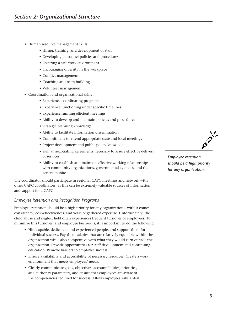- Human resource management skills
	- Hiring, training, and development of staff
	- Developing personnel policies and procedures
	- Ensuring a safe work environment
	- Encouraging diversity in the workplace
	- Conflict management
	- Coaching and team building
	- Volunteer management
- Coordination and organizational skills
	- Experience coordinating programs
	- Experience functioning under specific timelines
	- Experience running efficient meetings
	- Ability to develop and maintain policies and procedures
	- Strategic planning knowledge
	- Ability to facilitate information dissemination
	- Commitment to attend appropriate state and local meetings
	- Project development and public policy knowledge
	- Skill at negotiating agreements necessary to assure effective delivery of services
	- Ability to establish and maintain effective working relationships with community organizations, governmental agencies, and the general public

The coordinator should participate in regional CAPC meetings and network with other CAPC coordinators, as this can be extremely valuable sources of information and support for a CAPC.

#### *Employee Retention and Recognition Programs*

Employee retention should be a high priority for any organization—with it comes consistency, cost-effectiveness, and years of gathered expertise. Unfortunately, the child abuse and neglect field often experiences frequent turnover of employees. To minimize this turnover (and employee burn-out), it is important to do the following:

- Hire capable, dedicated, and experienced people, and support them for individual success. Pay them salaries that are relatively equitable within the organization while also competitive with what they would earn outside the organization. Provide opportunities for staff development and continuing education. Remove barriers to employee success.
- Ensure availability and accessibility of necessary resources. Create a work environment that meets employees' needs.
- Clearly communicate goals, objectives, accountabilities, priorities, and authority parameters, and ensure that employees are aware of the competencies required for success. Allow employees substantial



*Employee retention should be a high priority for any organization.*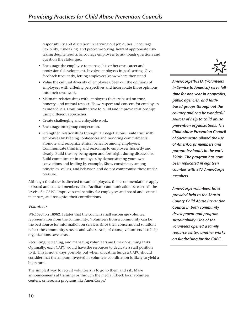responsibility and discretion in carrying out job duties. Encourage flexibility, risk-taking, and problem-solving. Reward appropriate risktaking despite results. Encourage employees to ask tough questions and question the status quo.

- Encourage the employee to manage his or her own career and professional development. Involve employees in goal-setting. Give feedback frequently, letting employees know where they stand.
- Value the cultural diversity of employees. Seek out the opinions of employees with differing perspectives and incorporate those opinions into their own work.
- Maintain relationships with employees that are based on trust, honesty, and mutual respect. Show respect and concern for employees as individuals. Continually strive to build and improve relationships using different approaches.
- Create challenging and enjoyable work.
- Encourage intergroup cooperation.
- Strengthen relationships through fair negotiations. Build trust with employees by keeping confidences and honoring commitments. Promote and recognize ethical behavior among employees. Communicate thinking and reasoning to employees honestly and clearly. Build trust by being open and forthright during discussions. Build commitment in employees by demonstrating your own convictions and leading by example. Show consistency among principles, values, and behavior, and do not compromise these under pressure.

Although the above is directed toward employees, the recommendations apply to board and council members also. Facilitate communication between all the levels of a CAPC. Improve sustainability for employees and board and council members, and recognize their contributions.

#### *Volunteers*

WIC Section 18982.1 states that the councils shall encourage volunteer representation from the community. Volunteers from a community can be the best source for information on services since their concerns and solutions reflect the community's needs and values. And, of course, volunteers also help organizations save costs.

Recruiting, screening, and managing volunteers are time-consuming tasks. Optimally, each CAPC would have the resources to dedicate a staff position to it. This is not always possible; but when allocating funds a CAPC should consider that the amount invested in volunteer coordination is likely to yield a big return.

The simplest way to recruit volunteers is to go to them and ask. Make announcements at trainings or through the media. Check local volunteer centers, or research programs like AmeriCorps.5



*AmeriCorps\*VISTA (Volunteers in Service to America) serve fulltime for one year in nonprofits, public agencies, and faithbased groups throughout the country and can be wonderful sources of help to child abuse prevention organizations. The Child Abuse Prevention Council of Sacramento piloted the use of AmeriCorps members and paraprofessionals in the early 1990s. The program has now been replicated in eighteen counties with 377 AmeriCorps members.*

*AmeriCorps volunteers have provided help to the Shasta County Child Abuse Prevention Council in both community development and program sustainability. One of the volunteers opened a family resource center; another works on fundraising for the CAPC.*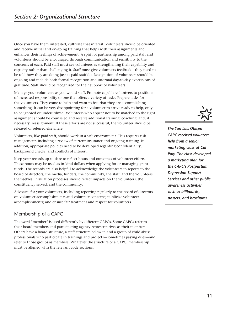<span id="page-18-0"></span>Once you have them interested, cultivate that interest. Volunteers should be oriented and receive initial and on-going training that helps with their assignments and enhances their feelings of achievement. A spirit of partnership among paid staff and volunteers should be encouraged through communication and sensitivity to the concerns of each. Paid staff must see volunteers as strengthening their capability and capacity rather than challenging it. Staff must give volunteers feedback—they need to be told how they are doing just as paid staff do. Recognition of volunteers should be ongoing and include both formal recognition and informal day-to-day expressions of gratitude. Staff should be recognized for their support of volunteers.

Manage your volunteers as you would staff. Promote capable volunteers to positions of increased responsibility or one that offers a variety of tasks. Prepare tasks for the volunteers. They come to help and want to feel that they are accomplishing something. It can be very disappointing for a volunteer to arrive ready to help, only to be ignored or underutilized. Volunteers who appear not to be matched to the right assignment should be counseled and receive additional training, coaching, and, if necessary, reassignment. If these efforts are not successful, the volunteer should be released or referred elsewhere.

Volunteers, like paid staff, should work in a safe environment. This requires risk management, including a review of current insurance and ongoing training. In addition, appropriate policies need to be developed regarding confidentiality, background checks, and conflicts of interest.

Keep your records up-to-date to reflect hours and outcomes of volunteer efforts. These hours may be used as in-kind dollars when applying for or managing grant funds. The records are also helpful to acknowledge the volunteers in reports to the board of directors, the media, funders, the community, the staff, and the volunteers themselves. Evaluation processes should reflect impacts on the volunteers, the constituency served, and the community.

Advocate for your volunteers, including reporting regularly to the board of directors on volunteer accomplishments and volunteer concerns; publicize volunteer accomplishments; and ensure fair treatment and respect for volunteers.

# Membership of a CAPC

The word "member" is used differently by different CAPCs. Some CAPCs refer to their board members and participating agency representatives as their members. Others have a board structure, a staff structure below it, and a group of child abuse professionals who participate in trainings and projects—sometimes paying dues—and refer to those groups as members. Whatever the structure of a CAPC, membership must be aligned with the relevant code sections.



*The San Luis Obispo CAPC received volunteer help from a senior marketing class at Cal Poly. The class developed a marketing plan for the CAPC's Postpartum Depression Support Services and other public awareness activities, such as billboards, posters, and brochures.*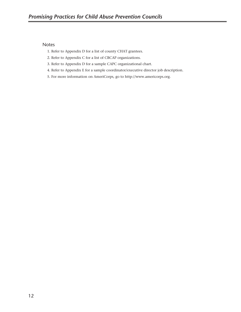#### <span id="page-19-0"></span>Notes

- 1. Refer to Appendix D for a list of county CHAT grantees.
- 2. Refer to Appendix C for a list of CBCAP organizations.
- 3. Refer to Appendix D for a sample CAPC organizational chart.
- 4. Refer to Appendix E for a sample coordinator/executive director job description.
- 5. For more information on AmeriCorps, go to http://www.americorps.org.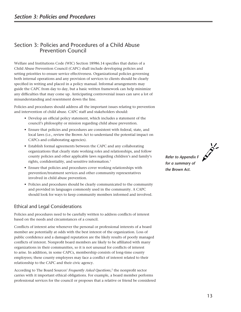# <span id="page-20-0"></span>Section 3: Policies and Procedures of a Child Abuse Prevention Council

Welfare and Institutions Code (WIC) Section 18986.14 specifies that duties of a Child Abuse Prevention Council (CAPC) shall include developing policies and setting priorities to ensure service effectiveness. Organizational policies governing both internal operations and any provision of services to clients should be clearly specified in writing and placed in a policy manual. Informal arrangements may guide the CAPC from day to day, but a basic written framework can help minimize any difficulties that may come up. Anticipating controversial issues can save a lot of misunderstanding and resentment down the line.

Policies and procedures should address all the important issues relating to prevention and intervention of child abuse. CAPC staff and stakeholders should:

- Develop an official policy statement, which includes a statement of the council's philosophy or mission regarding child abuse prevention.
- Ensure that policies and procedures are consistent with federal, state, and local laws (i.e., review the Brown Act to understand the potential impact on CAPCs and collaborating agencies).
- Establish formal agreements between the CAPC and any collaborating organizations that clearly state working roles and relationships, and follow county policies and other applicable laws regarding children's and family's rights, confidentiality, and sensitive information.<sup>1</sup>
- Ensure that policies and procedures cover working relationships with prevention/treatment services and other community representatives involved in child abuse prevention.
- Policies and procedures should be clearly communicated to the community and provided in languages commonly used in the community. A CAPC should look for ways to keep community members informed and involved.

# Ethical and Legal Considerations

Policies and procedures need to be carefully written to address conflicts of interest based on the needs and circumstances of a council.

Conflicts of interest arise whenever the personal or professional interests of a board member are potentially at odds with the best interest of the organization. Loss of public confidence and a damaged reputation are the likely results of poorly managed conflicts of interest. Nonprofit board members are likely to be affiliated with many organizations in their communities, so it is not unusual for conflicts of interest to arise. In addition, in some CAPCs, membership consists of long-time county employees; these county employees may face a conflict of interest related to their relationship to the CAPC and their civic agency.

According to The Board Sources' *Frequently Asked Questions*, 2 the nonprofit sector carries with it important ethical obligations. For example, a board member performs professional services for the council or proposes that a relative or friend be considered *Refer to Appendix F for a summary of the Brown Act.*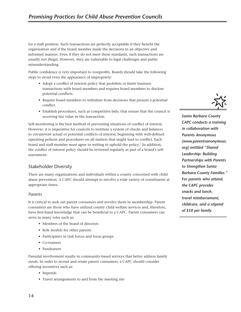<span id="page-21-0"></span>for a staff position. Such transactions are perfectly acceptable if they benefit the organization and if the board member made the decisions in an objective and informed manner. Even if they do not meet these standards, such transactions are usually not illegal. However, they are vulnerable to legal challenges and public misunderstanding.

Public confidence is very important to nonprofits. Boards should take the following steps to avoid even the appearance of impropriety:

- Adopt a conflict of interest policy that prohibits or limits business transactions with board members and requires board members to disclose potential conflicts.
- Require board members to withdraw from decisions that present a potential conflict.
- Establish procedures, such as competitive bids, that ensure that the council is receiving fair value in the transaction.

Self-monitoring is the best method of preventing situations of conflict of interest. However, it is imperative for councils to institute a system of checks and balances to circumvent actual or potential conflicts of interest, beginning with well-defined operating policies and procedures on all matters that might lead to conflict. Each board and staff member must agree in writing to uphold the policy.<sup>3</sup> In addition, the conflict of interest policy should be reviewed regularly as part of a board's selfassessment.

## Stakeholder Diversity

There are many organizations and individuals within a county concerned with child abuse prevention. A CAPC should attempt to involve a wide variety of constituents at appropriate times.

#### *Parents*

It is critical to seek out parent consumers and involve them in membership. Parent consumers are those who have utilized county child welfare services and, therefore, have first-hand knowledge that can be beneficial to a CAPC. Parent consumers can serve in many roles such as:

- Members of the board of directors
- Role models for other parents
- Participants in task forces and focus groups
- Co-trainers
- Fundraisers

Parental involvement results in community-based services that better address family needs. In order to recruit and retain parent consumers, a CAPC should consider offering incentives such as:

- Stipends
- Travel arrangements to and from the meeting site



*Santa Barbara County CAPC conducts a training in collaboration with Parents Anonymous (www.parentsanonymous. org) entitled "Shared Leadership: Building Partnerships with Parents to Strengthen Santa Barbara County Families." For parents who attend, the CAPC provides snacks and lunch, travel reimbursement, childcare, and a stipend of \$50 per family.*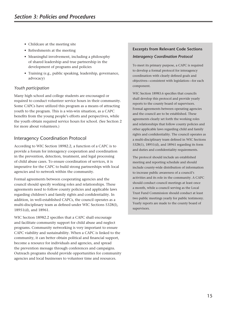- <span id="page-22-0"></span>• Childcare at the meeting site
- Refreshments at the meeting
- Meaningful involvement, including a philosophy of shared leadership and true partnership in the development of programs and policies
- Training (e.g., public speaking, leadership, governance, advocacy)

#### *Youth participation*

Many high school and college students are encouraged or required to conduct volunteer service hours in their community. Some CAPCs have utilized this program as a means of attracting youth to the program. This is a win-win situation, as a CAPC benefits from the young people's efforts and perspectives, while the youth obtain required service hours for school. (See Section 2 for more about volunteers.)

## Interagency Coordination Protocol

According to WIC Section 18982.2, a function of a CAPC is to provide a forum for interagency cooperation and coordination in the prevention, detection, treatment, and legal processing of child abuse cases. To ensure coordination of services, it is imperative for the CAPC to build strong partnerships with local agencies and to network within the community.

Formal agreements between cooperating agencies and the council should specify working roles and relationships. These agreements need to follow county policies and applicable laws regarding children's and family rights and confidentiality. In addition, in well-established CAPCs, the council operates as a multi-disciplinary team as defined under WIC Sections 5328(l), 18951(d), and 18961.

WIC Section 18982.2 specifies that a CAPC shall encourage and facilitate community support for child abuse and neglect programs. Community networking is very important to ensure CAPC viability and sustainability. When a CAPC is linked to the community, it can better obtain political and financial support, become a resource for individuals and agencies, and spread the prevention message through conferences and campaigns. Outreach programs should provide opportunities for community agencies and local businesses to volunteer time and resources.

## **Excerpts from Relevant Code Sections** *Interagency Coordination Protocol*

To meet its primary purpose, a CAPC is required to develop a formal protocol for interagency coordination with clearly defined goals and objectives—consistent with legislation—for each component.

WIC Section 18983.6 specifies that councils shall develop this protocol and provide yearly reports to the county board of supervisors. Formal agreements between operating agencies and the council are to be established. These agreements clearly set forth the working roles and relationships that follow county policies and other applicable laws regarding child and family rights and confidentiality. The council operates as a multi-disciplinary team defined in WIC Sections 5328(1), 18951(d), and 18961 regarding its form and duties and confidentiality requirements.

The protocol should include an established meeting and reporting schedule and should include county-wide distribution of information to increase public awareness of a council's activities and its role in the community. A CAPC should conduct council meetings at least once a month, while a council serving as the Local Trust Fund Commission should conduct at least two public meetings yearly for public testimony. Yearly reports are made to the county board of supervisors.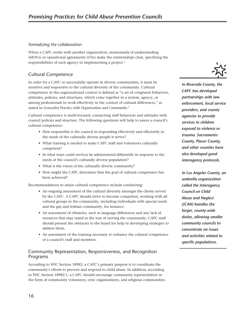#### <span id="page-23-0"></span>*Formalizing the collaboration*

When a CAPC works with another organization, memoranda of understanding (MOUs) or operational agreements (OAs) make the relationships clear, specifying the responsibilities of each agency in implementing a project.4

## Cultural Competence

In order for a CAPC to successfully operate in diverse communities, it must be sensitive and responsive to the cultural diversity of the community. Cultural competence in the organizational context is defined as "a set of congruent behaviors, attitudes, policies, and structures, which come together in a system, agency, or among professionals to work effectively in the context of cultural differences," as stated in *Generalist Practice with Organization and Community*. 5

Cultural competence is multi-focused, connecting staff behaviors and attitudes with council policies and structure. The following questions will help to assess a council's cultural competence:

- How responsible is the council in responding effectively and efficiently to the needs of the culturally diverse people it serves?
- What training is needed to make CAPC staff and volunteers culturally competent?
- In what ways could services be administered differently in response to the needs of the council's culturally diverse population?
- What is the vision of the culturally diverse community?
- How might the CAPC determine that the goal of cultural competence has been achieved?

Recommendations to attain cultural competence include conducting:

- An ongoing assessment of the cultural diversity amongst the clients served by the CAPC. A CAPC should strive to become competent, working with all cultural groups in the community, including individuals with special needs and the gay and lesbian community, for instance.
- An assessment of obstacles, such as language differences and any lack of resources that may stand in the way of serving the community. CAPC staff should present the obstacles to the board for help in developing strategies to address them.
- An assessment of the training necessary to enhance the cultural competence of a council's staff and members.

## Community Representation, Responsiveness, and Recognition Programs

According to WIC Section 18982, a CAPC's primary purpose is to coordinate the community's efforts to prevent and respond to child abuse. In addition, according to WIC Section 18982.1, a CAPC should encourage community representation in the form of community volunteers, civic organizations, and religious communities.



*In Riverside County, the CAPC has developed partnerships with law enforcement, local service providers, and county agencies to provide services to children exposed to violence or trauma. Sacramento County, Placer County, and other counties have also developed good interagency protocols.*

*In Los Angeles County, an umbrella organization called the Interagency Council on Child Abuse and Neglect (ICAN) handles the larger, county-wide duties, allowing smaller community councils to concentrate on issues and activities related to specific populations.*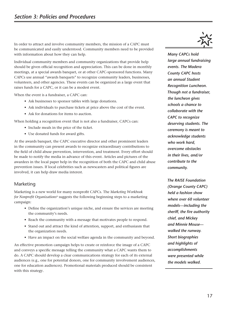<span id="page-24-0"></span>In order to attract and involve community members, the mission of a CAPC must be communicated and easily understood. Community members need to be provided with information about how they can help.

Individual community members and community organizations that provide help should be given official recognition and appreciation. This can be done in monthly meetings, at a special awards banquet, or at other CAPC-sponsored functions. Many CAPCs use annual "awards banquets" to recognize community leaders, businesses, volunteers, and other agencies. These events can be organized as a large event that raises funds for a CAPC, or it can be a modest event.

When the event is a fundraiser, a CAPC can:

- Ask businesses to sponsor tables with large donations.
- Ask individuals to purchase tickets at price above the cost of the event.
- Ask for donations for items to auction.

When holding a recognition event that is not also a fundraiser, CAPCs can:

- Include meals in the price of the ticket.
- Use donated funds for award gifts.

At the awards banquet, the CAPC executive director and other prominent leaders in the community can present awards to recognize extraordinary contributions to the field of child abuse prevention, intervention, and treatment. Every effort should be made to notify the media in advance of this event. Articles and pictures of the awardees in the local paper help in the recognition of both the CAPC and child abuse prevention issues. If local celebrities such as newscasters and political figures are involved, it can help draw media interest.

#### Marketing

Marketing is a new world for many nonprofit CAPCs. The *Marketing Workbook for Nonprofit Organizations*6 suggests the following beginning steps to a marketing campaign:

- Define the organization's unique niche, and ensure the services are meeting the community's needs.
- Reach the community with a message that motivates people to respond.
- Stand out and attract the kind of attention, support, and enthusiasm that the organization needs.
- Have an impact on the social welfare agenda in the community and beyond.

An effective promotion campaign helps to create or reinforce the image of a CAPC and conveys a specific message telling the community what a CAPC wants them to do. A CAPC should develop a clear communications strategy for each of its external audiences (e.g., one for potential donors, one for community involvement audiences, one for education audiences). Promotional materials produced should be consistent with this strategy.



*Many CAPCs hold large annual fundraising events. The Madera County CAPC hosts an annual Student Recognition Luncheon. Though not a fundraiser, the luncheon gives schools a chance to collaborate with the CAPC to recognize deserving students. The ceremony is meant to acknowledge students who work hard, overcome obstacles in their lives, and/or contribute to the community.*

*The RAISE Foundation (Orange County CAPC) held a fashion show where over 60 volunteer models—including the sheriff, the fire authority chief, and Mickey and Minnie Mouse walked the runway. Short biographies and highlights of accomplishments were presented while the models walked.*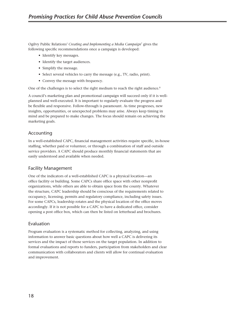<span id="page-25-0"></span>Ogilvy Public Relations' *Creating and Implementing a Media Campaign*7 gives the following specific recommendations once a campaign is developed:

- Identify key messages.
- Identify the target audiences.
- Simplify the message.
- Select several vehicles to carry the message (e.g., TV, radio, print).
- Convey the message with frequency.

One of the challenges is to select the right medium to reach the right audience.<sup>8</sup>

A council's marketing plan and promotional campaign will succeed only if it is wellplanned and well-executed. It is important to regularly evaluate the progress and be flexible and responsive. Follow-through is paramount. As time progresses, new insights, opportunities, or unexpected problems may arise. Always keep timing in mind and be prepared to make changes. The focus should remain on achieving the marketing goals.

## Accounting

In a well-established CAPC, financial management activities require specific, in-house staffing, whether paid or volunteer, or through a combination of staff and outside service providers. A CAPC should produce monthly financial statements that are easily understood and available when needed.

## Facility Management

One of the indicators of a well-established CAPC is a physical location—an office facility or building. Some CAPCs share office space with other nonprofit organizations, while others are able to obtain space from the county. Whatever the structure, CAPC leadership should be conscious of the requirements related to occupancy, licensing, permits and regulatory compliance, including safety issues. For some CAPCs, leadership rotates and the physical location of the office moves accordingly. If it is not possible for a CAPC to have a dedicated office, consider opening a post office box, which can then be listed on letterhead and brochures.

## Evaluation

Program evaluation is a systematic method for collecting, analyzing, and using information to answer basic questions about how well a CAPC is delivering its services and the impact of those services on the target population. In addition to formal evaluations and reports to funders, participation from stakeholders and clear communication with collaborators and clients will allow for continual evaluation and improvement.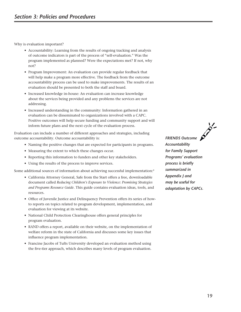Why is evaluation important?

- Accountability: Learning from the results of ongoing tracking and analysis of outcome indicators is part of the process of "self-evaluation." Was the program implemented as planned? Were the expectations met? If not, why not?
- Program Improvement: An evaluation can provide regular feedback that will help make a program more effective. The feedback from the outcome accountability process can be used to make improvements. The results of an evaluation should be presented to both the staff and board.
- Increased knowledge in-house: An evaluation can increase knowledge about the services being provided and any problems the services are not addressing.
- Increased understanding in the community: Information gathered in an evaluation can be disseminated to organizations involved with a CAPC. Positive outcomes will help secure funding and community support and will inform future plans and the next cycle of the evaluation process.

Evaluation can include a number of different approaches and strategies, including outcome accountability. Outcome accountability is:

- Naming the positive changes that are expected for participants in programs.
- Measuring the extent to which these changes occur.
- Reporting this information to funders and other key stakeholders.
- Using the results of the process to improve services.

Some additional sources of information about achieving successful implementation:<sup>9</sup>

- California Attorney General, Safe from the Start offers a free, downloadable document called *Reducing Children's Exposure to Violence: Promising Strategies and Programs Resource Guide*. This guide contains evaluation ideas, tools, and resources.
- Office of Juvenile Justice and Delinquency Prevention offers its series of howto reports on topics related to program development, implementation, and evaluation for viewing at its website.
- National Child Protection Clearinghouse offers general principles for program evaluation.
- RAND offers a report, available on their website, on the implementation of welfare reform in the state of California and discusses some key issues that influence program implementation.
- Francine Jacobs of Tufts University developed an evaluation method using the five-tier approach, which describes many levels of program evaluation.

*FRIENDS Outcome Accountability for Family Support Programs' evaluation process is briefly summarized in Appendix J and may be useful for adaptation by CAPCs.*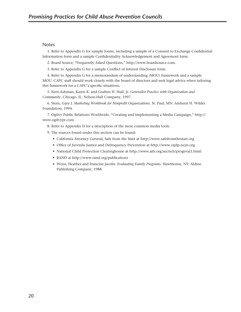#### <span id="page-27-0"></span>**Notes**

1. Refer to Appendix G for sample forms, including a sample of a Consent to Exchange Confidential Information form and a sample Confidentiality Acknowledgement and Agreement form.

2. Board Source, "Frequently Asked Questions," http://www.boardsource.com.

3. Refer to Appendix G for a sample Conflict of Interest Disclosure form.

4. Refer to Appendix G for a memorandum of understanding (MOU) framework and a sample MOU. CAPC staff should work closely with the board of directors and seek legal advice when tailoring this framework for a CAPC's specific situations.

5. Kirst-Ashman, Karen K. and Graften H. Hull, Jr. *Generalist Practice with Organization and Community*. Chicago, IL: Nelson-Hall Company, 1997.

6. Stern, Gary J. *Marketing Workbook for Nonprofit Organizations*. St. Paul, MN: Amherst H. Wilder Foundation, 1994.

7. Ogilvy Public Relations Worldwide, "Creating and Implementing a Media Campaign," http:// www.ogilvypr.com.

8. Refer to Appendix H for a description of the most common media tools.

9. The sources found under this section can be found:

- California Attorney General, Safe from the Start at http://www.safefromthestart.org
- Office of Juvenile Justice and Delinquency Prevention at http://www.ojjdp.ncjrs.org
- National Child Protection Clearinghouse at http://www.aifs.org/au/nch/progeval1.html
- RAND at http://www.rand.org/publications
- Weiss, Heather and Francine Jacobs. *Evaluating Family Programs*. Hawthorne, NY: Aldine Publishing Company, 1988.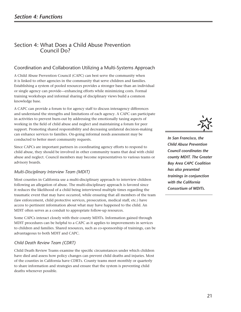# <span id="page-28-0"></span>Section 4: What Does a Child Abuse Prevention Council Do?

## Coordination and Collaboration Utilizing a Multi-Systems Approach

A Child Abuse Prevention Council (CAPC) can best serve the community when it is linked to other agencies in the community that serve children and families. Establishing a system of pooled resources provides a stronger base than an individual or single agency can provide—enhancing efforts while minimizing costs. Formal training workshops and informal sharing of disciplinary views build a common knowledge base.

A CAPC can provide a forum to for agency staff to discuss interagency differences and understand the strengths and limitations of each agency. A CAPC can participate in activities to prevent burn-out by addressing the emotionally taxing aspects of working in the field of child abuse and neglect and maintaining a forum for peer support. Promoting shared responsibility and decreasing unilateral decision-making can enhance services to families. On-going informal needs assessment may be conducted to better meet community requests.

Since CAPCs are important partners in coordinating agency efforts to respond to child abuse, they should be involved in other community teams that deal with child abuse and neglect. Council members may become representatives to various teams or advisory boards.

#### *Multi-Disciplinary Interview Team (MDIT)*

Most counties in California use a multi-disciplinary approach to interview children following an allegation of abuse. The multi-disciplinary approach is favored since it reduces the likelihood of a child being interviewed multiple times regarding the traumatic event that may have occurred, while ensuring that all members of the team (law enforcement, child protective services, prosecution, medical staff, etc.) have access to pertinent information about what may have happened to the child. An MDIT often serves as a conduit to appropriate follow-up resources.

Some CAPCs interact closely with their county MDITs. Information gained through MDIT procedures can be helpful to a CAPC as it applies to improvements in services to children and families. Shared resources, such as co-sponsorship of trainings, can be advantageous to both MDIT and CAPC.

## *Child Death Review Team (CDRT)*

Child Death Review Teams examine the specific circumstances under which children have died and assess how policy changes can prevent child deaths and injuries. Most of the counties in California have CDRTs. County teams meet monthly or quarterly to share information and strategies and ensure that the system is preventing child deaths whenever possible.



*In San Francisco, the Child Abuse Prevention Council coordinates the county MDIT. The Greater Bay Area CAPC Coalition has also presented trainings in conjunction with the California Consortium of MDITs.*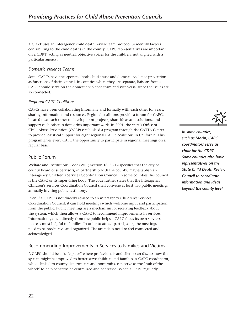<span id="page-29-0"></span>A CDRT uses an interagency child death review team protocol to identify factors contributing to the child deaths in the county. CAPC representatives are important on a CDRT, acting as neutral, objective voices for the children, not aligned with a particular agency.

#### *Domestic Violence Teams*

Some CAPCs have incorporated both child abuse and domestic violence prevention as functions of their council. In counties where they are separate, liaisons from a CAPC should serve on the domestic violence team and vice versa, since the issues are so connected.

#### *Regional CAPC Coalitions*

CAPCs have been collaborating informally and formally with each other for years, sharing information and resources. Regional coalitions provide a forum for CAPCs located near each other to develop joint projects, share ideas and solutions, and support each other in doing this important work. In 2001, the state's Office of Child Abuse Prevention (OCAP) established a program through the CATTA Center to provide logistical support for eight regional CAPCs coalitions in California. This program gives every CAPC the opportunity to participate in regional meetings on a regular basis.

#### Public Forum

Welfare and Institutions Code (WIC) Section 18986.12 specifies that the city or county board of supervisors, in partnership with the county, may establish an interagency Children's Services Coordination Council. In some counties this council is the CAPC or its supervising body. The code further states that the interagency Children's Services Coordination Council shall convene at least two public meetings annually inviting public testimony.

Even if a CAPC is not directly related to an interagency Children's Services Coordination Council, it can hold meetings which welcome input and participation from the public. Public meetings are a mechanism for receiving feedback about the system, which then allows a CAPC to recommend improvements in services. Information gained directly from the public helps a CAPC focus its own services in areas most helpful to families. In order to attract participants, the meetings need to be productive and organized. The attendees need to feel connected and acknowledged.

## Recommending Improvements in Services to Families and Victims

A CAPC should be a "safe place" where professionals and clients can discuss how the system might be improved to better serve children and families. A CAPC coordinator, who is linked to county departments and nonprofits, can serve as the "hub of the wheel" to help concerns be centralized and addressed. When a CAPC regularly



*In some counties, such as Marin, CAPC coordinators serve as chair for the CDRT. Some counties also have representatives on the State Child Death Review Council to coordinate information and ideas beyond the county level.*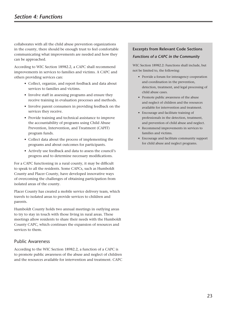<span id="page-30-0"></span>collaborates with all the child abuse prevention organizations in the county, there should be enough trust to feel comfortable communicating what improvements are needed and how they can be approached.

According to WIC Section 18982.2, a CAPC shall recommend improvements in services to families and victims. A CAPC and others providing services can:

- Collect, organize, and report feedback and data about services to families and victims.
- Involve staff in assessing programs and ensure they receive training in evaluation processes and methods.
- Involve parent consumers in providing feedback on the services they receive.
- Provide training and technical assistance to improve the accountability of programs using Child Abuse Prevention, Intervention, and Treatment (CAPIT) program funds.
- Collect data about the process of implementing the programs and about outcomes for participants.
- Actively use feedback and data to assess the council's progress and to determine necessary modifications.

For a CAPC functioning in a rural county, it may be difficult to speak to all the residents. Some CAPCs, such as Humboldt County and Placer County, have developed innovative ways of overcoming the challenges of obtaining participation from isolated areas of the county.

Placer County has created a mobile service delivery team, which travels to isolated areas to provide services to children and parents.

Humboldt County holds two annual meetings in outlying areas to try to stay in touch with those living in rural areas. These meetings allow residents to share their needs with the Humboldt County CAPC, which continues the expansion of resources and services to them.

#### Public Awareness

According to the WIC Section 18982.2, a function of a CAPC is to promote public awareness of the abuse and neglect of children and the resources available for intervention and treatment. CAPC

## **Excerpts from Relevant Code Sections** *Functions of a CAPC in the Community*

WIC Section 18982.2: Functions shall include, but not be limited to, the following:

- Provide a forum for interagency cooperation and coordination in the prevention, detection, treatment, and legal processing of child abuse cases.
- Promote public awareness of the abuse and neglect of children and the resources available for intervention and treatment.
- Encourage and facilitate training of professionals in the detection, treatment, and prevention of child abuse and neglect.
- Recommend improvements in services to families and victims.
- Encourage and facilitate community support for child abuse and neglect programs.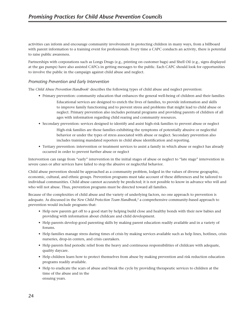activities can inform and encourage community involvement in protecting children in many ways, from a billboard with parent information to a training event for professionals. Every time a CAPC conducts an activity, there is potential to raise public awareness.

Partnerships with corporations such as Longs Drugs (e.g., printing on customer bags) and Shell Oil (e.g., signs displayed at the gas pumps) have also assisted CAPCs in getting messages to the public. Each CAPC should look for opportunities to involve the public in the campaign against child abuse and neglect.

#### *Promoting Prevention and Early Intervention*

The *Child Abuse Prevention Handbook*1 describes the following types of child abuse and neglect prevention:

- Primary prevention: community education that enhances the general well-being of children and their families
	- Educational services are designed to enrich the lives of families, to provide information and skills to improve family functioning and to prevent stress and problems that might lead to child abuse or neglect. Primary prevention also includes perinatal programs and providing parents of children of all ages with information regarding child rearing and community resources.
- Secondary prevention: services designed to identify and assist high-risk families to prevent abuse or neglect
	- High-risk families are those families exhibiting the symptoms of potentially abusive or neglectful behavior or under the types of stress associated with abuse or neglect. Secondary prevention also includes training mandated reporters in child abuse identification and reporting.
- Tertiary prevention: intervention or treatment services to assist a family in which abuse or neglect has already occurred in order to prevent further abuse or neglect

Intervention can range from "early" intervention in the initial stages of abuse or neglect to "late stage" intervention in severe cases or after services have failed to stop the abusive or neglectful behavior.

Child abuse prevention should be approached as a community problem, lodged in the values of diverse geographic, economic, cultural, and ethnic groups. Prevention programs must take account of these differences and be tailored to individual communities. Child abuse cannot accurately be predicted; it is not possible to know in advance who will and who will not abuse. Thus, prevention programs must be directed toward all families.

Because of the complexities of child abuse and the variety of underlying factors, no one approach to prevention is adequate. As discussed in the *New Child Protection Team Handbook*, 2 a comprehensive community-based approach to prevention would include programs that:

- Help new parents get off to a good start by helping build close and healthy bonds with their new babies and providing with information about childcare and child development.
- Help parents develop good parenting skills by making parent education readily available and in a variety of forums.
- Help families manage stress during times of crisis by making services available such as help lines, hotlines, crisis nurseries, drop-in centers, and crisis caretakers.
- Help parents find periodic relief from the heavy and continuous responsibilities of childcare with adequate, quality daycare.
- Help children learn how to protect themselves from abuse by making prevention and risk reduction education programs readily available.
- Help to eradicate the scars of abuse and break the cycle by providing therapeutic services to children at the time of the abuse and in the ensuing years.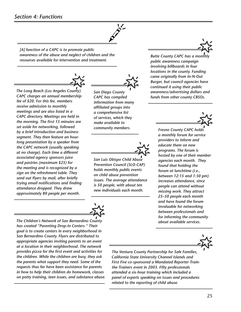*[A] function of a CAPC is to promote public awareness of the abuse and neglect of children and the resources available for intervention and treatment.*

*The Long Beach (Los Angeles County) CAPC charges an annual membership fee of \$20. For this fee, members receive admission to monthly meetings and are also listed in a CAPC directory. Meetings are held in the morning. The first 15 minutes are set aside for networking, followed by a brief introduction and business segment. They then feature an hourlong presentation by a speaker from the CAPC network (usually speaking at no charge). Each time a different associated agency sponsors juice and pastries (maximum \$25) for the meeting and is recognized by a sign on the refreshment table. They send out flyers by mail, after briefly trying email notifications and finding attendance dropped. They draw approximately 80 people per month.*

*The Children's Network of San Bernardino County has created "Parenting Drop-In Centers." Their goal is to create centers in every neighborhood in San Bernardino County. Flyers are distributed to appropriate agencies inviting parents to an event at a location in their neighborhood. The network provides pizza for the first event and activities for the children. While the children are busy, they ask the parents what support they need. Some of the requests thus far have been assistance for parents in how to help their children do homework, classes on potty training, teen issues, and substance abuse.*

*San Diego County CAPC has compiled information from many affiliated groups into a comprehensive list of services, which they make available to community members.*

*San Luis Obispo Child Abuse Prevention Council (SLO-CAP) holds monthly public events on child abuse prevention issues. The average attendance is 50 people, with about ten new individuals each month.*

*Butte County CAPC has a monthly public awareness campaign involving billboards in four locations in the county. Funding came originally from In-N-Out Burger, but council agencies have continued it using their public awareness/advertising dollars and funds from other county CBSOs.* 

> *Fresno County CAPC holds a monthly forum for service providers to inform and educate them on new programs. The forum is hosted by one of their member agencies each month. They found that holding the forum at lunchtime (i.e., between 12:15 and 1:30 pm) increases attendance, since people can attend without missing work. They attract 25–50 people each month and have found the forum invaluable for networking between professionals and for informing the community about available services.*

*The Ventura County Partnership for Safe Families, California State University Channel Islands and First Five co-sponsored a Mandated Reporter Trainthe-Trainers event in 2003. Fifty professionals attended a six-hour training which included a panel of experts speaking on issues and procedures related to the reporting of child abuse.*





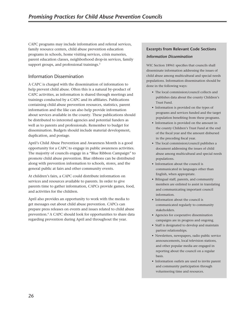<span id="page-33-0"></span>CAPC programs may include information and referral services, family resource centers, child abuse prevention education programs in schools, home visiting services, crisis nurseries, parent education classes, neighborhood drop-in services, family support groups, and professional trainings.<sup>3</sup>

## Information Dissemination

A CAPC is charged with the dissemination of information to help prevent child abuse. Often this is a natural by-product of CAPC activities, as information is shared through meetings and trainings conducted by a CAPC and its affiliates. Publications containing child abuse prevention resources, statistics, parent information and the like can also help provide information about services available in the county. These publications should be distributed to interested agencies and potential funders as well as to parents and professionals. Remember to budget for dissemination. Budgets should include material development, duplication, and postage.

April's Child Abuse Prevention and Awareness Month is a good opportunity for a CAPC to engage in public awareness activities. The majority of councils engage in a "Blue Ribbon Campaign" to promote child abuse prevention. Blue ribbons can be distributed along with prevention information to schools, stores, and the general public at fairs and other community events.

At children's fairs, a CAPC could distribute information on services and resources available to parents. In order to give parents time to gather information, CAPCs provide games, food, and activities for the children.

April also provides an opportunity to work with the media to get messages out about child abuse prevention. CAPCs can prepare press releases on events and issues related to child abuse prevention.4 A CAPC should look for opportunities to share data regarding prevention during April and throughout the year.

# **Excerpts from Relevant Code Sections** *Information Dissemination*

WIC Section 18961 specifies that councils shall disseminate information addressing the issues of child abuse among multicultural and special needs populations. Information dissemination should be done in the following ways:

- The local commission/council collects and publishes data about the county Children's Trust Fund.
- Information is provided on the types of programs and services funded and the target population benefiting from these programs.
- Information is provided on the amount in the county Children's Trust Fund at the end of the fiscal year and the amount disbursed in the preceding fiscal year.
- The local commission/council publishes a document addressing the issues of child abuse among multicultural and special needs populations.
- Information about the council is communicated in languages other than English, when appropriate.
- Bilingual staff, parents, and community members are enlisted to assist in translating and communicating important council information.
- Information about the council is communicated regularly to community stakeholders.
- Agencies for cooperative dissemination campaigns are in progress and ongoing.
- Staff is designated to develop and maintain partner relationships.
- Newsletters, newspapers, radio public service announcements, local television stations, and other popular media are engaged in reporting about the council on a regular basis.
- Information outlets are used to invite parent and community participation through volunteering time and resources.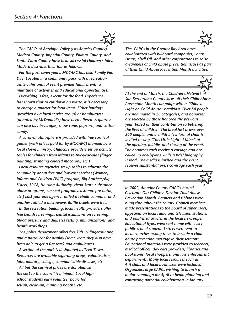

*The CAPCs of Antelope Valley (Los Angeles County), Madera County, Imperial County, Plumas County, and Santa Clara County have held successful children's fairs. Madera describes their fair as follows:*

*For the past seven years, MCCAPC has held Family Fun Day. Located in a community park with a recreation center, this annual event provides families with a multitude of activities and educational opportunities.*

*Everything is free, except for the food. Experience has shown that to cut down on waste, it is necessary to charge a quarter for food items. Either hotdogs (provided by a local service group) or hamburgers (donated by McDonald's) have been offered. A quarter can also buy beverages, snow cone, popcorn, and cotton candy.*

*A carnival atmosphere is provided with free carnival games (with prizes paid for by MCCAPC) manned by a local clown ministry. Childcare providers set up activity tables for children from infants to five-year-olds (finger painting, stringing colored macaroni, etc.)*

*Local resource agencies set up tables to educate the community about free and low-cost services (Women, Infants and Children (WIC) program, Big Brothers/Big Sisters, SPCA, Housing Authority, Head Start, substance abuse programs, car seat programs, asthma, pre-natal, etc.) Last year one agency raffled a rebuilt computer and another raffled a microwave. Raffle tickets were free.*

*In the recreation building, local health providers offer free health screenings, dental exams, vision screening, blood pressure and diabetes testing, immunizations, and health workshops.*

*The police department offers free kids ID fingerprinting and a patrol car for display (some years they also have been able to get a fire truck and ambulance).*

*A section of the park is designated as Teen Town. Resources are available regarding drugs, volunteerism, jobs, military, college, communicable diseases, etc.*

*All but the carnival prizes are donated, so the cost to the council is minimal. Local high school students earn volunteer hours for set-up, clean-up, manning booths, etc.*



*The CAPCs in the Greater Bay Area have collaborated with billboard companies, Longs Drugs, Shell Oil, and other corporations to raise awareness of child abuse prevention issues as part of their Child Abuse Prevention Month activities.*



*At the end of March, the Children's Network of San Bernardino County kicks off their Child Abuse Prevention Month campaign with a "Shine a Light on Child Abuse" breakfast. Over 80 people are nominated in 20 categories, and honorees are selected by those honored the previous year, based on their contribution to bettering the lives of children. The breakfast draws over 500 people, and a children's informal choir is invited to sing "This Little Light of Mine" at the opening, middle, and closing of the event. The honorees each receive a corsage and are called up one-by-one while a brief biography is read. The media is invited and the event receives substantial press coverage each year.*



*In 2002, Amador County CAPC's hosted Celebrate Our Children Day for Child Abuse Prevention Month. Banners and ribbons were hung throughout the county. Council members made presentations to the board of supervisors, appeared on local radio and television stations, and published articles in the local newspaper. Educational flyers were sent home with every public school student. Letters were sent to local churches asking them to include a child abuse prevention message in their sermons. Educational materials were provided to teachers, medical offices, day care providers, libraries and bookstores, local shoppers, and law enforcement departments. Many local resources such as 4-H clubs and local businesses were included. Organizers urge CAPCs wishing to launch a major campaign for April to begin planning and contacting potential collaborators in January.*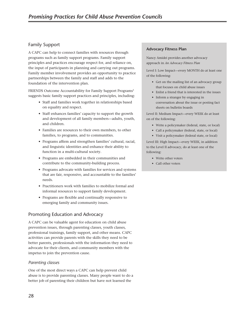## <span id="page-35-0"></span>Family Support

A CAPC can help to connect families with resources through programs such as family support programs. Family support principles and practices encourage respect for, and reliance on, the input of participants in planning and carrying out programs. Family member involvement provides an opportunity to practice partnerships between the family and staff and adds to the foundation of the intervention plan.

FRIENDS Outcome Accountability for Family Support Programs<sup>5</sup> suggests basic family support practices and principles, including:

- Staff and families work together in relationships based on equality and respect.
- Staff enhances families' capacity to support the growth and development of all family members—adults, youth, and children.
- Families are resources to their own members, to other families, to programs, and to communities.
- Programs affirm and strengthen families' cultural, racial, and linguistic identities and enhance their ability to function in a multi-cultural society.
- Programs are embedded in their communities and contribute to the community-building process.
- Programs advocate with families for services and systems that are fair, responsive, and accountable to the families' needs.
- Practitioners work with families to mobilize formal and informal resources to support family development.
- Programs are flexible and continually responsive to emerging family and community issues.

## Promoting Education and Advocacy

A CAPC can be valuable agent for education on child abuse prevention issues, through parenting classes, youth classes, professional trainings, family support, and other means. CAPC activities can provide parents with the skills they need to be better parents, professionals with the information they need to advocate for their clients, and community members with the impetus to join the prevention cause.

#### *Parenting classes*

One of the most direct ways a CAPC can help prevent child abuse is to provide parenting classes. Many people want to do a better job of parenting their children but have not learned the

#### **Advocacy Fitness Plan**

Nancy Amidei provides another advocacy approach in *An Advocacy Fitness Plan*

Level I: Low Impact—every MONTH do at least one of the following:

- Get on the mailing list of an advocacy group that focuses on child abuse issues
- Enlist a friend that is interested in the issues
- Inform a stranger by engaging in conversation about the issue or posting fact sheets on bulletin boards

Level II: Medium Impact—every WEEK do at least on of the following:

- Write a policymaker (federal, state, or local)
- Call a policymaker (federal, state, or local)
- Visit a policymaker (federal state, or local)

Level III: High Impact—every WEEK, in addition to the Level II advocacy, do at least one of the following:

- Write other voters
- Call other voters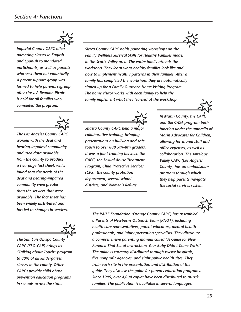

*Imperial County CAPC offers parenting classes in English and Spanish to mandated participants, as well as parents who seek them out voluntarily. A parent support group was formed to help parents regroup after class. A Reunion Picnic is held for all families who completed the program.*



*The Los Angeles County CAPC worked with the deaf and hearing-impaired community and used data available from the county to produce a two-page fact sheet, which found that the needs of the deaf and hearing-impaired community were greater than the services that were available. The fact sheet has been widely distributed and has led to changes in services.*



*The San Luis Obispo County CAPC (SLO-CAP) brings its "Talking about Touch" program to 80% of all kindergarten classes in the county. Other CAPCs provide child abuse prevention education programs in schools across the state.*

*Sierra County CAPC holds parenting workshops on the Family Wellness Survival Skills for Healthy Families model in the Scotts Valley area. The entire family attends the workshop. They learn what healthy families look like and how to implement healthy patterns in their families. After a family has completed the workshop, they are automatically signed up for a Family Outreach Home Visiting Program. The home visitor works with each family to help the family implement what they learned at the workshop.*



*Shasta County CAPC held a major collaborative training, bringing presentations on bullying and safe touch to over 800 5th–8th graders. It was a joint training between the CAPC, the Sexual Abuse Treatment Program, Child Protective Services (CPS), the county probation department, several school districts, and Women's Refuge.*

*In Marin County, the CAPC and the CASA program both function under the umbrella of Marin Advocates for Children, allowing for shared staff and office expenses, as well as collaboration. The Antelope Valley CAPC (Los Angeles County) has an ombudsman program through which they help parents navigate the social services system.*



*The RAISE Foundation (Orange County CAPC) has assembled a Parents of Newborns Outreach Team (PNOT), including health care representatives, parent educators, mental health professionals, and injury prevention specialists. They distribute a comprehensive parenting manual called "A Guide for New Parents: That Set of Instructions Your Baby Didn't Come With." The guide is currently distributed through twelve hospitals, five nonprofit agencies, and eight public health sites. They train each site in the presentation and distribution of the guide. They also use the guide for parents education programs. Since 1999, over 4,000 copies have been distributed to at-risk families. The publication is available in several languages.*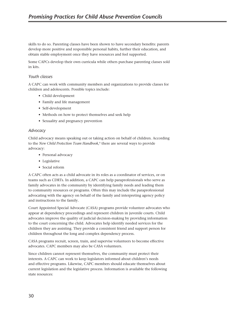skills to do so. Parenting classes have been shown to have secondary benefits: parents develop more positive and responsible personal habits, further their education, and obtain stable employment once they have resources and feel supported.

Some CAPCs develop their own curricula while others purchase parenting classes sold in kits.

#### *Youth classes*

A CAPC can work with community members and organizations to provide classes for children and adolescents. Possible topics include:

- Child development
- Family and life management
- Self-development
- Methods on how to protect themselves and seek help
- Sexuality and pregnancy prevention

#### *Advocacy*

Child advocacy means speaking out or taking action on behalf of children. According to the *New Child Protection Team Handbook*, 6 there are several ways to provide advocacy:

- Personal advocacy
- Legislative
- Social reform

A CAPC often acts as a child advocate in its roles as a coordinator of services, or on teams such as CDRTs. In addition, a CAPC can help paraprofessionals who serve as family advocates in the community by identifying family needs and leading them to community resources or programs. Often this may include the paraprofessional advocating with the agency on behalf of the family and interpreting agency policy and instructions to the family.

Court Appointed Special Advocate (CASA) programs provide volunteer advocates who appear at dependency proceedings and represent children in juvenile courts. Child advocates improve the quality of judicial decision-making by providing information to the court concerning the child. Advocates help identify needed services for the children they are assisting. They provide a consistent friend and support person for children throughout the long and complex dependency process.

CASA programs recruit, screen, train, and supervise volunteers to become effective advocates. CAPC members may also be CASA volunteers.

Since children cannot represent themselves, the community must protect their interests. A CAPC can work to keep legislators informed about children's needs and effective programs. Likewise, CAPC members should educate themselves about current legislation and the legislative process. Information is available the following state resources: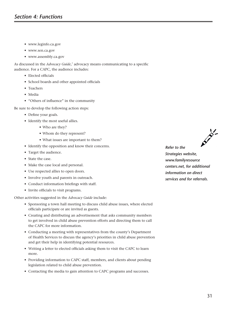- www.leginfo.ca.gov
- www.sen.ca.gov
- www.assembly.ca.gov

As discussed in the *Advocacy Guide*, 7 advocacy means communicating to a specific audience. For a CAPC, the audience includes:

- Elected officials
- School boards and other appointed officials
- Teachers
- Media
- "Others of influence" in the community

Be sure to develop the following action steps:

- Define your goals.
- Identify the most useful allies.
	- Who are they?
	- Whom do they represent?
	- What issues are important to them?
- Identify the opposition and know their concerns.
- Target the audience.
- State the case.
- Make the case local and personal.
- Use respected allies to open doors.
- Involve youth and parents in outreach.
- Conduct information briefings with staff.
- Invite officials to visit programs.

Other activities suggested in the *Advocacy Guide* include:

- Sponsoring a town hall meeting to discuss child abuse issues, where elected officials participate or are invited as guests.
- Creating and distributing an advertisement that asks community members to get involved in child abuse prevention efforts and directing them to call the CAPC for more information.
- Conducting a meeting with representatives from the county's Department of Health Services to discuss the agency's priorities in child abuse prevention and get their help in identifying potential resources.
- Writing a letter to elected officials asking them to visit the CAPC to learn more.
- Providing information to CAPC staff, members, and clients about pending legislation related to child abuse prevention.
- Contacting the media to gain attention to CAPC programs and successes.



*Strategies website, www.familyresource centers.net, for additional information on direct services and for referrals.*

*Refer to the*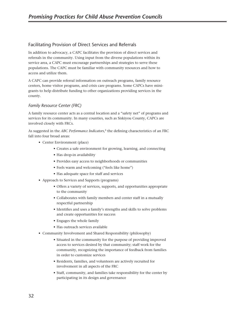# Facilitating Provision of Direct Services and Referrals

In addition to advocacy, a CAPC facilitates the provision of direct services and referrals in the community. Using input from the diverse populations within its service area, a CAPC must encourage partnerships and strategies to serve these populations. The CAPC must be familiar with community resources and how to access and utilize them.

A CAPC can provide referral information on outreach programs, family resource centers, home visitor programs, and crisis care programs. Some CAPCs have minigrants to help distribute funding to other organizations providing services in the county.

# *Family Resource Center (FRC)*

A family resource center acts as a central location and a "safety net" of programs and services for its community. In many counties, such as Siskiyou County, CAPCs are involved closely with FRCs.

As suggested in the *ABC Performance Indicators*, 8 the defining characteristics of an FRC fall into four broad areas:

- Center Environment (place)
	- Creates a safe environment for growing, learning, and connecting
	- Has drop-in availability
	- Provides easy access to neighborhoods or communities
	- Feels warm and welcoming ("feels like home")
	- Has adequate space for staff and services
- Approach to Services and Supports (programs)
	- Offers a variety of services, supports, and opportunities appropriate to the community
	- Collaborates with family members and center staff in a mutually respectful partnership
	- Identifies and uses a family's strengths and skills to solve problems and create opportunities for success
	- Engages the whole family
	- Has outreach services available
- Community Involvement and Shared Responsibility (philosophy)
	- Situated in the community for the purpose of providing improved access to services desired by that community; staff work for the community, recognizing the importance of feedback from families in order to customize services
	- Residents, families, and volunteers are actively recruited for involvement in all aspects of the FRC
	- Staff, community, and families take responsibility for the center by participating in its design and governance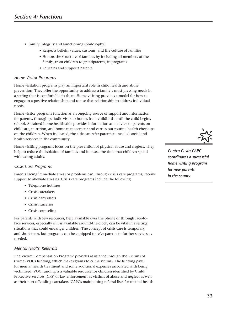- Family Integrity and Functioning (philosophy)
	- Respects beliefs, values, customs, and the culture of families
	- Honors the structure of families by including all members of the family, from children to grandparents, in programs
	- Educates and supports parents

#### *Home Visitor Programs*

Home visitation programs play an important role in child health and abuse prevention. They offer the opportunity to address a family's most pressing needs in a setting that is comfortable to them. Home visiting provides a model for how to engage in a positive relationship and to use that relationship to address individual needs.

Home visitor programs function as an ongoing source of support and information for parents, through periodic visits to homes from childbirth until the child begins school. A trained home health aide provides information and advice to parents on childcare, nutrition, and home management and carries out routine health checkups on the children. When indicated, the aide can refer parents to needed social and health services in the community.

Home visiting programs focus on the prevention of physical abuse and neglect. They help to reduce the isolation of families and increase the time that children spend with caring adults.

### *Crisis Care Programs*

Parents facing immediate stress or problems can, through crisis care programs, receive support to alleviate stresses. Crisis care programs include the following:

- Telephone hotlines
- Crisis caretakers
- Crisis babysitters
- Crisis nurseries
- Crisis counseling

For parents with few resources, help available over the phone or through face-toface services, especially if it is available around-the-clock, can be vital in averting situations that could endanger children. The concept of crisis care is temporary and short-term, but programs can be equipped to refer parents to further services as needed.

### *Mental Health Referrals*

The Victim Compensation Program9 provides assistance through the Victims of Crime (VOC) funding, which makes grants to crime victims. The funding pays for mental health treatment and some additional expenses associated with being victimized. VOC funding is a valuable resource for children identified by Child Protective Services (CPS) or law enforcement as victims of abuse and neglect as well as their non-offending caretakers. CAPCs maintaining referral lists for mental health



*Contra Costa CAPC coordinates a successful home visiting program for new parents in the county.*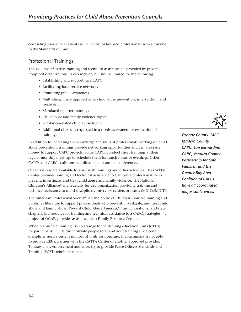counseling should refer clients to VOC's list of licensed professionals who subscribe to the Standards of Care.

# Professional Trainings

The WIC specifies that training and technical assistance be provided by private nonprofit organizations. It can include, but not be limited to, the following:

- Establishing and supporting a CAPC
- Facilitating local service networks
- Promoting public awareness
- Multi-disciplinary approaches to child abuse prevention, intervention, and treatment
- Mandated reporter trainings
- Child abuse and family violence topics
- Substance-related child abuse topics
- Additional classes as requested in a needs assessment or evaluation of trainings

In addition to increasing the knowledge and skills of professionals working on child abuse prevention, trainings provide networking opportunities and can also raise money to support CAPC projects. Some CAPCs conduct short trainings at their regular monthly meetings or schedule them for lunch hours or evenings. Other CAPCs and CAPC coalitions coordinate major annual conferences.

Organizations are available to assist with trainings and other activities. The CATTA Center provides training and technical assistance to California professionals who prevent, investigate, and treat child abuse and family violence. The National Children's Alliance<sup>10</sup> is a federally funded organization providing training and technical assistance to multi-disciplinary interview centers or teams (MDICs/MDITs).

The American Professional Society<sup>11</sup> on the Abuse of Children sponsors training and publishes literature to support professionals who prevent, investigate, and treat child abuse and family abuse. Prevent Child Abuse America,12 through national and state chapters, is a resource for training and technical assistance to a CAPC. Strategies,<sup>13</sup> a project of OCAP, provides assistance with Family Resource Centers.

When planning a training, try to arrange for continuing education units (CEUs) for participants. CEUs can motivate people to attend your training since certain disciplines need a certain number of units for licensure. If your agency is not able to provide CEUs, partner with the CATTA Center or another approved provider. To draw a law enforcement audience, try to provide Peace Officers Standards and Training (POST) reimbursement.



*Orange County CAPC, Madera County CAPC, San Bernardino CAPC, Ventura County Partnership for Safe Families, and the Greater Bay Area Coalition of CAPCs have all coordinated major conferences.*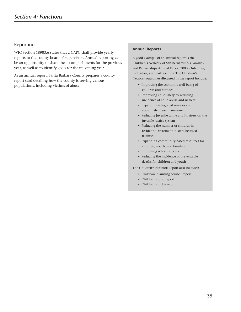# Reporting

WIC Section 18983.6 states that a CAPC shall provide yearly reports to the county board of supervisors. Annual reporting can be an opportunity to share the accomplishments for the previous year, as well as to identify goals for the upcoming year.

As an annual report, Santa Barbara County prepares a county report card detailing how the county is serving various populations, including victims of abuse.

#### **Annual Reports**

A good example of an annual report is the Children's Network of San Bernardino's Families and Partnerships Annual Report 2000: Outcomes, Indicators, and Partnerships. The Children's Network outcomes discussed in the report include:

- Improving the economic well-being of children and families
- Improving child safety by reducing incidence of child abuse and neglect
- Expanding integrated services and coordinated case management
- Reducing juvenile crime and its stress on the juvenile justice system
- Reducing the number of children in residential treatment in state licensed facilities
- Expanding community-based resources for children, youth, and families
- Improving school success
- Reducing the incidence of preventable deaths for children and youth

The Children's Network Report also includes:

- Childcare planning council report
- Children's fund report
- Children's lobby report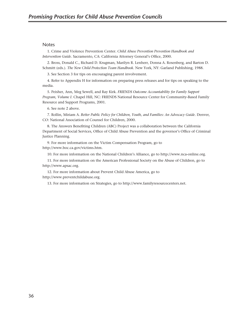#### **Notes**

1. Crime and Violence Prevention Center. *Child Abuse Prevention Prevention Handbook and Intervention Guide*. Sacramento, CA: California Attorney General's Office, 2000.

2. Bross, Donald C., Richard D. Krugman, Marilyn R. Lenherr, Donna A. Rosenberg, and Barton D. Schmitt (eds.). *The New Child Protection Team Handbook*. New York, NY: Garland Publishing, 1988.

3. See Section 3 for tips on encouraging parent involvement.

4. Refer to Appendix H for information on preparing press releases and for tips on speaking to the media.

5. Peisher, Ann, Meg Sewell, and Ray Kirk. *FRIENDS Outcome Accountability for Family Support Program, Volume I*. Chapel Hill, NC: FRIENDS National Resource Center for Community-Based Family Resource and Support Programs, 2001.

6. See note 2 above.

7. Rollin, Miriam A. *Better Public Policy for Children, Youth, and Families: An Advocacy Guide*. Denver, CO: National Association of Counsel for Children, 2000.

8. The Answers Benefiting Children (ABC) Project was a collaboration between the California Department of Social Services, Office of Child Abuse Prevention and the governor's Office of Criminal Justice Planning.

9. For more information on the Victim Compensation Program, go to http://www.boc.ca.gov/victims.htm.

10. For more information on the National Children's Alliance, go to http://www.nca-online.org.

11. For more information on the American Professional Society on the Abuse of Children, go to http://www.apsac.org.

12. For more information about Prevent Child Abuse America, go to http://www.preventchildabuse.org.

13. For more information on Strategies, go to http://www.familyresourcecenters.net.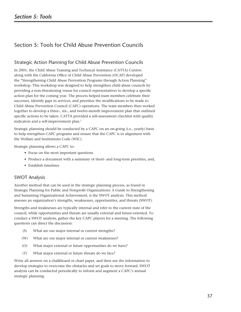# Section 5: Tools for Child Abuse Prevention Councils

# Strategic Action Planning for Child Abuse Prevention Councils

In 2001, the Child Abuse Training and Technical Assistance (CATTA) Centers along with the California Office of Child Abuse Prevention (OCAP) developed the "Strengthening Child Abuse Prevention Programs through Action Planning" workshop. This workshop was designed to help strengthen child abuse councils by providing a non-threatening venue for council representatives to develop a specific action plan for the coming year. The process helped team members celebrate their successes, identify gaps in services, and prioritize the modifications to be made to Child Abuse Prevention Council (CAPC) operations. The team members then worked together to develop a three-, six-, and twelve-month improvement plan that outlined specific actions to be taken. CATTA provided a self-assessment checklist with quality indicators and a self-improvement plan.<sup>1</sup>

Strategic planning should be conducted by a CAPC on an on-going (i.e., yearly) basis to help strengthen CAPC programs and ensure that the CAPC is in alignment with the Welfare and Institutions Code (WIC).

Strategic planning allows a CAPC to:

- Focus on the most important questions
- Produce a document with a summary of short- and long-term priorities, and,
- Establish timelines

# SWOT Analysis

Another method that can be used in the strategic planning process, as found in Strategic Planning for Public and Nonprofit Organizations: A Guide to Strengthening and Sustaining Organizational Achievement, is the SWOT analysis. This method assesses an organization's strengths, weaknesses, opportunities, and threats (SWOT).

Strengths and weaknesses are typically internal and refer to the current state of the council, while opportunities and threats are usually external and future-oriented. To conduct a SWOT analysis, gather the key CAPC players for a meeting. The following questions can direct the discussion:

- (S) What are our major internal or current strengths?
- (W) What are our major internal or current weaknesses?
- (O) What major external or future opportunities do we have?
- (T) What major external or future threats do we face?

Write all answers on a chalkboard or chart paper, and then use the information to develop strategies to overcome the obstacles and set goals to move forward. SWOT analysis can be conducted periodically to inform and augment a CAPC's annual strategic planning.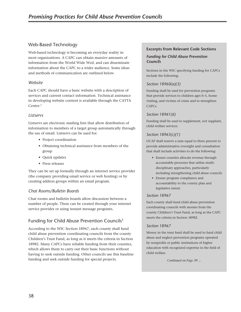# Web-Based Technology

Web-based technology is becoming an everyday reality in most organizations. A CAPC can obtain massive amounts of information from the World Wide Wed, and can disseminate information about the CAPC to a wider audience. Some ideas and methods of communication are outlined below.

# *Website*

Each CAPC should have a basic website with a description of services and current contact information. Technical assistance in developing website content is available through the CATTA Center.2

# *Listservs*

Listservs are electronic mailing lists that allow distribution of information to members of a target group automatically through the use of email. Listservs can be used for:

- Project coordination
- Obtaining technical assistance from members of the group
- Quick updates
- Press releases

They can be set up formally through an internet service provider (the company providing email service or web hosting) or by creating address groups within an email program.

# *Chat Rooms/Bulletin Boards*

Chat rooms and bulletin boards allow discussion between a number of people. These can be created through your internet service provider or using instant message programs.

# Funding for Child Abuse Prevention Councils<sup>3</sup>

According to the WIC Section 18967, each county shall fund child abuse prevention coordinating councils from the county Children's Trust Fund, as long as it meets the criteria in Section 18982. Many CAPCs have reliable funding from their counties, which allows them to carry out their basic functions without having to seek outside funding. Other councils use this baseline funding and seek outside funding for special projects.

### **Excerpts from Relevant Code Sections**

### *Funding for Child Abuse Prevention Councils*

Sections in the WIC specifying funding for CAPCs include the following:

# *Section 18960(a)(3)*

Funding shall be used for prevention programs that provide services to children ages 0–5, home visiting, and victims of crime and to strengthen CAPCs.

# *Section 18961(6)*

Funding shall be used to supplement, not supplant, child welfare services.

# *Section 18963(c)(1)*

OCAP shall reserve a sum equal to three percent to provide administrative oversight and consultation that shall include activities to do the following:

- Ensure counties allocate revenue through accountable processes that utilize multidisciplinary approaches, particularly including strengthening child abuse councils
- Ensure program compliance and accountability to the county plan and legislative intent

### *Section 18967*

Each county shall fund child abuse prevention coordinating councils with monies from the county Children's Trust Fund, as long as the CAPC meets the criteria in Section 18982.

### *Section 18967*

Money in the trust fund shall be used to fund child abuse and neglect prevention programs operated by nonprofits or public institutions of higher education with recognized expertise in the field of child welfare.

*Continued on Page 39 ...*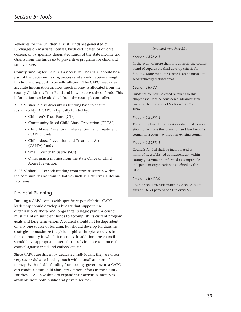Revenues for the Children's Trust Funds are generated by surcharges on marriage licenses, birth certificates, or divorce decrees, or by specially designated funds of the state income tax. Grants from the funds go to preventive programs for child and family abuse.

County funding for CAPCs is a necessity. The CAPC should be a part of the decision-making process and should receive enough funding and support to be self-sufficient. The CAPC needs clear, accurate information on how much money is allocated from the county Children's Trust Fund and how to access these funds. This information can be obtained from the county's controller.

A CAPC should also diversify its funding base to ensure sustainability. A CAPC is typically funded by:

- Children's Trust Fund (CTF)
- Community-Based Child Abuse Prevention (CBCAP)
- Child Abuse Prevention, Intervention, and Treatment (CAPIT) funds
- Child Abuse Prevention and Treatment Act (CAPTA) funds
- Small County Initiative (SCI)
- Other grants monies from the state Office of Child Abuse Prevention

A CAPC should also seek funding from private sources within the community and from initiatives such as First Five California Programs.

# Financial Planning

Funding a CAPC comes with specific responsibilities. CAPC leadership should develop a budget that supports the organization's short- and long-range strategic plans. A council must maintain sufficient funds to accomplish its current program goals and long-term vision. A council should not be dependent on any one source of funding, but should develop fundraising strategies to maximize the yield of philanthropic resources from the community in which it operates. In addition, the council should have appropriate internal controls in place to protect the council against fraud and embezzlement.

Since CAPCs are driven by dedicated individuals, they are often very successful at achieving much with a small amount of money. With reliable funding from county government, a CAPC can conduct basic child abuse prevention efforts in the county. For those CAPCs wishing to expand their activities, money is available from both public and private sources.

#### *Continued from Page 38 ...*

#### *Section 18982.3*

In the event of more than one council, the county board of supervisors shall develop criteria for funding. More than one council can be funded in geographically distinct areas.

#### *Section 18983*

Funds for councils selected pursuant to this chapter shall not be considered administrative costs for the purposes of Sections 18967 and 18969.

#### *Section 18983.4*

The county board of supervisors shall make every effort to facilitate the formation and funding of a council in a county without an existing council.

#### *Section 18983.5*

Councils funded shall be incorporated as nonprofits, established as independent within county government, or formed as comparable independent organizations as defined by the OCAP.

#### *Section 18983.6*

Councils shall provide matching cash or in-kind gifts of 33-1/3 percent or \$1 to every \$3.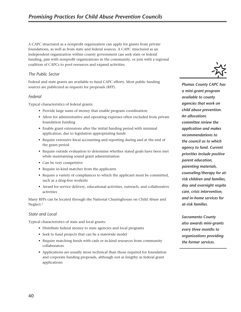A CAPC structured as a nonprofit organization can apply for grants from private foundations, as well as from state and federal sources. A CAPC structured as an independent organization within county government can seek state or federal funding, pair with nonprofit organizations in the community, or join with a regional coalition of CAPCs to pool resources and expand activities.

# *The Public Sector*

Federal and state grants are available to fund CAPC efforts. Most public funding sources are publicized as requests for proposals (RFP).

### *Federal*

Typical characteristics of federal grants:

- Provide large sums of money that enable program coordination
- Allow for administrative and operating expenses often excluded from private foundation funding
- Enable grant extensions after the initial funding period with minimal application, due to legislation appropriating funds
- Require extensive fiscal accounting and reporting during and at the end of the grant period
- Require outside evaluation to determine whether stated goals have been met while maintaining sound grant administration
- Can be very competitive
- Require in-kind matches from the applicants
- Require a variety of compliances to which the applicant must be committed, such as a drug-free worksite
- Award for service delivery, educational activities, outreach, and collaborative activities

Many RFPs can be located through the National Clearinghouse on Child Abuse and Neglect.4

### *State and Local*

Typical characteristics of state and local grants:

- Distribute federal money to state agencies and local programs
- Seek to fund projects that can be a statewide model
- Require matching funds with cash or in-kind resources from community collaborators
- Applications are usually more technical than those required for foundation and corporate funding proposals, although not as lengthy as federal grant applications



*Plumas County CAPC has a mini-grant program available to county agencies that work on child abuse prevention. An allocations committee review the application and makes recommendations to the council as to which agency to fund. Current priorities include positive parent education, parenting materials, counseling/therapy for atrisk children and families, day and overnight respite care, crisis intervention, and in-home services for at-risk families.*

*Sacramento County also awards mini-grants every three months to organizations providing the former services.*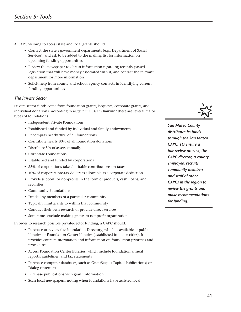A CAPC wishing to access state and local grants should:

- Contact the state's government departments (e.g., Department of Social Services), and ask to be added to the mailing list for information on upcoming funding opportunities
- Review the newspaper to obtain information regarding recently passed legislation that will have money associated with it, and contact the relevant department for more information
- Solicit help from county and school agency contacts in identifying current funding opportunities

# *The Private Sector*

Private sector funds come from foundation grants, bequests, corporate grants, and individual donations. According to *Insight and Clear Thinking*, 5 there are several major types of foundations:

- Independent Private Foundations
- Established and funded by individual and family endowments
- Encompass nearly 90% of all foundations
- Contribute nearly 80% of all foundation donations
- Distribute 5% of assets annually
- Corporate Foundations
- Established and funded by corporations
- 35% of corporations take charitable contributions on taxes
- 10% of corporate pre-tax dollars is allowable as a corporate deduction
- Provide support for nonprofits in the form of products, cash, loans, and securities
- Community Foundations
- Funded by members of a particular community
- Typically limit grants to within that community
- Conduct their own research or provide direct services
- Sometimes exclude making grants to nonprofit organizations

In order to research possible private-sector funding, a CAPC should:

- Purchase or review the Foundation Directory, which is available at public libraries or Foundation Center libraries (established in major cities). It provides contact information and information on foundation priorities and procedures
- Access Foundation Center libraries, which include foundation annual reports, guidelines, and tax statements
- Purchase computer databases, such as GrantScape (Capitol Publications) or Dialog (internet)
- Purchase publications with grant information
- Scan local newspapers, noting when foundations have assisted local



*San Mateo County distributes its funds through the San Mateo CAPC. TO ensure a fair review process, the CAPC director, a county employee, recruits community members and staff of other CAPCs in the region to review the grants and make recommendations for funding.*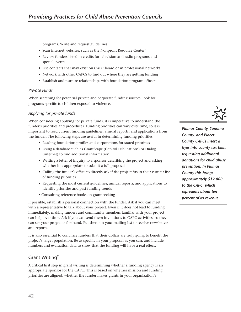programs. Write and request guidelines

- Scan internet websites, such as the Nonprofit Resource Center<sup>5</sup>
- Review funders listed in credits for television and radio programs and special events
- Use contacts that may exist on CAPC board or in professional networks
- Network with other CAPCs to find out where they are getting funding
- Establish and nurture relationships with foundation program officers

#### *Private Funds*

When searching for potential private and corporate funding sources, look for programs specific to children exposed to violence.

#### *Applying for private funds*

When considering applying for private funds, it is imperative to understand the funder's priorities and procedures. Funding priorities can vary over time, so it is important to read current funding guidelines, annual reports, and applications from the funder. The following steps are useful in determining funding priorities:

- Reading foundation profiles and corporations for stated priorities
- Using a database such as GrantScape (Capitol Publications) or Dialog (internet) to find additional information
- Writing a letter of inquiry to a sponsor describing the project and asking whether it is appropriate to submit a full proposal
- Calling the funder's office to directly ask if the project fits in their current list of funding priorities
- Requesting the most current guidelines, annual reports, and applications to identify priorities and past funding trends
- Consulting reference books on grant-seeking

If possible, establish a personal connection with the funder. Ask if you can meet with a representative to talk about your project. Even if it does not lead to funding immediately, making funders and community members familiar with your project can help over time. Ask if you can send them invitations to CAPC activities, so they can see your programs firsthand. Put them on your mailing list to receive newsletters and reports.

It is also essential to convince funders that their dollars are truly going to benefit the project's target population. Be as specific in your proposal as you can, and include numbers and evaluation data to show that the funding will have a real effect.

# Grant Writing7

A critical first step in grant writing is determining whether a funding agency is an appropriate sponsor for the CAPC. This is based on whether mission and funding priorities are aligned; whether the funder makes grants in your organization's



*Plumas County, Sonoma County, and Placer County CAPCs insert a flyer into county tax bills, requesting additional donations for child abuse prevention. In Plumas County this brings approximately \$12,000 to the CAPC, which represents about ten percent of its revenue.*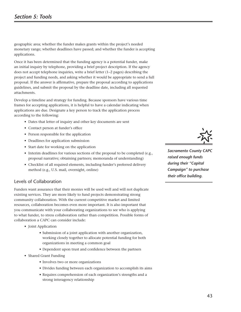geographic area; whether the funder makes grants within the project's needed monetary range; whether deadlines have passed; and whether the funder is accepting applications.

Once it has been determined that the funding agency is a potential funder, make an initial inquiry by telephone, providing a brief project description. If the agency does not accept telephone inquiries, write a brief letter (1–2 pages) describing the project and funding needs, and asking whether it would be appropriate to send a full proposal. If the answer is affirmative, prepare the proposal according to applications guidelines, and submit the proposal by the deadline date, including all requested attachments.

Develop a timeline and strategy for funding. Because sponsors have various time frames for accepting applications, it is helpful to have a calendar indicating when applications are due. Designate a key person to track the application process according to the following:

- Dates that letter of inquiry and other key documents are sent
- Contact person at funder's office
- Person responsible for the application
- Deadlines for application submission
- Start date for working on the application
- Interim deadlines for various sections of the proposal to be completed (e.g., proposal narrative; obtaining partners; memoranda of understanding)
- Checklist of all required elements, including funder's preferred delivery method (e.g., U.S. mail, overnight, online)

# Levels of Collaboration

Funders want assurance that their monies will be used well and will not duplicate existing services. They are more likely to fund projects demonstrating strong community collaboration. With the current competitive market and limited resources, collaboration becomes even more important. It is also important that you communicate with your collaborating organizations to see who is applying to what funder, to stress collaboration rather than competition. Possible forms of collaboration a CAPC can consider include:

- Joint Application
	- Submission of a joint application with another organization, working closely together to allocate potential funding for both organizations in meeting a common goal
	- Dependent upon trust and confidence between the partners
- Shared Grant Funding
	- Involves two or more organizations
	- Divides funding between each organization to accomplish its aims
	- Requires comprehension of each organization's strengths and a strong interagency relationship



*Sacramento County CAPC raised enough funds during their "Capital Campaign" to purchase their office building.*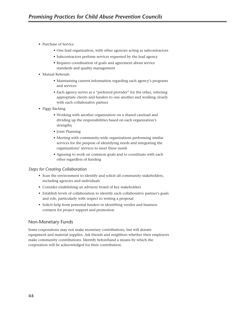- Purchase of Service
	- One lead organization, with other agencies acting as subcontractors
	- Subcontractors perform services requested by the lead agency
	- Requires coordination of goals and agreement about service standards and quality management
- Mutual Referrals
	- Maintaining current information regarding each agency's programs and services
	- Each agency serves as a "preferred provider" for the other, referring appropriate clients and funders to one another and working closely with each collaborative partner
- Piggy Backing
	- Working with another organization on a shared caseload and dividing up the responsibilities based on each organization's strengths
	- Joint Planning
	- Meeting with community-wide organizations performing similar services for the purpose of identifying needs and integrating the organizations' services to meet these needs
	- Agreeing to work on common goals and to coordinate with each other regardless of funding

### *Steps for Creating Collaboration*

- Scan the environment to identify and solicit all community stakeholders, including agencies and individuals
- Consider establishing an advisory board of key stakeholders
- Establish levels of collaboration to identify each collaborative partner's goals and role, particularly with respect to writing a proposal
- Solicit help from potential funders in identifting vendor and business contacts for project support and promotion

# Non-Monetary Funds

Some corporations may not make monetary contributions, but will donate equipment and material supplies. Ask friends and neighbors whether their employers make community contributions. Identify beforehand a means by which the corporation will be acknowledged for their contribution.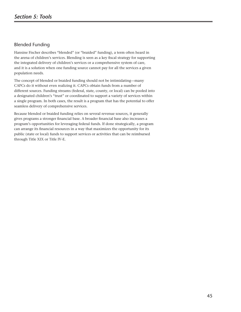# Blended Funding

Hansine Fischer describes "blended" (or "braided" funding), a term often heard in the arena of children's services. Blending is seen as a key fiscal strategy for supporting the integrated delivery of children's services or a comprehensive system of care, and it is a solution when one funding source cannot pay for all the services a given population needs.

The concept of blended or braided funding should not be intimidating—many CAPCs do it without even realizing it. CAPCs obtain funds from a number of different sources. Funding streams (federal, state, county, or local) can be pooled into a designated children's "trust" or coordinated to support a variety of services within a single program. In both cases, the result is a program that has the potential to offer seamless delivery of comprehensive services.

Because blended or braided funding relies on several revenue sources, it generally gives programs a stronger financial base. A broader financial base also increases a program's opportunities for leveraging federal funds. If done strategically, a program can arrange its financial resources in a way that maximizes the opportunity for its public (state or local) funds to support services or activities that can be reimbursed through Title XIX or Title IV-E.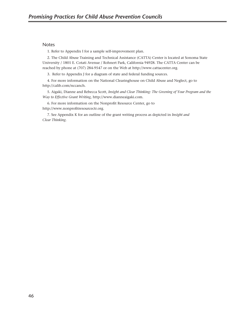#### Notes

1. Refer to Appendix I for a sample self-improvement plan.

2. The Child Abuse Training and Technical Assistance (CATTA) Center is located at Sonoma State University / 1801 E. Cotati Avenue / Rohnert Park, California 94928. The CATTA Center can be reached by phone at (707) 284-9547 or on the Web at http://www.cattacenter.org.

3. Refer to Appendix J for a diagram of state and federal funding sources.

4. For more information on the National Clearinghouse on Child Abuse and Neglect, go to http://calib.com/nccanch.

5. Aigaki, Dianne and Rebecca Scott, *Insight and Clear Thinking: The Greening of Your Program and the Way to Effective Grant Writing*, http://www.dianneaigaki.com.

6. For more information on the Nonprofit Resource Center, go to http://www.nonprofitresourcectr.org.

7. See Appendix K for an outline of the grant writing process as depicted in *Insight and Clear Thinking*.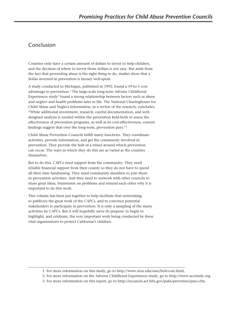# Conclusion

Counties only have a certain amount of dollars to invest to help children, and the decision of where to invest those dollars is not easy. But aside from the fact that preventing abuse is the right thing to do, studies show that a dollar invested in prevention is money well-spent.

A study conducted in Michigan, published in 1992, found a 19-to-1 cost advantage to prevention.<sup>1</sup> The large-scale long-term Adverse Childhood Experiences study<sup>2</sup> found a strong relationship between factors such as abuse and neglect and health problems later in life. The National Clearinghouse for Child Abuse and Neglect Information, in a review of the research, concludes, "While additional investment, research, careful documentation, and welldesigned analysis is needed within the prevention field-both to assess the effectiveness of prevention programs, as well as its cost-effectiveness, current findings suggest that over the long-term, prevention pays."3

Child Abuse Prevention Councils fulfill many functions. They coordinate activities, provide information, and get the community involved in prevention. They provide the hub of a wheel around which prevention can occur. The ways in which they do this are as varied as the counties themselves.

But to do this, CAPCs need support from the community. They need reliable financial support from their county so they do not have to spend all their time fundraising. They need community members to join them in prevention activities. And they need to network with other councils to share great ideas, brainstorm on problems and remind each other why it is important to do this work.

This volume has been put together to help facilitate that networking, to publicize the great work of the CAPCs, and to convince potential stakeholders to participate in prevention. It is only a sampling of the many activities by CAPCs. But it will hopefully serve its purpose: to begin to highlight, and celebrate, the very important work being conducted by these vital organizations to protect California's children.

3. For more information on this report, go to http://nccanch.acf.hhs.gov/pubs/prevenres/pays.cfm.

 <sup>1.</sup> For more information on this study, go to http://www.msu.edu/user/bob/cost.html.

 <sup>2.</sup> For more information on the Adverse Childhood Experiences study, go to http://www.acestudy.org.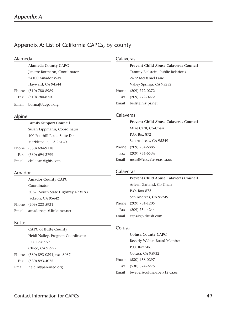# Appendix A: List of California CAPCs, by county

| Alameda       |                              |           | Calaveras                                    |  |
|---------------|------------------------------|-----------|----------------------------------------------|--|
|               | <b>Alameda County CAPC</b>   |           | <b>Prevent Child Abuse Calaveras Council</b> |  |
|               | Janette Bormann, Coordinator |           | Tammy Beilstein, Public Relations            |  |
|               | 24100 Amador Way             |           | 2472 McDaniel Lane                           |  |
|               | Hayward, CA 94544            |           | Valley Springs, CA 95252                     |  |
| Phone         | $(510)$ 780-8989             | Phone     | $(209)$ 772-0272                             |  |
| Fax           | $(510)$ 780-8750             | Fax       | $(209)$ 772-0272                             |  |
| Email         | bormaj@acgov.org             | Email     | beilstein@jps.net                            |  |
| <b>Alning</b> |                              | Calaveras |                                              |  |

# Alpine

|       | <b>Family Support Council</b> |  |
|-------|-------------------------------|--|
|       | Susan Lippmann, Coordinator   |  |
|       | 100 Foothill Road, Suite D-4  |  |
|       | Markleeville, CA 96120        |  |
|       | Phone (530) 694-9118          |  |
|       | Fax (530) 694-2799            |  |
| Email | childcare@gbis.com            |  |

# Amador

|       | <b>Amador County CAPC</b>         |       | <b>Prevent Child Abuse Calaveras Council</b> |
|-------|-----------------------------------|-------|----------------------------------------------|
|       | Coordinator                       |       | Arleen Garland, Co-Chair                     |
|       | 505–1 South State Highway 49 #183 |       | P.O. Box 872                                 |
|       | Jackson, CA 95642                 |       | San Andreas, CA 95249                        |
| Phone | $(209)$ 223-5921                  | Phone | $(209)$ 754-1205                             |
| Email | amadorcapc@linkunet.net           | Fax   | $(209)$ 754-4244                             |
|       |                                   | Email | caps@goldrush.com                            |

# Butte

| <b>CAPC of Butte County</b>       |
|-----------------------------------|
| Heidi Nalley, Program Coordinator |
| P.O. Box 569                      |
| Chico, CA 95927                   |
| Phone (530) 893-0391, ext. 3037   |
| Fax (530) 893-4075                |
| Email heidin@parented.org         |

# Colusa

**Calaveras** 

 **Colusa County CAPC** Beverly Weber, Board Member P.O. Box 506 Colusa, CA 95932 Phone (530) 458-0297 Fax (530) 674-9275 Email bweber@colusa-coe.k12.ca.us

 **Prevent Child Abuse Calaveras Council**

Mike Carll, Co-Chair

San Andreas, CA 95249

P.O. Box 872

Email mcarll@co.calaveras.ca.us

 Phone (209) 754-6885 Fax (209) 754-6534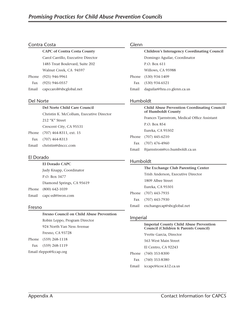# Contra Costa

 **CAPC of Contra Costa County** Carol Carrillo, Executive Director 1485 Treat Boulevard, Suite 202 Walnut Creek, CA 94597 Phone (925) 946-9961

Fax (925) 946-0557

Email capccarol@sbcglobal.net

### Del Norte

# **Del Norte Child Care Council** Christin K. McCollum, Executive Director 212 "K" Street Crescent City, CA 95531

 Phone (707) 464-8311, ext. 15 Fax (707) 464-8313 Email christin@dnccc.com

# El Dorado

 **El Dorado CAPC**

 Judy Knapp, Coordinator P.O. Box 3477 Diamond Springs, CA 95619 Phone (800) 642-1039 Email capc-ed@iwon.com

# Fresno

 **Fresno Council on Child Abuse Prevention** Robin Leppo, Program Director 924 North Van Ness Avenue Fresno, CA 93728 Phone (559) 268-1118 Fax (559) 268-1119

Email rleppo@fccap.org

# Glenn

|       | <b>Children's Interagency Coordinating Council</b> |  |  |
|-------|----------------------------------------------------|--|--|
|       | Domingo Aguilar, Coordinator                       |  |  |
|       | P.O. Box 611                                       |  |  |
|       | Willows, CA 95988                                  |  |  |
|       | Phone (530) 934-1409                               |  |  |
| Fax   | $(530)$ 934-6521                                   |  |  |
| Email | daguilar@hra.co.glenn.ca.us                        |  |  |
|       |                                                    |  |  |

# Humboldt

|       | <b>Child Abuse Prevention Coordinating Council</b><br>of Humboldt County |
|-------|--------------------------------------------------------------------------|
|       | Frances Tjarnstrom, Medical Office Assistant                             |
|       | P.O. Box 854                                                             |
|       | Eureka, CA 95502                                                         |
|       | Phone (707) 445-6210                                                     |
|       | Fax $(707)$ 476-4960                                                     |
| Email | ftjarnstrom@co.humboldt.ca.us                                            |

# Humboldt

|       | The Exchange Club Parenting Center |  |
|-------|------------------------------------|--|
|       | Trish Anderson, Executive Director |  |
|       | 1809 Albee Street                  |  |
|       | Eureka, CA 95501                   |  |
|       | Phone (707) 443-7935               |  |
|       | Fax (707) 443-7930                 |  |
| Email | exchangecap@sbcglobal.net          |  |

# Imperial

#### **Imperial County Child Abuse Prevention Council (Children & Parents Council)**

 Yvette Garcia, Director 563 West Main Street El Centro, CA 92243 Phone (760) 353-8300 Fax (760) 353-8380 Email iccapc@icoe.k12.ca.us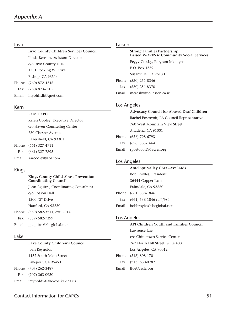# Inyo

 **Inyo County Children Services Council** Linda Benson, Assistant Director c/o Inyo County HHS 1351 Rocking W Drive Bishop, CA 93514 Phone (760) 872-4245 Fax (760) 873-6505 Email inyohhslb@qnet.com

#### Kern

# **Kern CAPC**

 Karen Cooley, Executive Director c/o Haven Counseling Center 730 Chester Avenue Bakersfield, CA 93301 Phone (661) 327-4711 Fax (661) 327-7895 Email karcooley@aol.com

### Kings

# **Kings County Child Abuse Prevention Coordinating Council**

 John Aguirre, Coordinating Consultant c/o Rosson Hall 1200 "S" Drive Hanford, CA 93230 Phone (559) 582-3211, ext. 2914 Fax (559) 582-7399

# Email jpaquirre@sbcglobal.net

#### Lake

 **Lake County Children's Council** Joan Reynolds 1152 South Main Street Lakeport, CA 95453 Phone (707) 262-3487 Fax (707) 263-0920

Email jreynolds@lake-coe.k12.ca.us

#### Lassen

 **Strong Families Partnership Lassen WORKS & Community Social Services** Peggy Crosby, Program Manager P.O. Box 1359 Susanville, CA 96130 Phone (530) 251-8346 Fax (530) 251-8370 Email mcrosby@co.lassen.ca.us

### Los Angeles

|       | <b>Advocacy Council for Abused Deaf Children</b> |
|-------|--------------------------------------------------|
|       | Rachel Postovoit, LA Council Representative      |
|       | 760 West Mountain View Street                    |
|       | Altadena, CA 91001                               |
|       | Phone (626) 798-6793                             |
|       | Fax $(626)$ 585-1664                             |
| Email | rpostovoit@5acres.org                            |
|       |                                                  |

### Los Angeles

|       | Antelope Valley CAPC-Yes2Kids |  |
|-------|-------------------------------|--|
|       | Bob Broyles, President        |  |
|       | 36444 Copper Lane             |  |
|       | Palmdale, CA 93550            |  |
|       | Phone (661) 538-1846          |  |
| Fax   | (661) 538-1846 call first     |  |
| Email | bobbroyles@sbcglobal.net      |  |
|       |                               |  |

### Los Angeles

 **API Children Youth and Families Council** Lawrence Lue c/o Chinatown Service Center 767 North Hill Street, Suite 400 Los Angeles, CA 90012 Phone (213) 808-1701 Fax (213) 680-0787 Email llue@cscla.org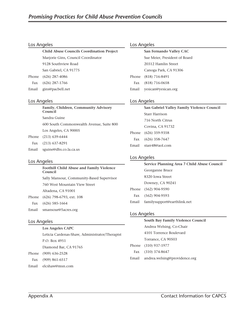# Los Angeles

| <b>Child Abuse Councils Coordination Project</b> |
|--------------------------------------------------|
| Marjorie Gins, Council Coordinator               |
| 9128 Southview Road                              |
| San Gabriel, CA 91775                            |
| Phone (626) 287-4086                             |
| Fax $(626)$ 287-1766                             |
| Email gins@pacbell.net                           |

# Los Angeles

|       | Family, Children, Community Advisory<br>Council |
|-------|-------------------------------------------------|
|       | Sandra Guine                                    |
|       | 600 South Commonwealth Avenue, Suite 800        |
|       | Los Angeles, CA 90005                           |
|       | Phone (213) 639-6444                            |
|       | Fax (213) 637-8291                              |
| Email | sguine@dhs.co.la.ca.us                          |

# Los Angeles

|       | <b>Foothill Child Abuse and Family Violence</b><br>Council |
|-------|------------------------------------------------------------|
|       | Sally Mansour, Community-Based Supervisor                  |
|       | 760 West Mountain View Street                              |
|       | Altadena, CA 91001                                         |
| Phone | (626) 798-6793, ext. 108                                   |
|       | Fax $(626)$ 585-1664                                       |
|       |                                                            |

Email smansour@5acres.org

# Los Angeles

|     | Los Angeles CAPC                               |
|-----|------------------------------------------------|
|     | Leticia Cardenas-Shaw, Administrator/Therapist |
|     | P.O. Box 4951                                  |
|     | Diamond Bar, CA 91765                          |
|     | Phone (909) 636-2528                           |
| Fax | $(909)$ 861-6517                               |
|     |                                                |

Email elcshaw@msn.com

# Los Angeles

| San Fernando Valley CAC       |
|-------------------------------|
| Sue Meier, President of Board |
| 20312 Hamlin Street           |
| Canoga Park, CA 91306         |
| Phone (818) 716-8491          |
| Fax (818) 716-0658            |
| Email yesican@yesican.org     |
|                               |

# Los Angeles

|     | San Gabriel Valley Family Violence Council |
|-----|--------------------------------------------|
|     | Starr Harrison                             |
|     | 716 North Citrus                           |
|     | Covina, CA 91732                           |
|     | Phone (626) 359-9358                       |
| Fax | $(626)$ 358-7647                           |
|     | Email starr48@aol.com                      |
|     |                                            |

# Los Angeles

|       | Service Planning Area 7 Child Abuse Council |
|-------|---------------------------------------------|
|       | Georganne Bruce                             |
|       | 8320 Iowa Street                            |
|       | Downey, CA 90241                            |
|       | Phone (562) 904-9590                        |
|       | Fax (562) 904-9593                          |
| Email | familysupport@earthlink.net                 |

# Los Angeles

|       | South Bay Family Violence Council |
|-------|-----------------------------------|
|       | Andrea Welsing, Co-Chair          |
|       | 4101 Torrence Boulevard           |
|       | Torrance, CA 90503                |
|       | Phone (310) 937-1977              |
|       | Fax (310) 374-8647                |
| Email | andrea.welsing@providence.org     |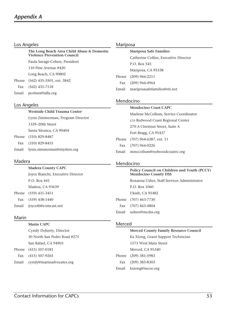#### Los Angeles

| The Long Beach Area Child Abuse & Domestic<br><b>Violence Prevention Council</b> |
|----------------------------------------------------------------------------------|
| Paula Savage-Cohen, President                                                    |
| 110 Pine Avenue #420                                                             |
| Long Beach, CA 90802                                                             |
| Phone (562) 435-3501, ext. 3842                                                  |
| Fax (562) 435-7118                                                               |
| Email pcohen@lafla.org                                                           |

# Los Angeles

# **Westside Child Trauma Center** Lynn Zimmerman, Program Director 1339–20th Street

 Santa Monica, CA 90404 Phone (310) 829-8487 Fax (310) 829-8455 Email lynn.zimmerman@stjohns.org

# Madera

 **Madera County CAPC** Joyce Bianchi, Executive Director P.O. Box 441 Madera, CA 93639 Phone (559) 431-3451 Fax (559) 438-1440 Email joycetb@comcast.net

# Marin

 **Marin CAPC**

 Cyndy Doherty, Director 30 North San Pedro Road #275 San Rafael, CA 94903 Phone (415) 507-0181 Fax (415) 507-9265 Email cyndy@marinadvocates.org

# Mariposa

 **Mariposa Safe Families** Catherine Collier, Executive Director P.O. Box 545 Mariposa, CA 95338 Phone (209) 966-2211 Fax (209) 966-4964 Email mariposasafefamilies@sti.net

# Mendocino

| <b>Mendocino Coast CAPC</b>           |
|---------------------------------------|
| Marlene McCollum, Service Coordinator |
| c/o Redwood Coast Regional Center     |
| 270 A Chestnut Street, Suite A        |
| Fort Bragg, CA 95437                  |
| Phone (707) 964-6387, ext. 11         |
| Fax (707) 964-0226                    |
| Email mmccollum@redwoodcoastrc.org    |
|                                       |

# Mendocino

| Policy Council on Children and Youth (PCCY)<br><b>Mendocino County DSS</b> |
|----------------------------------------------------------------------------|
| Roxanna Usher, Staff Services Administrator                                |
| P.O. Box 1060                                                              |
| Ukiah, CA 95482                                                            |
| Phone (707) 463-7730                                                       |
| Fax (707) 463-4804                                                         |
| Email usherr@mcdss.org                                                     |
|                                                                            |

# Merced

|       | <b>Merced County Family Resource Council</b> |
|-------|----------------------------------------------|
|       | Ka Xiong, Grant Support Technician           |
|       | 1573 West Main Street                        |
|       | Merced, CA 95340                             |
|       | Phone (209) 381-5983                         |
| Fax   | (209) 385-8303                               |
| Email | kxiong@mcoe.org                              |
|       |                                              |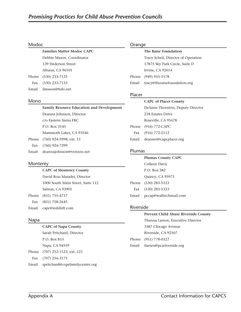#### Modoc

 **Families Matter Modoc CAPC** Debbie Mason, Coordinator 139 Hederson Street Alturas, CA 96101 Phone (530) 233-7125 Fax (530) 233-7133 Email dmason@hdo.net

#### Mono

|       | <b>Family Resource Education and Development</b> |
|-------|--------------------------------------------------|
|       | Deanna Johnson, Director                         |
|       | c/o Eastern Sierra FRC                           |
|       | P.O. Box 3145                                    |
|       | Mammoth Lakes, CA 93546                          |
|       | Phone (760) 924-5998, ext. 11                    |
| Fax   | $(760)$ 924-7299                                 |
| Email | deannajohnson@verizon.net                        |
|       |                                                  |

### Monterey

 **CAPC of Monterey County** David Ross Maradei, Director 1000 South Main Street, Suite 112 Salinas, CA 93901 Phone (831) 755-4737 Fax (831) 758-2645 Email capc@redshift.com

### Napa

 **CAPC of Napa County** Sarah Pritchard, Director P.O. Box 815 Napa, CA 94559 Phone (707) 252-1123, ext. 121 Fax (707) 256-3175 Email spritchard@copefamilycenter.org

### Orange

|       | The Raise Foundation                |
|-------|-------------------------------------|
|       | Tracy Scheil, Director of Operation |
|       | 17875 Sky Park Circle, Suite D      |
|       | Irvine, CA 92614                    |
|       | Phone (949) 955-1578                |
| Email | tracy@theraisefoundation.org        |
|       |                                     |

# Placer

#### **CAPC of Placer County**

| DeAnne Thornton, Deputy Director |
|----------------------------------|
| 218 Estates Drive                |
| Roseville, CA 95678              |
| Phone (916) 772-CAPC             |
| Fax $(916)$ 772-2112             |
| Email deannet@capcplacer.org     |
|                                  |

### Plumas

# **Plumas County CAPC** Colleen Davis P.O. Box 382 Quincy, CA 95971 Phone (530) 283-5333 Fax (530) 283-5333 Email pccap@walltechmail.com

### Riverside

|       | <b>Prevent Child Abuse Riverside County</b> |
|-------|---------------------------------------------|
|       | Theresa Larson, Executive Director          |
|       | 3387 Chicago Avenue                         |
|       | Riverside, CA 92507                         |
|       | Phone (951) 778-0327                        |
| Email | tlarsen@pcariverside.org                    |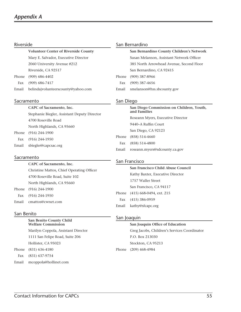### Riverside

 **Volunteer Center of Riverside County** Mary E. Salvador, Executive Director 2060 University Avenue #212 Riverside, CA 92517 Phone (909) 686-4402 Fax (909) 686-7417

Email belindajvolunteerscounty@yahoo.com

#### Sacramento

 **CAPC of Sacramento, Inc.** Stephanie Biegler, Assistant Deputy Director 4700 Roseville Road North Highlands, CA 95660 Phone (916) 244-1900 Fax (916) 244-1950 Email sbiegler@capcsac.org

#### Sacramento

 **CAPC of Sacramento, Inc.** Christine Mattos, Chief Operating Officer 4700 Roseville Road, Suite 102 North Highlands, CA 95660 Phone (916) 244-1900 Fax (916) 244-1950

### San Benito

### **San Benito County Child Welfare Commission**

 Marilyn Coppola, Assistant Director 1111 San Felipe Road, Suite 206 Hollister, CA 95023 Phone (831) 636-4180

Fax (831) 637-9754

Email cmattos@cwnet.com

Email mcoppola@hollinet.com

#### San Bernardino

|     | San Bernardino County Children's Network  |
|-----|-------------------------------------------|
|     | Susan Melanson, Assistant Network Officer |
|     | 385 North Arrowhead Avenue, Second Floor  |
|     | San Bernardino, CA 92415                  |
|     | Phone (909) 387-8966                      |
| Fax | $(909)$ 387-4656                          |
|     | Email smelanson@hss.sbcounty.gov          |
|     |                                           |

### San Diego

|       | San Diego Commission on Children, Youth,<br>and Families |
|-------|----------------------------------------------------------|
|       | Roseann Myers, Executive Director                        |
|       | 9440–A Ruffin Court                                      |
|       | San Diego, CA 92123                                      |
|       | Phone (858) 514-4660                                     |
| Fax   | $(858) 514 - 4800$                                       |
| Email | roseann.myers@sdcounty.ca.gov                            |

### San Francisco

 **San Francisco Child Abuse Council** Kathy Baxter, Executive Director 1757 Waller Street San Francisco, CA 94117 Phone (415) 668-0494, ext. 215 Fax (415) 386-0959 Email kathy@sfcapc.org

### San Joaquin

#### **San Joaquin Office of Education**

 Greg Jacobs, Children's Services Coordinator P.O. Box 213030 Stockton, CA 95213 Phone (209) 468-4984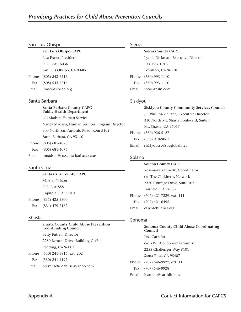# San Luis Obispo

 **San Luis Obispo CAPC** Lisa Fraser, President P.O. Box 16036 San Luis Obispo, CA 93406 Phone (805) 543-6216 Fax (805) 543-6216

# Santa Barbara

Email lfraser@slocap.org

 **Santa Barbara County CAPC Public Health Department** c/o Madsen Human Service Nancy Madsen, Human Services Program Director 300 North San Antonio Road, Rom B102 Santa Barbara, CA 93110 Phone (805) 681-4078 Fax (805) 681-4076 Email nmadsen@co.santa-barbara.ca.us

### Santa Cruz

 **Santa Cruz County CAPC** Marsha Nelson P.O. Box 855 Capitola, CA 95010 Phone (831) 425-3300 Fax (831) 479-7182

### Shasta

# **Shasta County Child Abuse Prevention Coordinating Council** Betty Futrell, Director 2280 Benton Drive, Building C #B Redding, CA 96003 Phone (530) 241-5816, ext. 202 Fax (530) 241-4192 Email preventchildabuse@yahoo.com

# Sierra

 **Sierra County CAPC** Lynda Dickman, Executive Director P.O. Box 1016 Loyalton, CA 96118 Phone (530) 993-1110 Fax (530) 993-1110 Email sccac@psln.com

# Siskiyou

|       | <b>Siskiyou County Community Services Council</b> |
|-------|---------------------------------------------------|
|       | Jill Phillips-McLane, Executive Director          |
|       | 310 North Mt. Shasta Boulevard, Suite 7           |
|       | Mt. Shasta, CA 96067                              |
|       | Phone (530) 926-5127                              |
| Fax   | $(530)$ 918-9067                                  |
| Email | siskiyoucsc@sbcglobal.net                         |
|       |                                                   |

# Solano

#### **Solano County CAPC**

 Rosemary Kennedy, Coordinator c/o The Children's Network 2320 Courage Drive, Suite 107 Fairfield, CA 94533 Phone (707) 421-7229, ext. 111 Fax (707) 421-6495 Email capc@childnet.org

# Sonoma

 **Sonoma County Child Abuse Coordinating Council** Lisa Carreño c/o YWCA of Sonoma County 2255 Challenger Way #101 Santa Rosa, CA 95407 Phone (707) 546-9922, ext. 11 Fax (707) 546-9928 Email lcarreno@earthlink.net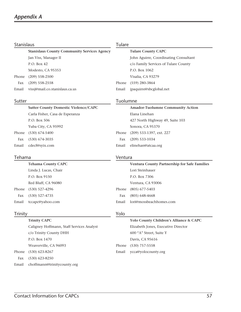### Stanislaus

 **Stanislaus County Community Services Agency** Jan Viss, Manager II P.O. Box 42 Modesto, CA 95353 Phone (209) 558-2500 Fax (209) 558-2558 Email vissj@mail.co.stanislaus.ca.us

#### Sutter

# **Sutter County Domestic Violence/CAPC** Carla Fisher, Casa de Esperanza P.O. Box 506 Yuba City, CA 95992 Phone (530) 674-5400 Fax (530) 674-3035 Email cdecf@syix.com

#### Tehama

 **Tehama County CAPC** Linda J. Lucas, Chair P.O. Box 9150 Red Bluff, CA 96080 Phone (530) 527-4296 Fax (530) 527-4735 Email tccapc@yahoo.com

# Tulare

 **Tulare County CAPC** John Aguirre, Coordinating Consultant c/o Family Services of Tulare County P.O. Box 1062 Visalia, CA 93279 Phone (559) 280-3864 Email jpaquirre@sbcglobal.net

# Tuolumne

| <b>Amador-Tuolumne Community Action</b> |
|-----------------------------------------|
| Elana Linehan                           |
| 427 North Highway 49, Suite 103         |
| Sonora, CA 95370                        |
| Phone (209) 533-1397, ext. 227          |
| Fax (209) 533-1034                      |
| Email elinehan@atcaa.org                |
|                                         |

### Ventura

|       | Ventura County Partnership for Safe Families |
|-------|----------------------------------------------|
|       | Lori Steinhauer                              |
|       | P.O. Box 7306                                |
|       | Ventura, CA 93006                            |
|       | Phone (805) 677-5403                         |
| Fax   | $(805)$ 648-4668                             |
| Email | lori@mossbeachhomes.com                      |

# Trinity

 **Trinity CAPC** Caligney Hoffmann, Staff Services Analyst c/o Trinity County DHH P.O. Box 1470 Weaverville, CA 96093 Phone (530) 623-8267 Fax (530) 623-8250 Email choffmann@trinitycounty.org

# Yolo

|       | Yolo County Children's Alliance & CAPC |
|-------|----------------------------------------|
|       | Elizabeth Jones, Executive Director    |
|       | 600 "A" Street, Suite Y                |
|       | Davis, CA 95616                        |
|       | Phone (530) 757-5558                   |
| Email | ycca@yolocounty.org                    |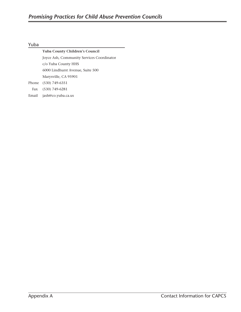# Yuba

|       | <b>Yuba County Children's Council</b>     |
|-------|-------------------------------------------|
|       | Joyce Ash, Community Services Coordinator |
|       | c/o Yuba County HHS                       |
|       | 6000 Lindhurst Avenue, Suite 500          |
|       | Marysville, CA 95901                      |
|       | Phone (530) 749-6351                      |
|       | Fax (530) 749-6281                        |
| Email | jash@co.yuba.ca.us                        |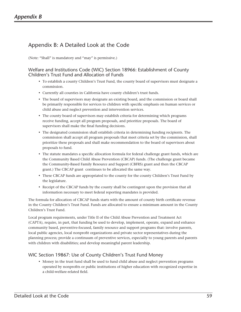# Appendix B: A Detailed Look at the Code

(Note: "Shall" is mandatory and "may" is permissive.)

# Welfare and Institutions Code (WIC) Section 18966: Establishment of County Children's Trust Fund and Allocation of Funds

- To establish a county Children's Trust Fund, the county board of supervisors must designate a commission.
- Currently all counties in California have county children's trust funds.
- The board of supervisors may designate an existing board, and the commission or board shall be primarily responsible for services to children with specific emphasis on human services or child abuse and neglect prevention and intervention services.
- The county board of supervisors may establish criteria for determining which programs receive funding, accept all program proposals, and prioritize proposals. The board of supervisors shall make the final funding decisions.
- The designated commission shall establish criteria in determining funding recipients. The commission shall accept all program proposals that meet criteria set by the commission, shall prioritize these proposals and shall make recommendation to the board of supervisors about proposals to fund.
- The statute mandates a specific allocation formula for federal challenge grant funds, which are the Community Based Child Abuse Prevention (CBCAP) funds. (The challenge grant became the Community-Based Family Resource and Support (CBFRS) grant and then the CBCAP grant.) The CBCAP grant continues to be allocated the same way.
- These CBCAP funds are appropriated to the county for the county Children's Trust Fund by the legislature.
- Receipt of the CBCAP funds by the county shall be contingent upon the provision that all information necessary to meet federal reporting mandates is provided.

The formula for allocation of CBCAP funds starts with the amount of county birth certificate revenue in the County Children's Trust Fund. Funds are allocated to ensure a minimum amount in the County Children's Trust Fund.

Local program requirements, under Title II of the Child Abuse Prevention and Treatment Act (CAPTA), require, in part, that funding be used to develop, implement, operate, expand and enhance community based, preventive-focused, family resource and support programs that: involve parents, local public agencies, local nonprofit organizations and private sector representatives during the planning process; provide a continuum of preventive services, especially to young parents and parents with children with disabilities; and develop meaningful parent leadership.

# WIC Section 19867: Use of County Children's Trust Fund Money

• Money in the trust fund shall be used to fund child abuse and neglect prevention programs operated by nonprofits or public institutions of higher education with recognized expertise in a child-welfare-related field.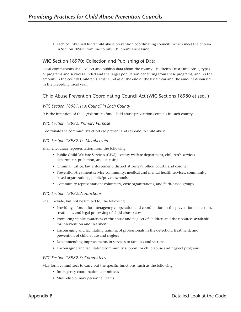• Each county shall fund child abuse prevention coordinating councils, which meet the criteria in Section 18982 from the county Children's Trust Fund.

# WIC Section 18970: Collection and Publishing of Data

Local commissions shall collect and publish data about the county Children's Trust Fund on: 1) types of programs and services funded and the target population benefiting from these programs; and, 2) the amount in the county Children's Trust Fund as of the end of the fiscal year and the amount disbursed in the preceding fiscal year.

# Child Abuse Prevention Coordinating Council Act (WIC Sections 18980 et seq. )

# *WIC Section 18981.1: A Council in Each County*

It is the intention of the legislature to fund child abuse prevention councils in each county.

### *WIC Section 18982: Primary Purpose*

Coordinate the community's efforts to prevent and respond to child abuse.

# *WIC Section 18982.1: Membership*

Shall encourage representation from the following:

- Public Child Welfare Services (CWS): county welfare department, children's services department, probation, and licensing
- Criminal justice: law enforcement, district attorney's office, courts, and coroner
- Prevention/treatment service community: medical and mental health services, communitybased organizations, public/private schools
- Community representation: volunteers, civic organizations, and faith-based groups

### *WIC Section 18982.2: Functions*

Shall include, but not be limited to, the following:

- Providing a forum for interagency cooperation and coordination in the prevention, detection, treatment, and legal processing of child abuse cases
- Promoting public awareness of the abuse and neglect of children and the resources available for intervention and treatment
- Encouraging and facilitating training of professionals in the detection, treatment, and prevention of child abuse and neglect
- Recommending improvements in services to families and victims
- Encouraging and facilitating community support for child abuse and neglect programs

### *WIC Section 18982.3: Committees*

May form committees to carry out the specific functions, such as the following:

- Interagency coordination committees
- Multi-disciplinary personnel teams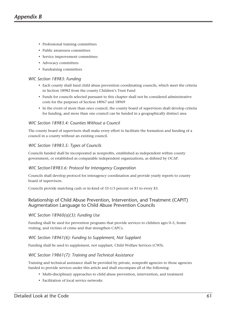- Professional training committees
- Public awareness committees
- Service improvement committees
- Advocacy committees
- Fundraising committees

#### *WIC Section 18983: Funding*

- Each county shall fund child abuse prevention coordinating councils, which meet the criteria in Section 18982 from the county Children's Trust Fund
- Funds for councils selected pursuant to this chapter shall not be considered administrative costs for the purposes of Section 18967 and 18969
- In the event of more than once council, the county board of supervisors shall develop criteria for funding, and more than one council can be funded in a geographically distinct area

#### *WIC Section 18983.4: Counties Without a Council*

The county board of supervisors shall make every effort to facilitate the formation and funding of a council in a county without an existing council.

#### *WIC Section 18983.5: Types of Councils*

Councils funded shall be incorporated as nonprofits, established as independent within county government, or established as comparable independent organizations, as defined by OCAP.

#### *WIC Section18983.6: Protocol for Interagency Cooperation*

Councils shall develop protocol for interagency coordination and provide yearly reports to county board of supervisors.

Councils provide matching cash or in-kind of 33-1/3 percent or \$1 to every \$3.

# Relationship of Child Abuse Prevention, Intervention, and Treatment (CAPIT) Augmentation Language to Child Abuse Prevention Councils

### *WIC Section 18960(a)(3): Funding Use*

Funding shall be used for prevention programs that provide services to children ages 0–5, home visiting, and victims of crime and that strengthen CAPCs.

#### *WIC Section 18961(6): Funding to Supplement, Not Supplant*

Funding shall be used to supplement, not supplant, Child Welfare Services (CWS).

### *WIC Section 19861(7): Training and Technical Assistance*

Training and technical assistance shall be provided by private, nonprofit agencies to those agencies funded to provide services under this article and shall encompass all of the following:

- Multi-disciplinary approaches to child abuse prevention, intervention, and treatment
- Facilitation of local service networks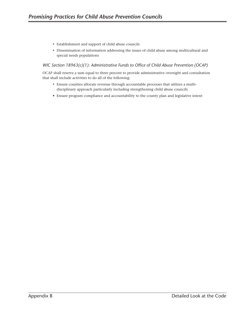- Establishment and support of child abuse councils
- Dissemination of information addressing the issues of child abuse among multicultural and special needs populations

# *WIC Section 18963(c)(1): Administrative Funds to Office of Child Abuse Prevention (OCAP)*

OCAP shall reserve a sum equal to three percent to provide administrative oversight and consultation that shall include activities to do all of the following:

- Ensure counties allocate revenue through accountable processes that utilizes a multidisciplinary approach particularly including strengthening child abuse councils
- Ensure program compliance and accountability to the county plan and legislative intent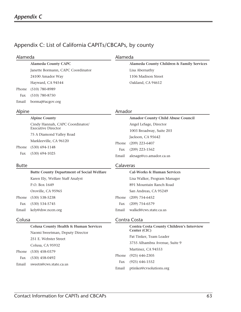# Appendix C: List of California CAPITs/CBCAPs, by county

| Alameda                           | Alameda                                   |  |
|-----------------------------------|-------------------------------------------|--|
| <b>Alameda County CAPC</b>        | Alameda County Children & Family Services |  |
| Janette Bormann, CAPC Coordinator | Lisa Abernathy                            |  |
| 24100 Amador Way                  | 1106 Madison Street                       |  |
| Hayward, CA 94544                 | Oakland, CA 94612                         |  |
| $(510)$ 780-8989                  |                                           |  |
| $(510)$ 780-8750                  |                                           |  |
| bormaj@acgov.org                  |                                           |  |
|                                   |                                           |  |

### Alpine

# Amador

|              | <b>Alpine County</b>                             |           | Amador County Child Abuse Council     |
|--------------|--------------------------------------------------|-----------|---------------------------------------|
|              | Cindy Hannah, CAPC Coordinator/                  |           | Angel LeSage, Director                |
|              | <b>Executive Director</b>                        |           | 1003 Broadway, Suite 203              |
|              | 75 A Diamond Valley Road                         |           | Jackson, CA 95642                     |
|              | Markleeville, CA 96120                           | Phone     | $(209)$ 223-6407                      |
| Phone        | $(530)$ 694-1148                                 | Fax       | $(209)$ 223-1562                      |
| Fax          | $(530)$ 694-1025                                 | Email     | alesage@co.amador.ca.us               |
| <b>Butte</b> |                                                  | Calaveras |                                       |
|              |                                                  |           |                                       |
|              | <b>Butte County Department of Social Welfare</b> |           | <b>Cal-Works &amp; Human Services</b> |
|              | Karen Ely, Welfare Staff Analyst                 |           | Lisa Walker, Program Manager          |
|              | P.O. Box 1649                                    |           | 891 Mountain Ranch Road               |
|              | Oroville, CA 95965                               |           | San Andreas, CA 95249                 |
| Phone        | $(530)$ 538-5238                                 | Phone     | $(209)$ 754-6452                      |
| Fax          | $(530) 534 - 5745$                               | Fax       | $(209)$ 754-6579                      |
| Email        | kely@dsw.ncen.org                                | Email     | walkel@cws.state.ca.us                |

# Colusa

**Colusa County Health & Human Services** Naomi Sweetman, Deputy Director 251 E. Webster Street Colusa, CA 95932 Phone (530) 458-0379 Fax (530) 458-0492 Email sweetn@cws.state.ca.us

# Contra Costa

 **Contra Costa County Children's Interview Center (CIC)** Pat Tinker, Team Leader 3755 Alhambra Avenue, Suite 9 Martinez, CA 94553 Phone (925) 646-2305 Fax (925) 646-1552 Email ptinker@cvsolutions.org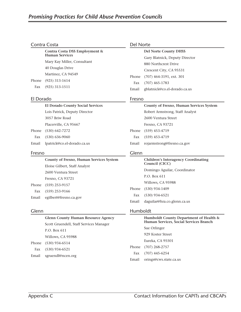# Contra Costa

**Contra Costa DSS Employment & Human Services** Mary Kay Miller, Consultant 40 Douglas Drive Martinez, CA 94549 Phone (925) 313-1614 Fax (925) 313-1511

# El Dorado

# **El Dorado County Social Services**

 Lois Patrick, Deputy Director 3057 Briw Road Placerville, CA 95667

 Phone (530) 642-7272 Fax (530) 636-9060 Email lpatrick@co.el-dorado.ca.us

### Fresno

**County of Fresno, Human Services System** Eloise Gilbert, Staff Analyst 2600 Ventura Street Fresno, CA 93721 Phone (559) 253-9157 Fax (559) 253-9166 Email egilbert@fresno.ca.gov

### Glenn

**Glenn County Human Resource Agency** Scott Gruendell, Staff Services Manager P.O. Box 611 Willows, CA 95988 Phone (530) 934-6514 Fax (530) 934-6521 Email sgruendl@ncen.org

# Del Norte

|       | <b>Del Norte County DHSS</b>   |
|-------|--------------------------------|
|       | Gary Blatnick, Deputy Director |
|       | 880 Northcrest Drive           |
|       | Crescent City, CA 95531        |
|       | Phone (707) 464-3191, ext. 301 |
|       | Fax (707) 465-1783             |
| Email | gblatnick@co.el-dorado.ca.us   |

# Fresno

|       | County of Fresno, Human Services System |
|-------|-----------------------------------------|
|       | Robert Armstrong, Staff Analyst         |
|       | 2600 Ventura Street                     |
|       | Fresno, CA 93721                        |
|       | Phone (559) 453-4719                    |
|       | Fax (559) 453-4719                      |
| Email | rojarmstrong@fresno.ca.gov              |
|       |                                         |

# Glenn

**Children's Interagency Coordinating Council (CICC)** Domingo Aguilar, Coordinator P.O. Box 611 Willows, CA 95988 Phone (530) 934-1409 Fax (530) 934-6521 Email daguilar@hra.co.glenn.ca.us

### Humboldt

|       | Humboldt County Department of Health &<br>Human Services, Social Services Branch |
|-------|----------------------------------------------------------------------------------|
|       | Sue Orlinger                                                                     |
|       | 929 Koster Street                                                                |
|       | Eureka, CA 95501                                                                 |
|       | Phone (707) 268-2757                                                             |
|       | Fax (707) 445-6254                                                               |
| Email | orings@cws.state.ca.us                                                           |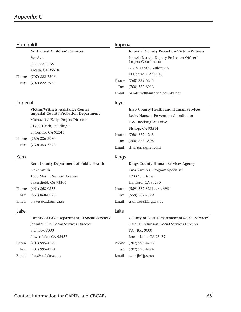# *Appendix C*

| Humboldt |                                                     | Imperial     |                                                     |
|----------|-----------------------------------------------------|--------------|-----------------------------------------------------|
|          | <b>Northcoast Children's Services</b>               |              | <b>Imperial County Probation Victim/Witness</b>     |
|          | Sue Ayer                                            |              | Pamela Littrell, Deputy Probation Officer/          |
|          | P.O. Box 1165                                       |              | Project Coordinator                                 |
|          | Arcata, CA 95518                                    |              | 217 S. Tenth, Building A                            |
| Phone    | $(707)$ 822-7206                                    |              | El Centro, CA 92243                                 |
| Fax      | $(707)$ 822-7962                                    | Phone        | $(760)$ 339-6235                                    |
|          |                                                     | Fax          | $(760)$ 352-8933                                    |
|          |                                                     | Email        | pamlittrell@imperialcounty.net                      |
| Imperial |                                                     | Inyo         |                                                     |
|          | Victim/Witness Assistance Center                    |              | Inyo County Health and Human Services               |
|          | <b>Imperial County Probation Department</b>         |              | Becky Hansen, Prevention Coordinator                |
|          | Michael W. Kelly, Project Director                  |              | 1351 Rocking W. Drive                               |
|          | 217 S. Tenth, Building B                            |              | Bishop, CA 93514                                    |
|          | El Centro, CA 92243                                 | Phone        | $(760)$ 872-4245                                    |
| Phone    | $(760)$ 336-3930                                    | Fax          | $(760)$ 873-6505                                    |
| Fax      | $(760)$ 353-3292                                    | Email        | rhanson@qnet.com                                    |
| Kern     |                                                     | <b>Kings</b> |                                                     |
|          | Kern County Department of Public Health             |              | <b>Kings County Human Services Agency</b>           |
|          | <b>Blake Smith</b>                                  |              | Tina Ramirez, Program Specialist                    |
|          | 1800 Mount Vernon Avenue                            |              | 1200 "S" Drive                                      |
|          | Bakersfield, CA 93306                               |              | Hanford, CA 93230                                   |
| Phone    | $(661) 868 - 0355$                                  | Phone        | $(559)$ 582-3211, ext. 4951                         |
| Fax      | $(661)$ 868-0225                                    | Fax          | $(559) 582 - 7399$                                  |
| Email    | blakes@co.kern.ca.us                                | Email        | tramirez@kings.ca.us                                |
| Lake     |                                                     | Lake         |                                                     |
|          | <b>County of Lake Department of Social Services</b> |              | <b>County of Lake Department of Social Services</b> |
|          | Jennifer Fitts, Social Services Director            |              | Carol Hutchinson, Social Services Director          |
|          | P.O. Box 9000                                       |              | P.O. Box 9000                                       |
|          | Lower Lake, CA 95457                                |              | Lower Lake, CA 95457                                |
| Phone    | $(707)$ 995-4279                                    | Phone        | $(707)$ 995-4295                                    |
| Fax      | $(707)$ 995-4294                                    | Fax          | $(707)$ 995-4294                                    |
| Email    | jfitts@co.lake.ca.us                                | Email        | caroljh@jps.net                                     |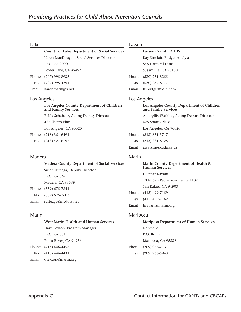#### Lake

|     | <b>County of Lake Department of Social Services</b> |
|-----|-----------------------------------------------------|
|     | Karen MacDougall, Social Services Director          |
|     | P.O. Box 9000                                       |
|     | Lower Lake, CA 95457                                |
|     | Phone (707) 995-8935                                |
| Fax | $(707)$ 995-4294                                    |
|     | Email karenmac@jps.net                              |

#### Los Angeles

| Los Angeles County Department of Children<br>and Family Services |
|------------------------------------------------------------------|
| Rebla Schabazz, Acting Deputy Director                           |
| 425 Shatto Place                                                 |
| Los Angeles, CA 90020                                            |
| Phone (213) 351-6491                                             |
| Fax $(213)$ 427-6197                                             |

#### Madera

Phone Fax

**Madera County Department of Social Services** Susan Arteaga, Deputy Director P.O. Box 569 Madera, CA 93639 Phone (559) 675-7841 Fax (559) 675-7603 Email sarteaga@mcdoss.net

#### Marin

# **West Marin Health and Human Services** Dave Sexton, Program Manager P.O. Box 331 Point Reyes, CA 94956 Phone (415) 446-4456 Fax (415) 446-4431

Email dsexton@marin.org

#### Lassen

|       | <b>Lassen County DHHS</b>    |
|-------|------------------------------|
|       | Kay Sinclair, Budget Analyst |
|       | 545 Hospital Lane            |
|       | Susanville, CA 96130         |
| Phone | $(530)$ 251-8255             |
| Fax   | $(530)$ 257-8177             |
| Email | hsbudget@psln.com            |
|       |                              |

### Los Angeles

**Los Angeles County Department of Children and Family Services** Amaryllis Watkins, Acting Deputy Director 425 Shatto Place Los Angeles, CA 90020 Phone (213) 351-5717 Fax (213) 381-8125 Email awatkins@co.la.ca.us

#### Marin

# **Marin County Department of Health & Human Services**

 Heather Ravani 10 N. San Pedro Road, Suite 1102 San Rafael, CA 94903

Phone (415) 499-7159

Fax (415) 499-7162

Email hravani@marin.org

#### Mariposa

# **Mariposa Department of Human Services** Nancy Bell P.O. Box 7 Mariposa, CA 95338 Phone (209) 966-2131 Fax (209) 966-5943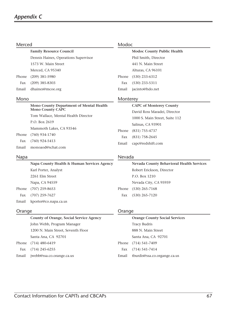| Merced |                                            | Modoc    |                                          |
|--------|--------------------------------------------|----------|------------------------------------------|
|        | <b>Family Resource Council</b>             |          | <b>Modoc County Public Health</b>        |
|        | Dennis Haines, Operations Supervisor       |          | Phil Smith, Director                     |
|        | 1573 W. Main Street                        |          | 441 N. Main Street                       |
|        | Merced, CA 95340                           |          | Alturas, CA 96101                        |
| Phone  | $(209)$ 381-5980                           | Phone    | $(530)$ 233-6312                         |
| Fax    | $(209)$ 385-8303                           | Fax      | $(530)$ 233-5311                         |
| Email  | dhaines@mcoe.org                           | Email    | jacinto@hdo.net                          |
| Mono   |                                            | Monterey |                                          |
|        | Mono County Department of Mental Health    |          | <b>CAPC of Monterey County</b>           |
|        | <b>Mono County CAPC</b>                    |          | David Ross Maradei, Director             |
|        | Tom Wallace, Mental Health Director        |          | 1000 S. Main Street, Suite 112           |
|        | P.O. Box 2619                              |          | Salinas, CA 93901                        |
|        | Mammoth Lakes, CA 93546                    | Phone    | $(831)$ 755-4737                         |
| Phone  | $(760)$ 934-1740                           | Fax      | $(831)$ 758-2645                         |
| Fax    | $(760)$ 924-5413                           | Email    | capc@redshift.com                        |
| Email  | monoaod@schat.com                          |          |                                          |
| Napa   |                                            | Nevada   |                                          |
|        | Napa County Health & Human Services Agency |          | Nevada County Behavioral Health Services |
|        | Karl Porter, Analyst                       |          | Robert Erickson, Director                |
|        | 2261 Elm Street                            |          | P.O. Box 1210                            |
|        | Napa, CA 94559                             |          | Nevada City, CA 95959                    |
| Phone  | $(707)$ 259-8653                           | Phone    | $(530)$ 265-7168                         |
| Fax    | $(707)$ 259-7627                           | Fax      | $(530)$ 265-7120                         |
| Email  | kporter@co.napa.ca.us                      |          |                                          |
| Orange |                                            | Orange   |                                          |
|        | County of Orange, Social Service Agency    |          | <b>Orange County Social Services</b>     |
|        | John Webb, Program Manager                 |          | <b>Tracy Budris</b>                      |
|        | 1200 N. Main Street, Seventh Floor         |          | 888 N. Main Street                       |

 Santa Ana, CA 92701 Phone (714) 480-6419

Fax (714) 245-6255

Email jwebb@ssa.co.orange.ca.us

|       | <b>Orange County Social Services</b> |  |
|-------|--------------------------------------|--|
|       | <b>Tracy Budris</b>                  |  |
|       | 888 N. Main Street                   |  |
|       | Santa Ana, CA 92701                  |  |
|       | Phone (714) 541-7409                 |  |
|       | Fax $(714)$ 541-7414                 |  |
| Email | tburdis@ssa.co.organge.ca.us         |  |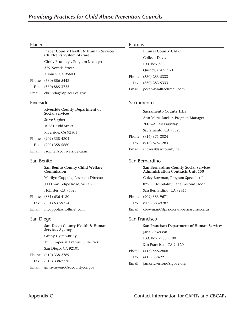#### Placer

|     | <b>Placer County Health &amp; Human Services</b><br>Children's System of Care |
|-----|-------------------------------------------------------------------------------|
|     | Cindy Brundage, Program Manager                                               |
|     | 379 Nevada Street                                                             |
|     | Auburn, CA 95603                                                              |
|     | Phone (530) 886-5443                                                          |
| Fax | $(530)$ 885-3723                                                              |

Email cbrundage@placer.ca.gov

#### Riverside

|       | <b>Riverside County Department of</b><br><b>Social Services</b> |
|-------|-----------------------------------------------------------------|
|       | Steve Sopher                                                    |
|       | 10281 Kidd Street                                               |
|       | Riverside, CA 92503                                             |
|       | Phone (909) 358-4804                                            |
| Fax   | $(909)$ 358-5660                                                |
| Email | ssopher@co.riverside.ca.us                                      |

#### San Benito

**San Benito County Child Welfare Commission** Marilyn Coppola, Assistant Director 1111 San Felipe Road, Suite 206 Hollister, CA 95023 Phone (831) 636-4180 Fax (831) 637-9754

Email mcoppola@hollinet.com

#### San Diego

**San Diego County Health & Human Services Agency** Ginny Uyeno-Bridy 1255 Imperial Avenue, Suite 743 San Diego, CA 92101 Phone (619) 338-2789 Fax (619) 338-2778 Email ginny.uyeno@sdcounty.ca.gov

#### Plumas

|       | <b>Plumas County CAPC</b> |
|-------|---------------------------|
|       | Colleen Davis             |
|       | P.O. Box 382              |
|       | Quincy, CA 95971          |
| Phone | $(530)$ 283-5333          |
| Fax   | $(530)$ 283-5333          |
| Email | pccap@walltechmail.com    |

#### Sacramento

| <b>Sacramento County HHS</b>      |
|-----------------------------------|
| Ann Marie Rucker, Program Manager |
| 7001–A East Parkway               |
| Sacramento, CA 95823              |
| Phone (916) 875-2024              |
| Fax (916) 875-1283                |
| Email ruckera@saccounty.net       |

### San Bernardino

|       | San Bernardino County Social Services<br><b>Administration Contracts Unit 150</b> |
|-------|-----------------------------------------------------------------------------------|
|       | Coley Bowman, Program Specialist I                                                |
|       | 825 E. Hospitality Lane, Second Floor                                             |
|       | San Bernardino, CA 92415                                                          |
|       | Phone (909) 383-9671                                                              |
| Fax   | $(909)$ 383-9787                                                                  |
| Email | cbowman@dpss.co.san-bernardino.ca.us                                              |

#### San Francisco

| San Francisco Department of Human Services |
|--------------------------------------------|
| Jana Rickerson                             |
| P.O. Box 7988 K100                         |
| San Francisco, CA 94120                    |
| Phone (415) 558-2808                       |
| Fax $(415)$ 558-2211                       |
| Email jana.rickerson@sfgove.org            |
|                                            |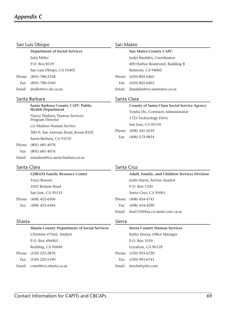| San Luis Obispo                       |                                                              |                                               | San Mateo                                                                               |  |
|---------------------------------------|--------------------------------------------------------------|-----------------------------------------------|-----------------------------------------------------------------------------------------|--|
|                                       | <b>Department of Social Services</b>                         |                                               | <b>San Mateo County CAPC</b>                                                            |  |
|                                       | Julia Miller                                                 |                                               | Judyt Bardales, Coordinator                                                             |  |
|                                       | P.O. Box 8119                                                |                                               | 400 Harbor Boulevard, Building B                                                        |  |
|                                       | San Luis Obispo, CA 93403                                    |                                               | Belmont, CA 94002                                                                       |  |
| Phone                                 | $(805)$ 788-2558                                             | Phone                                         | $(650)$ 802-6465                                                                        |  |
| Fax                                   | $(805)$ 788-2560                                             | Fax                                           | $(650)$ 802-6401                                                                        |  |
| Email                                 | jmiller@co.slo.ca.us                                         | Email                                         | jbardales@co.sanmateo.ca.us                                                             |  |
| Santa Barbara                         |                                                              |                                               | Santa Clara                                                                             |  |
|                                       | Santa Barbara County CAPC Public<br><b>Health Department</b> |                                               | <b>County of Santa Clara Social Service Agency</b><br>Tonhu Do, Contracts Administrator |  |
|                                       | Nancy Madsen, Human Services<br>Program Director             |                                               | 1725 Technology Drive                                                                   |  |
|                                       | c/o Madsen Human Service                                     |                                               | San Jose, CA 95110                                                                      |  |
|                                       | 300 N. San Antonio Road, Room B102                           | Phone                                         | $(408)$ 441-5639                                                                        |  |
|                                       | Santa Barbara, CA 93110                                      | Fax                                           | $(408)$ 573-9824                                                                        |  |
| Phone                                 | $(805)$ 681-4078                                             |                                               |                                                                                         |  |
| Fax                                   | $(805)$ 681-4076                                             |                                               |                                                                                         |  |
| Email                                 | nmadsen@co.santa-barbara.ca.us                               |                                               |                                                                                         |  |
| Santa Clara                           |                                                              | Santa Cruz                                    |                                                                                         |  |
| <b>UJIRANI Family Resource Center</b> |                                                              | Adult, Family, and Children Services Division |                                                                                         |  |

| <u>Charles Fannis Resource Center</u> |
|---------------------------------------|
| <b>Tracy Bowers</b>                   |
| 1023 Brokaw Road                      |
| San Jose, CA 95133                    |
| Phone (408) 452-6560                  |
| Fax (408) 452-6584                    |

|     | Adult, Family, and Children Services Divisio |
|-----|----------------------------------------------|
|     | Jodie Harris, Service Analyst                |
|     | P.O. Box 1320                                |
|     | Santa Cruz, CA 95061                         |
|     | Phone (408) 454-4741                         |
| Fax | $(408)$ 454-4290                             |
|     | Email hral135@hra.co.santa-cruz.ca.us        |

# Shasta

# Sierra

|       | <b>Shasta County Department of Social Services</b> |       | <b>Sierra County Human Services</b> |
|-------|----------------------------------------------------|-------|-------------------------------------|
|       | Christine O'Neil, Analyst                          |       | Kathy Elorza, Office Manager        |
|       | P.O. Box 496005                                    |       | P.O. Box 1019                       |
|       | Redding, CA 96049                                  |       | Loyalton, CA 96118                  |
|       | Phone (530) 225-2876                               | Phone | $(530)$ 993-6720                    |
| Fax   | $(530)$ 225-5190                                   | Fax   | $(530)$ 993-6741                    |
| Email | coneil@co.shasta.ca.us                             | Email | keschs@psln.com                     |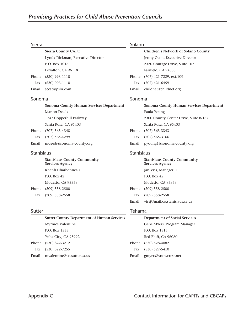# Sierra

| Sierra     |                                                              | Solano     |                                                              |
|------------|--------------------------------------------------------------|------------|--------------------------------------------------------------|
|            | <b>Sierra County CAPC</b>                                    |            | Children's Network of Solano County                          |
|            | Lynda Dickman, Executive Director                            |            | Jenny Ocon, Executive Director                               |
|            | P.O. Box 1016                                                |            | 2320 Courage Drive, Suite 107                                |
|            | Loyalton, CA 96118                                           |            | Fairfield, CA 94533                                          |
| Phone      | $(530)$ 993-1110                                             | Phone      | (707) 421-7229, ext.109                                      |
| Fax        | $(530)$ 993-1110                                             | Fax        | $(707)$ 421-6459                                             |
| Email      | sccac@psln.com                                               | Email      | childnet@childnet.org                                        |
| Sonoma     |                                                              | Sonoma     |                                                              |
|            | Sonoma County Human Services Department                      |            | Sonoma County Human Services Department                      |
|            | <b>Marion Deeds</b>                                          |            | Paula Young                                                  |
|            | 1747 Copperhill Parkway                                      |            | 2300 County Center Drive, Suite B-167                        |
|            | Santa Rosa, CA 95403                                         |            | Santa Rosa, CA 95403                                         |
| Phone      | $(707) 565 - 4348$                                           | Phone      | $(707)$ 565-3343                                             |
| Fax        | $(707)$ 565-4299                                             | Fax        | $(707)$ 565-3166                                             |
| Email      | mdeeds@sonoma-county.org                                     | Email      | pyoung1@sonoma-county.org                                    |
| Stanislaus |                                                              | Stanislaus |                                                              |
|            | <b>Stanislaus County Community</b><br><b>Services Agency</b> |            | <b>Stanislaus County Community</b><br><b>Services Agency</b> |
|            | Khanh Charbonneau                                            |            | Jan Viss, Manager II                                         |
|            | P.O. Box 42                                                  |            | P.O. Box 42                                                  |
|            | Modesto, CA 95353                                            |            | Modesto, CA 95353                                            |
| Phone      | $(209)$ 558-2500                                             | Phone      | $(209)$ 558-2500                                             |
| Fax        | $(209)$ 558-2558                                             | Fax        | $(209)$ 558-2558                                             |
|            |                                                              | Email      | vissj@mail.co.stanislaus.ca.us                               |
|            |                                                              |            |                                                              |

# Sutter

|       | <b>Sutter County Department of Human Services</b> |
|-------|---------------------------------------------------|
|       | Myrnice Valentine                                 |
|       | P.O. Box 1535                                     |
|       | Yuba City, CA 95992                               |
|       | Phone (530) 822-3212                              |
|       | Fax (530) 822-7255                                |
| Email | mvalentine@co.sutter.ca.us                        |

# Tehama

|       | <b>Department of Social Services</b> |
|-------|--------------------------------------|
|       | Gene Myers, Program Manager          |
|       | P.O. Box 1515                        |
|       | Red Bluff, CA 96080                  |
|       | Phone (530) 528-4082                 |
| Fax   | $(530)$ 527-5410                     |
| Email | gmyers@snowcrest.net                 |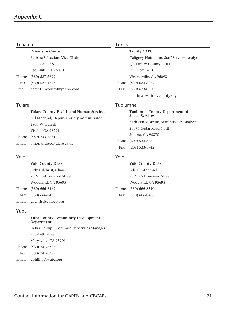# *Appendix C*

| Tehama |                                                        | <b>Trinity</b> |                                                                |
|--------|--------------------------------------------------------|----------------|----------------------------------------------------------------|
|        | <b>Parents In Control</b>                              |                | <b>Trinity CAPC</b>                                            |
|        | Barbara Sebastian, Vice Chair                          |                | Caligney Hoffmann, Staff Services Analyst                      |
|        | P.O. Box 1148                                          |                | c/o Trinity County DHH                                         |
|        | Red Bluff, CA 96080                                    |                | P.O. Box 1470                                                  |
| Phone  | $(530)$ 527-3699                                       |                | Weaverville, CA 96093                                          |
| Fax    | $(530) 527 - 4743$                                     | Phone          | $(530)$ 623-8267                                               |
| Email  | parentsincontrol@yahoo.com                             | Fax            | $(530)$ 623-8250                                               |
|        |                                                        | Email          | choffman@trinitycounty.org                                     |
| Tulare |                                                        | Tuolumne       |                                                                |
|        | <b>Tulare County Health and Human Services</b>         |                | <b>Tuolumne County Department of</b><br><b>Social Services</b> |
|        | Bill Morland, Deputy County Adminstrator               |                | Kathleen Rustrum, Staff Services Analyst                       |
|        | 2800 W. Burrell                                        |                | 20075 Cedar Road North                                         |
|        | Visalia, CA 93291                                      |                | Sonora, CA 95370                                               |
| Phone  | $(559)$ 733-6531                                       | Phone          | $(209)$ 533-5784                                               |
| Email  | bmorland@co.tulare.ca.us                               | Fax            | $(209)$ 533-5742                                               |
| Yolo   |                                                        | Yolo           |                                                                |
|        | <b>Yolo County DESS</b>                                |                | <b>Yolo County DESS</b>                                        |
|        | Judy Gilchrist, Chair                                  |                | Adele Rothermel                                                |
|        | 25 N. Cottonwood Street                                |                | 25 N. Cottonwood Street                                        |
|        | Woodland, CA 95695                                     |                | Woodland, CA 95695                                             |
| Phone  | $(530)$ 666-8469                                       | Phone          | $(530)$ 666-8510                                               |
| Fax    | $(530)$ 666-8468                                       | Fax            | $(530)$ 666-8468                                               |
| Email  | gilchrist@yoloco.org                                   |                |                                                                |
| Yuba   |                                                        |                |                                                                |
|        | <b>Yuba County Community Development</b><br>Department |                |                                                                |

 Debra Phillips, Community Services Manager 938-14th Street Marysville, CA 95901

Phone (530) 741-6385

- Fax (530) 741-6399
- Email dphillips@yuba.org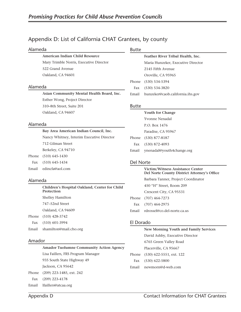# Appendix D: List of California CHAT Grantees, by county

#### Alameda

 **American Indian Child Resource** Mary Trimble Norris, Executive Director 522 Grand Avenue Oakland, CA 94601

#### Alameda

 **Asian Community Mental Health Board, Inc.** Esther Wong, Project Director 310–8th Street, Suite 201 Oakland, CA 94607

#### Alameda

| Bay Area American Indian Council, Inc.    |
|-------------------------------------------|
| Nancy Whitney, Interim Executive Director |
| 712 Gilman Street                         |
| Berkeley, CA 94710                        |
| Phone (510) 645-1430                      |

Fax (510) 645-1434

Email edincfa@aol.com

#### Alameda

 **Children's Hospital Oakland, Center for Child Protection** Shelley Hamilton 747–52nd Street Oakland, CA 94609 Phone (510) 428-3742 Fax (510) 601-3994

Email shamilton@mail.cho.org

#### Amador

 **Amador Tuolumne Community Action Agency**

 Lisa Faillers, FRS Program Manager 935 South State Highway 49

Jackson, CA 95642

Phone (209) 223-1485, ext. 242

Fax (209) 223-4178

Email lfaillers@atcaa.org

#### Butte

# **Feather River Tribal Health, Inc.** Maria Hunzeker, Executive Director 2145 Fifth Avenue Oroville, CA 95965 Phone (530) 534-5394 Fax (530) 534-3820 Email hunzeker@caob.california.ihs.gov

#### Butte

|     | <b>Youth for Change</b>         |
|-----|---------------------------------|
|     | Yvonne Nenadal                  |
|     | P.O. Box 1476                   |
|     | Paradise, CA 95967              |
|     | Phone (530) 877-8187            |
| Fax | $(530)$ 872-4093                |
|     | Email ynenadal@youth4change.org |

#### Del Norte

|       | <b>Victim/Witness Assistance Center</b><br>Del Norte County District Attorney's Office |
|-------|----------------------------------------------------------------------------------------|
|       | Barbara Tanner, Project Coordinator                                                    |
|       | 450 "H" Street, Room 209                                                               |
|       | Crescent City, CA 95531                                                                |
|       | Phone (707) 464-7273                                                                   |
|       | Fax (707) 464-2975                                                                     |
| Email | rdrossel@co.del-norte.ca.us                                                            |

### El Dorado

|       | <b>New Morning Youth and Family Services</b> |
|-------|----------------------------------------------|
|       | David Ashby, Executive Director              |
|       | 6765 Green Valley Road                       |
|       | Placerville, CA 95667                        |
|       | Phone (530) 622-5551, ext. 122               |
| Fax   | $(530)$ 622-5800                             |
| Email | newmorn@d-web.com                            |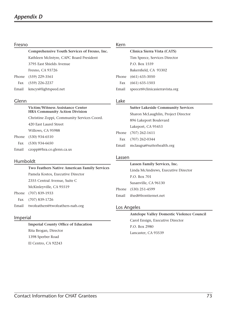# Fresno

|       | Comprehensive Youth Services of Fresno, Inc. |       | Clinica Sierra       |
|-------|----------------------------------------------|-------|----------------------|
|       | Kathleen McIntyre, CAPC Board President      |       | Tim Speece, Sei      |
|       | 3795 East Shields Avenue                     |       | P.O. Box 1559        |
|       | Fresno, CA 93726                             |       | Bakersfield, CA      |
|       | Phone (559) 229-3561                         |       | Phone (661) 635-3050 |
| Fax   | $(559)$ 226-2237                             | Fax   | $(661)$ 635-1503     |
| Email | kmcys@lightspeed.net                         | Email | speecet@clinica      |
|       |                                              |       |                      |

#### Glenn

#### **Victim/Witness Assistance Center HRA Community Action Division**

 Christine Zoppi, Community Services Coord. 420 East Laurel Street Willows, CA 95988 Phone (530) 934-6510 Fax (530) 934-6650 Email czoppi@hra.co.glenn.ca.us

#### Humboldt

 **Two Feathers Native American Family Services** Pamela Kostos, Executive Director 2355 Central Avenue, Suite C McKinleyville, CA 95519 Phone (707) 839-1933 Fax (707) 839-1726 Email twofeathers@twofeathers-nafs.org

#### Imperial

 **Imperial County Office of Education** Rita Brogan, Director 1398 Sperber Road El Centro, CA 92243

#### Kern

|       | Clinica Sierra Vista (CATS)    |  |
|-------|--------------------------------|--|
|       | Tim Speece, Services Director  |  |
|       | P.O. Box 1559                  |  |
|       | Bakersfield, CA 93302          |  |
|       | Phone (661) 635-3050           |  |
| Fax   | $(661)$ 635-1503               |  |
| Email | speecet@clinicasierravista.org |  |

#### Lake

# **Sutter Lakeside Community Services** Sharon McLaughlin, Project Director 896 Lakeport Boulevard Lakeport, CA 95453 Phone (707) 262-1611 Fax (707) 262-0344 Email mclaugsa@sutterhealth.org

#### Lassen

 **Lassen Family Services, Inc.** Linda McAndrews, Executive Director P.O. Box 701 Susanville, CA 96130 Phone (530) 251-4599 Email ifsed@frontiernet.net

#### Los Angeles

 **Antelope Valley Domestic Violence Council** Carol Ensign, Executive Director P.O. Box 2980 Lancaster, CA 93539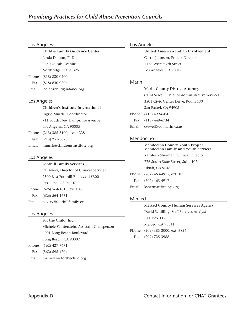#### Los Angeles

| Child & Family Guidance Center |
|--------------------------------|
| Linda Damon, PhD               |
| 9650 Zelzah Avenue             |
| Northridge, CA 91325           |
| Phone (818) 830-0200           |
|                                |

 Fax (818) 830-0206 Email jadler@childguidance.org

#### Los Angeles

Phone

#### **Children's Institute International**

 Ingrid Murrle, Coordinator 711 South New Hampshire Avenue Los Angeles, CA 90005 Phone (213) 385-5100, ext. 4228

 Fax (213) 251-3673 Email imurrle@childrensinstitute.org

# Los Angeles

#### **Foothill Family Services**

 Pat Avery, Director of Clinical Services 2500 East Foothill Boulevard #300 Pasadena, CA 91107 Phone (626) 564-1613, ext.103 Fax (626) 564-1651

Email pavery@foothillfamily.org

### Los Angeles

 **For the Child, Inc.** Michele Winterstein, Assistant Chairperson 4001 Long Beach Boulevard Long Beach, CA 90807 Phone (562) 427-7671 Fax (562) 595-4704

# Email michelew@forthechild.org

# Los Angeles

| United American Indian Involvement |
|------------------------------------|
| Carrie Johnson, Project Director   |
| 1125 West Sixth Street             |
| Los Angeles, CA 90017              |

#### Marin

| <b>Marin County District Attorney</b>          |  |  |
|------------------------------------------------|--|--|
| Carol Sewell, Chief of Administrative Services |  |  |
| 3501 Civic Center Drive, Room 130              |  |  |
| San Rafael, CA 94903                           |  |  |
| Phone (415) 499-6450                           |  |  |
| Fax $(415)$ 449-6734                           |  |  |
| Email csewell@co.marin.ca.us                   |  |  |
|                                                |  |  |

### Mendocino

|       | <b>Mendocino County Youth Project</b><br><b>Mendocino Family and Youth Services</b> |
|-------|-------------------------------------------------------------------------------------|
|       | Kathleen Sherman, Clinical Director                                                 |
|       | 776 South State Street, Suite 107                                                   |
|       | Ukiah, CA 95482                                                                     |
|       | Phone (707) 463-4915, ext. 109                                                      |
|       | Fax (707) 463-4917                                                                  |
| Email | ksherman@mcyp.org                                                                   |
|       |                                                                                     |

### Merced

|     | <b>Merced County Human Services Agency</b> |
|-----|--------------------------------------------|
|     | David Schilling, Staff Services Analyst    |
|     | P.O. Box 112                               |
|     | Merced, CA 95341                           |
|     | Phone (209) 385-3000, ext. 5826            |
| Fax | $(209)$ 725-3988                           |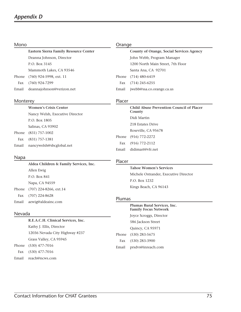| Mono  |                                       | Orange |                                          |
|-------|---------------------------------------|--------|------------------------------------------|
|       | Eastern Sierra Family Resource Center |        | County of Orange, Social Services Agency |
|       | Deanna Johnson, Director              |        | John Webb, Program Manager               |
|       | P.O. Box 3145                         |        | 1200 North Main Street, 7th Floor        |
|       | Mammoth Lakes, CA 93546               |        | Santa Ana, CA 92701                      |
| Phone | $(760)$ 924-5998, ext. 11             | Phone  | $(714)$ 480-6419                         |
| Fax   | (760) 924-7299                        | Fax    | $(714)$ 245-6255                         |
| Email | deannajohnson@verizon.net             | Email  | jwebb@ssa.co.orange.ca.us                |

#### Monterey

 **Women's Crisis Center** Nancy Welsh, Executive Director P.O. Box 1805 Salinas, CA 93902 Phone (831) 757-1002 Fax (831) 757-1381 Email nancywelsh@sbcglobal.net

#### Napa

 **Aldea Children & Family Services, Inc.** Allen Ewig P.O. Box 841 Napa, CA 94559 Phone (707) 224-8266, ext.14 Fax (707) 224-8628 Email aewig@aldeainc.com

#### Nevada

 **R.E.A.C.H. Clinical Services, Inc.** Kathy J. Ellis, Director 12036 Nevada City Highway #237 Grass Valley, CA 95945 Phone (530) 477-7016 Fax (530) 477-7016 Email reach@ncws.com

#### Placer

| Child Abuse Prevention Council of Placer<br>County |
|----------------------------------------------------|
| Didi Martin                                        |
| 218 Estates Drive                                  |
| Roseville, CA 95678                                |
| Phone (916) 772-2272                               |
| Fax $(916)$ 772-2112                               |
| Email didimart@vfr net                             |

#### Placer

#### **Tahoe Women's Services**

 Michele Ostrander, Executive Director P.O. Box 1232 Kings Beach, CA 96143

#### Plumas

 **Plumas Rural Services, Inc. Family Focus Network** Joyce Scroggs, Director 586 Jackson Street Quincy, CA 95971 Phone (530) 283-5675 Fax (530) 283-3900 Email prsdvs@inreach.com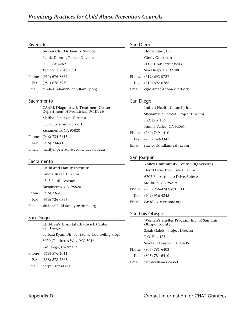#### Riverside

 **Indian Child & Family Services** Renda Dionne, Project Director P.O. Box 2269 Temecula, CA 92591 Phone (951) 676-8832

Fax (951) 676-3950

Email renda@indianchildandfamily.org

#### Sacramento

| <b>CAARE Diagnostic &amp; Treatment Center</b><br>Department of Pediatrics, UC Davis |  |
|--------------------------------------------------------------------------------------|--|
| Marilyn Peterson, Director                                                           |  |
| 3300 Stockton Boulvard                                                               |  |
| Sacramento, CA 95820                                                                 |  |
| Phone (916) 734-7615                                                                 |  |
| Fax $(916)$ 734-4150                                                                 |  |
|                                                                                      |  |

#### Sacramento

Phone  $Fax$ 

| <b>Child and Family Institute</b>      |  |  |
|----------------------------------------|--|--|
| Sandra Baker, Director                 |  |  |
| 4545 Ninth Avenue                      |  |  |
| Sacramento, CA 95820                   |  |  |
| Phone (916) 736-0828                   |  |  |
| Fax (916) 736-0395                     |  |  |
| Email sbaker@child-familyinstitute.org |  |  |

Email marilyn.peterson@ucdmc.ucdavis.edu

#### San Diego

| <b>Children's Hospital Chadwick Center</b><br>San Diego |
|---------------------------------------------------------|
| Barbara Ryan, Dir. of Trauma Counseling Prog.           |
| 3020 Children's Way, MC 5016                            |
| San Diego, CA 92123                                     |
| Phone (858) 576-4011                                    |
| Fax (858) 278-2365                                      |

Email beryan@chsd.org

# San Diego

|       | Home Start, Inc.         |
|-------|--------------------------|
|       | Cindy Grossman           |
|       | 5005 Texas Street #203   |
|       | San Diego, CA 92108      |
| Phone | $(619) 692 - 0727$       |
| Fax   | $(619) 692 - 0785$       |
| Email | cgrossman@home-start.org |
|       |                          |

# San Diego

| Indian Health Council, Inc.           |  |  |  |  |
|---------------------------------------|--|--|--|--|
| Sheilamarie Racicot, Project Director |  |  |  |  |
| P.O. Box 406                          |  |  |  |  |
| Pauma Valley, CA 92061                |  |  |  |  |
| Phone (760) 749-1410                  |  |  |  |  |
| Fax (760) 749-3347                    |  |  |  |  |
| Email sracicot@indianhealth.com       |  |  |  |  |
|                                       |  |  |  |  |

# San Joaquin

|       | <b>Valley Community Counseling Services</b> |
|-------|---------------------------------------------|
|       | David Love, Executive Director              |
|       | 6707 Embarcadero Drive, Suite A             |
|       | Stockton, CA 95219                          |
| Phone | (209) 956-4243, ext. 211                    |
|       | Fax $(209)$ 956-4245                        |
|       | Email davidlove@vccsinc.org                 |
|       |                                             |

### San Luis Obispo

|       | Women's Shelter Program Inc. of San Luis<br><b>Obispo County</b> |
|-------|------------------------------------------------------------------|
|       | Sarah Galetti, Project Director                                  |
|       | P.O. Box 125                                                     |
|       | San Luis Obispo, CA 93406                                        |
|       | Phone (805) 781-6403                                             |
| Fax   | $(805)$ 781-6410                                                 |
| Email | wsp@callamerica.net                                              |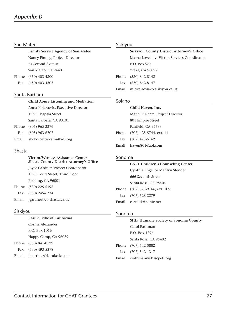#### San Mateo

 **Family Service Agency of San Mateo** Nancy Finney, Project Director 24 Second Avenue San Mateo, CA 94401 Phone (650) 403-4300

Fax (650) 403-4303

#### Santa Barbara

 **Child Abuse Listening and Mediation** Anna Kokotovic, Executive Director 1236 Chapala Street

 Santa Barbara, CA 93101 Phone (805) 965-2376 Fax (805) 963-6707

Email akokotovic@calm4kids.org

### Shasta

 **Victim/Witness Assistance Center Shasta County District Attorney's Office** Joyce Gardner, Project Coordinator 1525 Court Street, Third Floor Redding, CA 96001 Phone (530) 225-5195 Fax (530) 245-6334 Email jgardner@co.shasta.ca.us

#### Siskiyou

 **Siskiyou County District Attorney's Office** Marna Lovelady, Victim Services Coordinator P.O. Box 986 Yreka, CA 96097 Phone (530) 842-8142 Fax (530) 842-8147 Email mlovelady@co.siskiyou.ca.us

#### Solano

#### **Child Haven, Inc.**

 Marie O'Meara, Project Director 801 Empire Street Fairfield, CA 94533 Phone (707) 425-5744, ext. 11 Fax (707) 425-5162 Email haven801@aol.com

#### Sonoma

# **CARE Children's Counseling Center** Cynthia Engel or Marilyn Stender 666 Seventh Street Santa Rosa, CA 95404 Phone (707) 575-9166, ext. 109 Fax (707) 528-2279 Email carekids@sonic.net

#### Siskiyou

 **Karuk Tribe of California** Corina Alexander P.O. Box 1016 Happy Camp, CA 96039 Phone (530) 841-0729 Fax (530) 493-5378 Email jmartinez@karukcdc.com

### Sonoma

| <b>SHIP Humane Society of Sonoma County</b> |
|---------------------------------------------|
| Carol Rathman                               |
| P.O. Box 1296                               |
| Santa Rosa, CA 95402                        |
| Phone (707) 542-0882                        |
| Fax (707) 542-1317                          |
| Email crathmann@hsscpets.org                |
|                                             |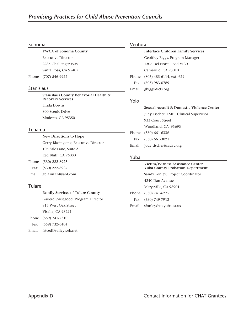#### Sonoma

 **YWCA of Sonoma County** Executive Director 2235 Challenger Way Santa Rosa, CA 95407 Phone (707) 546-9922

### Stanislaus

 **Stanislaus County Behavorial Health & Recovery Services** Linda Downs 800 Scenic Drive Modesto, CA 95350

#### Tehama

 **New Directions to Hope** Gerry Blasingame, Executive Director 105 Sale Lane, Suite A Red Bluff, CA 96080

Phone (530) 222-8925

Fax (530) 222-8927

Email gblasin774@aol.com

### **Tulare**

 **Family Services of Tulare County**

 Gailerd Swisegood, Program Director 815 West Oak Street Visalia, CA 93291

 Phone (559) 741-7310 Fax (559) 732-6404

Email fstced@valleyweb.net

#### Ventura

 **Interface Children Family Services** Geoffrey Biggs, Program Manager 1305 Del Norte Road #130 Camarillo, CA 93010 Phone (805) 485-6114, ext. 629 Fax (805) 983-0789 Email gbiggs@icfs.org

# Yolo

# **Sexual Assault & Domestic Violence Center** Judy Tischer, LMFT Clinical Supervisor 933 Court Street Woodland, CA 95695 Phone (530) 661-6336 Fax (530) 661-3021 Email judy.tischer@sadvc.org

### Yuba

# **Victim/Witness Assistance Center Yuba County Probation Department** Sandy Fonley, Project Coordinator 4240 Dan Avenue Marysville, CA 95901 Phone (530) 741-6275 Fax (530) 749-7913 Email sfonley@co.yuba.ca.us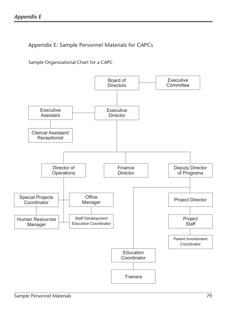Appendix E: Sample Personnel Materials for CAPCs

Sample Organizational Chart for a CAPC

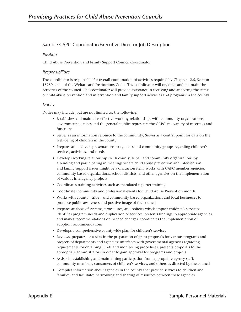# Sample CAPC Coordinator/Executive Director Job Description

#### *Position*

Child Abuse Prevention and Family Support Council Coordinator

#### *Responsibilities*

The coordinator is responsible for overall coordination of activities required by Chapter 12.5, Section 18980, et al. of the Welfare and Institutions Code. The coordinator will organize and maintain the activities of the council. The coordinator will provide assistance in receiving and analyzing the status of child abuse prevention and intervention and family support activities and programs in the county

#### *Duties*

Duties may include, but are not limited to, the following:

- Establishes and maintains effective working relationships with community organizations, government agencies and the general public; represents the CAPC at a variety of meetings and functions
- Serves as an information resource to the community; Serves as a central point for data on the well-being of children in the county
- Prepares and delivers presentations to agencies and community groups regarding children's services, activities, and needs
- Develops working relationships with county, tribal, and community organizations by attending and participating in meetings where child abuse prevention and intervention and family support issues might be a discussion item; works with CAPC member agencies, community-based organizations, school districts, and other agencies on the implementation of various interagency projects
- Coordinates training activities such as mandated reporter training
- Coordinates community and professional events for Child Abuse Prevention month
- Works with county-, tribe-, and community-based organizations and local businesses to promote public awareness and positive image of the council
- Prepares analysis of systems, procedures, and policies which impact children's services; identifies program needs and duplication of services; presents findings to appropriate agencies and makes recommendations on needed changes; coordinates the implementation of adoption recommendations
- Develops a comprehensive countywide plan for children's services
- Reviews, prepares, or assists in the preparation of grant proposals for various programs and projects of departments and agencies; interfaces with governmental agencies regarding requirements for obtaining funds and monitoring procedures; presents proposals to the appropriate administrators in order to gain approval for programs and projects
- Assists in establishing and maintaining participation from appropriate agency staff, community members, consumers of children's services, and others as directed by the council
- Compiles information about agencies in the county that provide services to children and families, and facilitates networking and sharing of resources between these agencies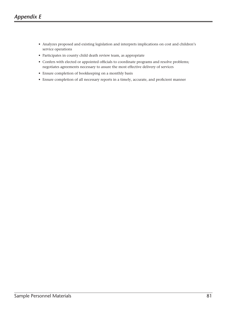- Analyzes proposed and existing legislation and interprets implications on cost and children's service operations
- Participates in county child death review team, as appropriate
- Confers with elected or appointed officials to coordinate programs and resolve problems; negotiates agreements necessary to assure the most effective delivery of services
- Ensure completion of bookkeeping on a monthly basis
- Ensure completion of all necessary reports in a timely, accurate, and proficient manner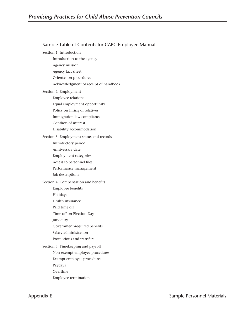| Sample Table of Contents for CAPC Employee Manual |
|---------------------------------------------------|
| Section 1: Introduction                           |
| Introduction to the agency                        |
| Agency mission                                    |
| Agency fact sheet                                 |
| Orientation procedures                            |
| Acknowledgment of receipt of handbook             |
| Section 2: Employment                             |
| Employee relations                                |
| Equal employment opportunity                      |
| Policy on hiring of relatives                     |
| Immigration law compliance                        |
| Conflicts of interest                             |
| Disability accommodation                          |
| Section 3: Employment status and records          |
| Introductory period                               |
| Anniversary date                                  |
| <b>Employment categories</b>                      |
| Access to personnel files                         |
| Performance management                            |
| Job descriptions                                  |
| Section 4: Compensation and benefits              |
| Employee benefits                                 |
| Holidays                                          |
| Health insurance                                  |
| Paid time off                                     |
| Time off on Election Day                          |
| Jury duty                                         |
| Government-required benefits                      |
| Salary administration                             |
| Promotions and transfers                          |
| Section 5: Timekeeping and payroll                |
| Non-exempt employee procedures                    |
| Exempt employee procedures                        |
| Paydays                                           |
| Overtime                                          |
| Employee termination                              |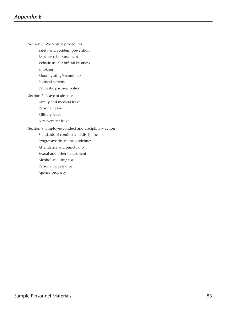Section 6: Workplace procedures

Safety and accident prevention

Expense reimbursement

Vehicle use for official business

Smoking

Moonlighting/second job

Political activity

Domestic partners policy

Section 7: Leave of absence

Family and medical leave

Personal leave

Military leave

Bereavement leave

Section 8: Employee conduct and disciplinary action

Standards of conduct and discipline

Progressive discipline guidelines Attendance and punctuality

Sexual and other harassment

Alcohol and drug use

Personal appearance

Agency property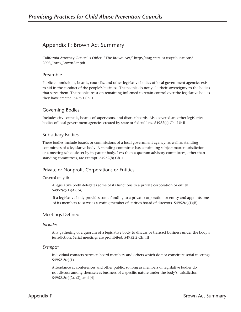# Appendix F: Brown Act Summary

California Attorney General's Office. "The Brown Act," http://caag.state.ca.us/publications/ 2003\_Intro\_BrownAct.pdf.

#### Preamble

Public commissions, boards, councils, and other legislative bodies of local government agencies exist to aid in the conduct of the people's business. The people do not yield their sovereignty to the bodies that serve them. The people insist on remaining informed to retain control over the legislative bodies they have created. 54950 Ch. I

### Governing Bodies

Includes city councils, boards of supervisors, and district boards. Also covered are other legislative bodies of local government agencies created by state or federal law. 54952(a) Ch. I & II

#### Subsidiary Bodies

These bodies include boards or commissions of a local government agency, as well as standing committees of a legislative body. A standing committee has continuing subject matter jurisdiction or a meeting schedule set by its parent body. Less-than-a-quorum advisory committees, other than standing committees, are exempt. 54952(b) Ch. II

### Private or Nonprofit Corporations or Entities

Covered only if:

A legislative body delegates some of its functions to a private corporation or entity 54952(c)(1)(A); or,

If a legislative body provides some funding to a private corporation or entity and appoints one of its members to serve as a voting member of entity's board of directors.  $54952(c)(1)(B)$ 

#### Meetings Defined

#### *Includes:*

Any gathering of a quorum of a legislative body to discuss or transact business under the body's jurisdiction. Serial meetings are prohibited. 54952.2 Ch. III

#### *Exempts:*

Individual contacts between board members and others which do not constitute serial meetings. 54952.2(c)(1)

Attendance at conferences and other public, so long as members of legislative bodies do not discuss among themselves business of a specific nature under the body's jurisdiction. 54952.2(c)(2), (3), and (4)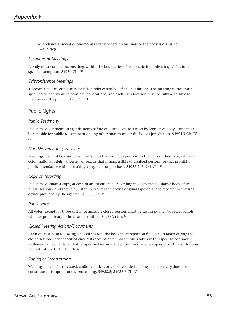Attendance at social or ceremonial events where no business of the body is discussed. 54952.2(c)(5)

#### *Locations of Meetings*

A body must conduct its meetings within the boundaries of its jurisdiction unless it qualifies for a specific exemption. 54954 Ch. IV

#### *Teleconference Meetings*

Teleconference meetings may be held under carefully defined conditions. The meeting notice must specifically identify all teleconference locations, and each such location must be fully accessible to members of the public. 54953 Ch. III

# Public Rights

#### *Public Testimony*

Public may comment on agenda items before or during consideration by legislative body. Time must be set aside for public to comment on any other matters under the body's jurisdiction. 54954.3 Ch. IV & V

#### *Non-Discriminatory Facilities*

Meetings may not be conducted in a facility that excludes persons on the basis of their race, religion, color, national origin, ancestry, or sex, or that is inaccessible to disabled persons, or that prohibits public attendance without making a payment or purchase. 54953.2; 54961 Ch. V

### *Copy of Recording*

Public may obtain a copy, at cost, of an existing tape recording made by the legislative body of its public sessions, and they may listen to or view the body's original tape on a tape recorder or viewing device provided by the agency. 54953.5 Ch. V

#### *Public Vote*

All votes, except for those cast in permissible closed session, must be cast in public. No secret ballots, whether preliminary or final, are permitted. 54953(c) Ch. VI

#### *Closed Meeting Actions/Documents*

At an open session following a closed session, the body must report on final action taken during the closed session under specified circumstances. Where final action is taken with respect to contracts, settlement agreements, and other specified records, the public may receive copies of such records upon request. 54957.1 Ch. IV, V & VI

#### *Taping or Broadcasting*

Meetings may be broadcasted, audio-recorded, or video-recorded so long as the activity does not constitute a disruption of the proceeding. 54953.5; 54953.6 Ch. V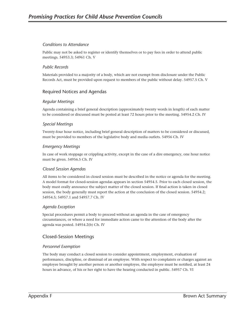#### *Conditions to Attendance*

Public may not be asked to register or identify themselves or to pay fees in order to attend public meetings. 54953.3; 54961 Ch. V

#### *Public Records*

Materials provided to a majority of a body, which are not exempt from disclosure under the Public Records Act, must be provided upon request to members of the public without delay. 54957.5 Ch. V

# Required Notices and Agendas

#### *Regular Meetings*

Agenda containing a brief general description (approximately twenty words in length) of each matter to be considered or discussed must be posted at least 72 hours prior to the meeting. 54954.2 Ch. IV

#### *Special Meetings*

Twenty-four hour notice, including brief general description of matters to be considered or discussed, must be provided to members of the legislative body and media outlets. 54956 Ch. IV

#### *Emergency Meetings*

In case of work stoppage or crippling activity, except in the case of a dire emergency, one hour notice must be given. 54956.5 Ch. IV

#### *Closed Session Agendas*

All items to be considered in closed session must be described in the notice or agenda for the meeting. A model format for closed-session agendas appears in section 54954.5. Prior to each closed session, the body must orally announce the subject matter of the closed session. If final action is taken in closed session, the body generally must report the action at the conclusion of the closed session. 54954.2; 54954.5; 54957.1 and 54957.7 Ch. IV

#### *Agenda Exception*

Special procedures permit a body to proceed without an agenda in the case of emergency circumstances, or where a need for immediate action came to the attention of the body after the agenda was posted. 54954.2(b) Ch. IV

# Closed-Session Meetings

#### *Personnel Exemption*

The body may conduct a closed session to consider appointment, employment, evaluation of performance, discipline, or dismissal of an employee. With respect to complaints or charges against an employee brought by another person or another employee, the employee must be notified, at least 24 hours in advance, of his or her right to have the hearing conducted in public. 54957 Ch. VI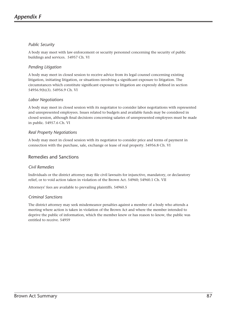# *Public Security*

A body may meet with law enforcement or security personnel concerning the security of public buildings and services. 54957 Ch. VI

# *Pending Litigation*

A body may meet in closed session to receive advice from its legal counsel concerning existing litigation, initiating litigation, or situations involving a significant exposure to litigation. The circumstances which constitute significant exposure to litigation are expressly defined in section 54956.9(b)(3). 54956.9 Ch. VI

### *Labor Negotiations*

A body may meet in closed session with its negotiator to consider labor negotiations with represented and unrepresented employees. Issues related to budgets and available funds may be considered in closed session, although final decisions concerning salaries of unrepresented employees must be made in public. 54957.6 Ch. VI

#### *Real Property Negotiations*

A body may meet in closed session with its negotiator to consider price and terms of payment in connection with the purchase, sale, exchange or lease of real property. 54956.8 Ch. VI

### Remedies and Sanctions

#### *Civil Remedies*

Individuals or the district attorney may file civil lawsuits for injunctive, mandatory, or declaratory relief, or to void action taken in violation of the Brown Act. 54960; 54960.1 Ch. VII

Attorneys' fees are available to prevailing plaintiffs. 54960.5

#### *Criminal Sanctions*

The district attorney may seek misdemeanor penalties against a member of a body who attends a meeting where action is taken in violation of the Brown Act and where the member intended to deprive the public of information, which the member knew or has reason to know, the public was entitled to receive. 54959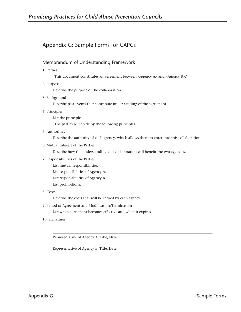# Appendix G: Sample Forms for CAPCs

### Memorandum of Understanding Framework

1. Parties

"This document constitutes an agreement between <Agency A> and <Agency B>."

2. Purpose

Describe the purpose of the collaboration.

3. Background

Describe past events that contribute understanding of the agreement.

4. Principles

List the principles.

"The parties will abide by the following principles …"

5. Authorities

Describe the authority of each agency, which allows them to enter into this collaboration.

\_\_\_\_\_\_\_\_\_\_\_\_\_\_\_\_\_\_\_\_\_\_\_\_\_\_\_\_\_\_\_\_\_\_\_\_\_\_\_\_\_\_\_\_\_\_\_\_\_\_\_\_\_\_\_\_\_\_\_\_\_\_\_\_\_\_\_\_\_\_\_\_\_\_\_\_\_\_\_\_\_\_\_\_\_\_\_\_\_\_

\_\_\_\_\_\_\_\_\_\_\_\_\_\_\_\_\_\_\_\_\_\_\_\_\_\_\_\_\_\_\_\_\_\_\_\_\_\_\_\_\_\_\_\_\_\_\_\_\_\_\_\_\_\_\_\_\_\_\_\_\_\_\_\_\_\_\_\_\_\_\_\_\_\_\_\_\_\_\_\_\_\_\_\_\_\_\_\_\_\_

6. Mutual Interest of the Parties

Describe how the understanding and collaboration will benefit the two agencies.

- 7. Responsibilities of the Parties
	- List mutual responsibilities.
	- List responsibilities of Agency A.
	- List responsibilities of Agency B.
	- List prohibitions.
- 8. Costs

Describe the costs that will be carried by each agency.

9. Period of Agreement and Modification/Termination

List when agreement becomes effective and when it expires.

10. Signatures

Representative of Agency A, Title, Date

Representative of Agency B, Title, Date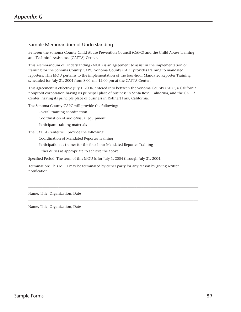# Sample Memorandum of Understanding

Between the Sonoma County Child Abuse Prevention Council (CAPC) and the Child Abuse Training and Technical Assistance (CATTA) Center.

This Memorandum of Understanding (MOU) is an agreement to assist in the implementation of training for the Sonoma County CAPC. Sonoma County CAPC provides training to mandated reporters. This MOU pertains to the implementation of the four-hour Mandated Reporter Training scheduled for July 21, 2004 from 8:00 am–12:00 pm at the CATTA Center.

This agreement is effective July 1, 2004, entered into between the Sonoma County CAPC, a California nonprofit corporation having its principal place of business in Santa Rosa, California, and the CATTA Center, having its principle place of business in Rohnert Park, California.

The Sonoma County CAPC will provide the following:

- Overall training coordination Coordination of audio/visual equipment
- Participant training materials

The CATTA Center will provide the following:

Coordination of Mandated Reporter Training

Participation as trainer for the four-hour Mandated Reporter Training

Other duties as appropriate to achieve the above

Specified Period: The term of this MOU is for July 1, 2004 through July 31, 2004.

Termination: This MOU may be terminated by either party for any reason by giving written notification.

\_\_\_\_\_\_\_\_\_\_\_\_\_\_\_\_\_\_\_\_\_\_\_\_\_\_\_\_\_\_\_\_\_\_\_\_\_\_\_\_\_\_\_\_\_\_\_\_\_\_\_\_\_\_\_\_\_\_\_\_\_\_\_\_\_\_\_\_\_\_\_\_\_\_\_\_\_\_\_\_\_\_\_\_\_\_\_\_\_\_\_\_\_\_\_\_

\_\_\_\_\_\_\_\_\_\_\_\_\_\_\_\_\_\_\_\_\_\_\_\_\_\_\_\_\_\_\_\_\_\_\_\_\_\_\_\_\_\_\_\_\_\_\_\_\_\_\_\_\_\_\_\_\_\_\_\_\_\_\_\_\_\_\_\_\_\_\_\_

Name, Title, Organization, Date

Name, Title, Organization, Date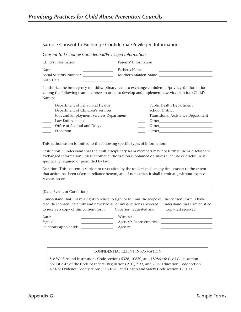# Sample Consent to Exchange Confidential/Privileged Information

*Consent to Exchange Confidential/Privileged Information*

| Child's Information    | Parents' Information |  |
|------------------------|----------------------|--|
| Name                   | Father's Name        |  |
| Social Security Number | Mother's Maiden Name |  |
| Birth Date             |                      |  |

I authorize the interagency multidisciplinary team to exchange confidential/privileged information among the following team members in order to develop and implement a service plan for <Child's Name>:

| Department of Behavioral Health         | Public Health Department                  |
|-----------------------------------------|-------------------------------------------|
| Department of Children's Services       | <b>School District</b>                    |
| Jobs and Employment Services Department | <b>Transitional Assistance Department</b> |
| Law Enforcement                         | Other                                     |
| Office of Alcohol and Drugs             | Other                                     |
| Probation                               | Other                                     |
|                                         |                                           |

This authorization is limited to the following specific types of information:

Restriction: I understand that the multidisciplinary team members may not further use or disclose the exchanged information unless another authorization is obtained or unless such use or disclosure is specifically required or permitted by law.

Duration: This consent is subject to revocation by the undersigned at any time except to the extent that action has been taken in reliance hereon, and if not earlier, it shall terminate, without express revocation on:

#### (Date, Event, or Condition)

I understand that I have a right to refuse to sign, or to limit the scope of, this consent form. I have read this consent carefully and have had all of my questions answered. I understand that I am entitled to receive a copy of this consent form. \_\_\_\_ Copy(ies) requested and \_\_\_\_\_ Copy(ies) received

 $\_$  ,  $\_$  ,  $\_$  ,  $\_$  ,  $\_$  ,  $\_$  ,  $\_$  ,  $\_$  ,  $\_$  ,  $\_$  ,  $\_$  ,  $\_$  ,  $\_$  ,  $\_$  ,  $\_$  ,  $\_$  ,  $\_$  ,  $\_$  ,  $\_$  ,  $\_$  ,  $\_$  ,  $\_$  ,  $\_$  ,  $\_$  ,  $\_$  ,  $\_$  ,  $\_$  ,  $\_$  ,  $\_$  ,  $\_$  ,  $\_$  ,  $\_$  ,  $\_$  ,  $\_$  ,  $\_$  ,  $\_$  ,  $\_$  ,

| Date:                  | Witness:                 |  |
|------------------------|--------------------------|--|
| Signed:                | Agency's Representative: |  |
| Relationship to child: | Agency:                  |  |

#### CONFIDENTIAL CLIENT INFORMATION

See Welfare and Institutions Code sections 5328, 10850, and 18986.46; Civil Code section 56; Title 42 of the Code of Federal Regulations 2.31, 2.33, and 2.35; Education Code section 49075; Evidence Code sections 900–1070; and Health and Safety Code section 123100.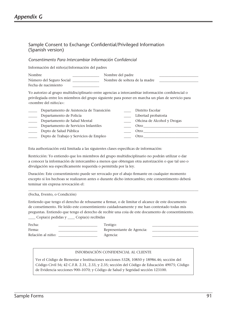# Sample Consent to Exchange Confidential/Privileged Information (Spanish version)

### *Consentimento Para Intercambiar Información Confidencial*

Información del niño(a) Información del padres

| Nombre                   | Nombre del padre              |  |
|--------------------------|-------------------------------|--|
| Número del Seguro Social | Nombre de soltera de la madre |  |
| Fecha de nacimiento      |                               |  |

Yo autorizo al grupo multidisciplinario entre agencias a intercambiar información confidencial o privilegiada entre los miembros del grupo siguiente para poner en marcha un plan de servicio para <nombre del niño/a>:

Esta authorización está limitada a las siguientes clases específicas de información:

Restricción: Yo entiendo que los miembros del grupo multidisciplinario no podrán utilizar o dar a conocer la información de intercambio a menos que obtengan otra autorización o que tal uso o divulgación sea específicamente requerida o permitida por la ley.

Duración: Este consentimiento puede ser revocado por el abajo firmante en cualquier momento excepto si los hechoas se realizaron antes o durante dicho intercambio; este consentimento deberá teminar sin expresa revocación el:

\_\_\_\_\_\_\_\_\_\_\_\_\_\_\_\_\_\_\_\_\_\_\_\_\_\_\_\_\_\_\_\_\_\_\_\_\_\_\_\_\_\_\_\_\_\_\_\_\_\_\_\_\_\_\_\_\_\_\_\_\_\_\_\_\_\_\_\_\_\_\_\_\_\_\_\_\_\_\_\_\_\_\_\_\_\_\_\_\_\_\_\_\_\_\_\_

(Fecha, Evento, o Condición)

Entiendo que tengo el derecho de rehusarme a firmar, o de limitar el alcance de este documento de consetimento. He leído este consentimiento cuidadosamente y me han contestado todas mis preguntas. Entiendo que tengo el derecho de recibir una coia de este documento de consentimiento. \_\_\_\_ Copia(s) pedidas y \_\_\_\_ Copia(s) recibidas

| Fecha:            | Testigo:                  |  |
|-------------------|---------------------------|--|
| Firma:            | Representante de Agencia: |  |
| Relación al niño: | Agencia:                  |  |

#### INFORMACIÓN CONFIDENCIAL AL CLIENTE

Ver el Código de Bienestar e Instituciones secciones 5328, 10850 y 18986.46; sección del Código Civil 56; 42 C.F.R. 2.31, 2.33, y 2.35; sección del Código de Educación 49075; Código de Evidencia secciones 900–1070; y Código de Salud y Segridad sección 123100.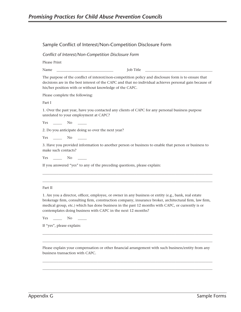### Sample Conflict of Interest/Non-Competition Disclosure Form

*Conflict of Interest/Non-Competition Disclosure Form*

Please Print

Name \_\_\_\_\_\_\_\_\_\_\_\_\_\_\_\_\_\_\_\_\_\_\_\_\_\_\_\_\_\_\_\_ Job Title \_\_\_\_\_\_\_\_\_\_\_\_\_\_\_\_\_\_\_\_\_\_\_\_\_\_\_\_\_\_\_\_\_\_\_\_\_\_

The purpose of the conflict of interest/non-competition policy and disclosure form is to ensure that decisions are in the best interest of the CAPC and that no individual achieves personal gain because of his/her position with or without knowledge of the CAPC.

Please complete the following:

Part I

1. Over the past year, have you contacted any clients of CAPC for any personal business purpose unrelated to your employment at CAPC?

Yes \_\_\_\_\_\_ No \_\_\_\_\_

2. Do you anticipate doing so over the next year?

Yes No No  $\sim$ 

3. Have you provided information to another person or business to enable that person or business to make such contacts?

\_\_\_\_\_\_\_\_\_\_\_\_\_\_\_\_\_\_\_\_\_\_\_\_\_\_\_\_\_\_\_\_\_\_\_\_\_\_\_\_\_\_\_\_\_\_\_\_\_\_\_\_\_\_\_\_\_\_\_\_\_\_\_\_\_\_\_\_\_\_\_\_\_\_\_\_\_\_\_\_\_\_\_\_\_\_\_\_\_\_\_\_\_\_\_\_ \_\_\_\_\_\_\_\_\_\_\_\_\_\_\_\_\_\_\_\_\_\_\_\_\_\_\_\_\_\_\_\_\_\_\_\_\_\_\_\_\_\_\_\_\_\_\_\_\_\_\_\_\_\_\_\_\_\_\_\_\_\_\_\_\_\_\_\_\_\_\_\_\_\_\_\_\_\_\_\_\_\_\_\_\_\_\_\_\_\_\_\_\_\_\_\_

Yes No No

If you answered "yes" to any of the preceding questions, please explain:

#### Part II

1. Are you a director, officer, employee, or owner in any business or entity (e.g., bank, real estate brokerage firm, consulting firm, construction company, insurance broker, architectural firm, law firm, medical group, etc.) which has done business in the past 12 months with CAPC, or currently is or contemplates doing business with CAPC in the next 12 months?

Yes \_\_\_\_\_\_ No \_\_\_\_\_

If "yes", please explain:

Please explain your compensation or other financial arrangement with such business/entity from any business transaction with CAPC.

\_\_\_\_\_\_\_\_\_\_\_\_\_\_\_\_\_\_\_\_\_\_\_\_\_\_\_\_\_\_\_\_\_\_\_\_\_\_\_\_\_\_\_\_\_\_\_\_\_\_\_\_\_\_\_\_\_\_\_\_\_\_\_\_\_\_\_\_\_\_\_\_\_\_\_\_\_\_\_\_\_\_\_\_\_\_\_\_\_\_\_\_\_\_\_\_  $\_$  ,  $\_$  ,  $\_$  ,  $\_$  ,  $\_$  ,  $\_$  ,  $\_$  ,  $\_$  ,  $\_$  ,  $\_$  ,  $\_$  ,  $\_$  ,  $\_$  ,  $\_$  ,  $\_$  ,  $\_$  ,  $\_$  ,  $\_$  ,  $\_$  ,  $\_$  ,  $\_$  ,  $\_$  ,  $\_$  ,  $\_$  ,  $\_$  ,  $\_$  ,  $\_$  ,  $\_$  ,  $\_$  ,  $\_$  ,  $\_$  ,  $\_$  ,  $\_$  ,  $\_$  ,  $\_$  ,  $\_$  ,  $\_$  ,

\_\_\_\_\_\_\_\_\_\_\_\_\_\_\_\_\_\_\_\_\_\_\_\_\_\_\_\_\_\_\_\_\_\_\_\_\_\_\_\_\_\_\_\_\_\_\_\_\_\_\_\_\_\_\_\_\_\_\_\_\_\_\_\_\_\_\_\_\_\_\_\_\_\_\_\_\_\_\_\_\_\_\_\_\_\_\_\_\_\_\_\_\_\_\_\_ \_\_\_\_\_\_\_\_\_\_\_\_\_\_\_\_\_\_\_\_\_\_\_\_\_\_\_\_\_\_\_\_\_\_\_\_\_\_\_\_\_\_\_\_\_\_\_\_\_\_\_\_\_\_\_\_\_\_\_\_\_\_\_\_\_\_\_\_\_\_\_\_\_\_\_\_\_\_\_\_\_\_\_\_\_\_\_\_\_\_\_\_\_\_\_\_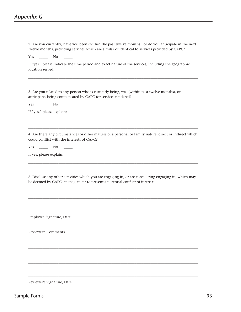2. Are you currently, have you been (within the past twelve months), or do you anticipate in the next twelve months, providing services which are similar or identical to services provided by CAPC? Yes \_\_\_\_\_\_ No If "yes," please indicate the time period and exact nature of the services, including the geographic location served. \_\_\_\_\_\_\_\_\_\_\_\_\_\_\_\_\_\_\_\_\_\_\_\_\_\_\_\_\_\_\_\_\_\_\_\_\_\_\_\_\_\_\_\_\_\_\_\_\_\_\_\_\_\_\_\_\_\_\_\_\_\_\_\_\_\_\_\_\_\_\_\_\_\_\_\_\_\_\_\_\_\_\_\_\_\_\_\_\_\_\_\_\_\_\_\_  $\_$  ,  $\_$  ,  $\_$  ,  $\_$  ,  $\_$  ,  $\_$  ,  $\_$  ,  $\_$  ,  $\_$  ,  $\_$  ,  $\_$  ,  $\_$  ,  $\_$  ,  $\_$  ,  $\_$  ,  $\_$  ,  $\_$  ,  $\_$  ,  $\_$  ,  $\_$  ,  $\_$  ,  $\_$  ,  $\_$  ,  $\_$  ,  $\_$  ,  $\_$  ,  $\_$  ,  $\_$  ,  $\_$  ,  $\_$  ,  $\_$  ,  $\_$  ,  $\_$  ,  $\_$  ,  $\_$  ,  $\_$  ,  $\_$  , 3. Are you related to any person who is currently being, was (within past twelve months), or anticipates being compensated by CAPC for services rendered? Yes \_\_\_\_\_\_ No If "yes," please explain: \_\_\_\_\_\_\_\_\_\_\_\_\_\_\_\_\_\_\_\_\_\_\_\_\_\_\_\_\_\_\_\_\_\_\_\_\_\_\_\_\_\_\_\_\_\_\_\_\_\_\_\_\_\_\_\_\_\_\_\_\_\_\_\_\_\_\_\_\_\_\_\_\_\_\_\_\_\_\_\_\_\_\_\_\_\_\_\_\_\_\_\_\_\_\_\_  $\_$  ,  $\_$  ,  $\_$  ,  $\_$  ,  $\_$  ,  $\_$  ,  $\_$  ,  $\_$  ,  $\_$  ,  $\_$  ,  $\_$  ,  $\_$  ,  $\_$  ,  $\_$  ,  $\_$  ,  $\_$  ,  $\_$  ,  $\_$  ,  $\_$  ,  $\_$  ,  $\_$  ,  $\_$  ,  $\_$  ,  $\_$  ,  $\_$  ,  $\_$  ,  $\_$  ,  $\_$  ,  $\_$  ,  $\_$  ,  $\_$  ,  $\_$  ,  $\_$  ,  $\_$  ,  $\_$  ,  $\_$  ,  $\_$  , 4. Are there any circumstances or other matters of a personal or family nature, direct or indirect which could conflict with the interests of CAPC? Yes \_\_\_\_\_ No If yes, please explain: \_\_\_\_\_\_\_\_\_\_\_\_\_\_\_\_\_\_\_\_\_\_\_\_\_\_\_\_\_\_\_\_\_\_\_\_\_\_\_\_\_\_\_\_\_\_\_\_\_\_\_\_\_\_\_\_\_\_\_\_\_\_\_\_\_\_\_\_\_\_\_\_\_\_\_\_\_\_\_\_\_\_\_\_\_\_\_\_\_\_\_\_\_\_\_\_  $\_$  ,  $\_$  ,  $\_$  ,  $\_$  ,  $\_$  ,  $\_$  ,  $\_$  ,  $\_$  ,  $\_$  ,  $\_$  ,  $\_$  ,  $\_$  ,  $\_$  ,  $\_$  ,  $\_$  ,  $\_$  ,  $\_$  ,  $\_$  ,  $\_$  ,  $\_$  ,  $\_$  ,  $\_$  ,  $\_$  ,  $\_$  ,  $\_$  ,  $\_$  ,  $\_$  ,  $\_$  ,  $\_$  ,  $\_$  ,  $\_$  ,  $\_$  ,  $\_$  ,  $\_$  ,  $\_$  ,  $\_$  ,  $\_$  , 5. Disclose any other activities which you are engaging in, or are considering engaging in, which may be deemed by CAPCs management to present a potential conflict of interest.  $\_$  ,  $\_$  ,  $\_$  ,  $\_$  ,  $\_$  ,  $\_$  ,  $\_$  ,  $\_$  ,  $\_$  ,  $\_$  ,  $\_$  ,  $\_$  ,  $\_$  ,  $\_$  ,  $\_$  ,  $\_$  ,  $\_$  ,  $\_$  ,  $\_$  ,  $\_$  ,  $\_$  ,  $\_$  ,  $\_$  ,  $\_$  ,  $\_$  ,  $\_$  ,  $\_$  ,  $\_$  ,  $\_$  ,  $\_$  ,  $\_$  ,  $\_$  ,  $\_$  ,  $\_$  ,  $\_$  ,  $\_$  ,  $\_$  ,  $\_$  ,  $\_$  ,  $\_$  ,  $\_$  ,  $\_$  ,  $\_$  ,  $\_$  ,  $\_$  ,  $\_$  ,  $\_$  ,  $\_$  ,  $\_$  ,  $\_$  ,  $\_$  ,  $\_$  ,  $\_$  ,  $\_$  ,  $\_$  ,  $\_$  ,  $\_$  ,  $\_$  ,  $\_$  ,  $\_$  ,  $\_$  ,  $\_$  ,  $\_$  ,  $\_$  ,  $\_$  ,  $\_$  ,  $\_$  ,  $\_$  ,  $\_$  ,  $\_$  ,  $\_$  ,  $\_$  ,  $\_$  ,  $\_$  ,  $\_$  ,  $\_$  ,  $\_$  ,  $\_$  ,  $\_$  ,  $\_$  ,  $\_$  ,  $\_$  ,  $\_$  ,  $\_$  ,  $\_$  ,  $\_$  ,  $\_$  ,  $\_$  ,  $\_$  ,  $\_$  ,  $\_$  ,  $\_$  ,  $\_$  ,  $\_$  ,  $\_$  ,  $\_$  ,  $\_$  ,  $\_$  ,  $\_$  ,  $\_$  ,  $\_$  ,  $\_$  ,  $\_$  ,  $\_$  ,  $\_$  ,  $\_$  ,  $\_$  ,  $\_$  ,  $\_$  ,  $\_$  ,  $\_$  , Employee Signature, Date Reviewer's Comments  $\_$  ,  $\_$  ,  $\_$  ,  $\_$  ,  $\_$  ,  $\_$  ,  $\_$  ,  $\_$  ,  $\_$  ,  $\_$  ,  $\_$  ,  $\_$  ,  $\_$  ,  $\_$  ,  $\_$  ,  $\_$  ,  $\_$  ,  $\_$  ,  $\_$  ,  $\_$  ,  $\_$  ,  $\_$  ,  $\_$  ,  $\_$  ,  $\_$  ,  $\_$  ,  $\_$  ,  $\_$  ,  $\_$  ,  $\_$  ,  $\_$  ,  $\_$  ,  $\_$  ,  $\_$  ,  $\_$  ,  $\_$  ,  $\_$  , \_\_\_\_\_\_\_\_\_\_\_\_\_\_\_\_\_\_\_\_\_\_\_\_\_\_\_\_\_\_\_\_\_\_\_\_\_\_\_\_\_\_\_\_\_\_\_\_\_\_\_\_\_\_\_\_\_\_\_\_\_\_\_\_\_\_\_\_\_\_\_\_\_\_\_\_\_\_\_\_\_\_\_\_\_\_\_\_\_\_\_\_\_\_\_\_  $\_$  ,  $\_$  ,  $\_$  ,  $\_$  ,  $\_$  ,  $\_$  ,  $\_$  ,  $\_$  ,  $\_$  ,  $\_$  ,  $\_$  ,  $\_$  ,  $\_$  ,  $\_$  ,  $\_$  ,  $\_$  ,  $\_$  ,  $\_$  ,  $\_$  ,  $\_$  ,  $\_$  ,  $\_$  ,  $\_$  ,  $\_$  ,  $\_$  ,  $\_$  ,  $\_$  ,  $\_$  ,  $\_$  ,  $\_$  ,  $\_$  ,  $\_$  ,  $\_$  ,  $\_$  ,  $\_$  ,  $\_$  ,  $\_$  ,  $\_$  ,  $\_$  ,  $\_$  ,  $\_$  ,  $\_$  ,  $\_$  ,  $\_$  ,  $\_$  ,  $\_$  ,  $\_$  ,  $\_$  ,  $\_$  ,  $\_$  ,  $\_$  ,  $\_$  ,  $\_$  ,  $\_$  ,  $\_$  ,  $\_$  ,  $\_$  ,  $\_$  ,  $\_$  ,  $\_$  ,  $\_$  ,  $\_$  ,  $\_$  ,  $\_$  ,  $\_$  ,  $\_$  ,  $\_$  ,  $\_$  ,  $\_$  ,  $\_$  ,  $\_$  ,  $\_$  ,  $\_$  ,  $\_$  ,  $\_$  ,  $\_$  ,  $\_$  ,  $\_$  ,  $\_$  ,  $\_$  ,  $\_$  ,  $\_$  ,  $\_$  ,  $\_$  ,  $\_$  ,  $\_$  ,  $\_$  ,  $\_$  ,  $\_$  ,  $\_$  ,  $\_$  ,  $\_$  ,  $\_$  ,  $\_$  ,  $\_$  ,  $\_$  ,  $\_$  ,  $\_$  ,  $\_$  ,  $\_$  ,  $\_$  ,  $\_$  ,  $\_$  ,  $\_$  ,  $\_$  ,  $\_$  ,  $\_$  ,  $\_$  ,  $\_$  ,  $\_$  ,  $\_$  ,

Reviewer's Signature, Date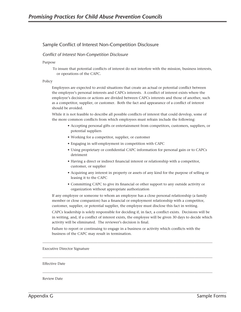# Sample Conflict of Interest Non-Competition Disclosure

#### *Conflict of Interest Non-Competition Disclosure*

Purpose

To insure that potential conflicts of interest do not interfere with the mission, business interests, or operations of the CAPC.

Policy

Employees are expected to avoid situations that create an actual or potential conflict between the employee's personal interests and CAPCs interests. A conflict of interest exists where the employee's decisions or actions are divided between CAPCs interests and those of another, such as a competitor, supplier, or customer. Both the fact and appearance of a conflict of interest should be avoided.

While it is not feasible to describe all possible conflicts of interest that could develop, some of the more common conflicts from which employees must refrain include the following:

- Accepting personal gifts or entertainment from competitors, customers, suppliers, or potential suppliers
- Working for a competitor, supplier, or customer
- Engaging in self-employment in competition with CAPC
- Using proprietary or confidential CAPC information for personal gain or to CAPCs detriment
- Having a direct or indirect financial interest or relationship with a competitor, customer, or supplier
- Acquiring any interest in property or assets of any kind for the purpose of selling or leasing it to the CAPC
- Committing CAPC to give its financial or other support to any outside activity or organization without appropriate authorization

If any employee or someone to whom an employee has a close personal relationship (a family member or close companion) has a financial or employment relationship with a competitor, customer, supplier, or potential supplier, the employee must disclose this fact in writing.

CAPCs leadership is solely responsible for deciding if, in fact, a conflict exists. Decisions will be in writing, and, if a conflict of interest exists, the employee will be given 30 days to decide which activity will be eliminated. The reviewer's decision is final.

Failure to report or continuing to engage in a business or activity which conflicts with the business of the CAPC may result in termination.

\_\_\_\_\_\_\_\_\_\_\_\_\_\_\_\_\_\_\_\_\_\_\_\_\_\_\_\_\_\_\_\_\_\_\_\_\_\_\_\_\_\_\_\_\_\_\_\_\_\_\_\_\_\_\_\_\_\_\_\_\_\_\_\_\_\_\_\_\_\_\_\_\_\_\_\_\_\_\_\_\_\_\_\_\_\_\_\_\_\_\_\_\_\_\_\_

 $\_$  ,  $\_$  ,  $\_$  ,  $\_$  ,  $\_$  ,  $\_$  ,  $\_$  ,  $\_$  ,  $\_$  ,  $\_$  ,  $\_$  ,  $\_$  ,  $\_$  ,  $\_$  ,  $\_$  ,  $\_$  ,  $\_$  ,  $\_$  ,  $\_$  ,  $\_$  ,  $\_$  ,  $\_$  ,  $\_$  ,  $\_$  ,  $\_$  ,  $\_$  ,  $\_$  ,  $\_$  ,  $\_$  ,  $\_$  ,  $\_$  ,  $\_$  ,  $\_$  ,  $\_$  ,  $\_$  ,  $\_$  ,  $\_$  ,

\_\_\_\_\_\_\_\_\_\_\_\_\_\_\_\_\_\_\_\_\_\_\_\_\_\_\_\_\_\_\_\_\_\_\_\_\_\_\_\_\_\_\_\_\_\_\_\_\_\_\_\_\_\_\_\_\_\_\_\_\_\_\_\_\_\_\_\_\_\_\_\_\_\_\_\_\_\_\_\_\_\_\_\_\_\_\_\_\_\_\_\_\_\_\_\_

Executive Director Signature

#### Effective Date

Review Date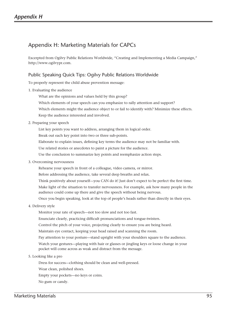# Appendix H: Marketing Materials for CAPCs

Excerpted from Ogilvy Public Relations Worldwide, "Creating and Implementing a Media Campaign," http://www.ogilvypr.com.

# Public Speaking Quick Tips: Ogilvy Public Relations Worldwide

To properly represent the child abuse prevention message:

- 1. Evaluating the audience
	- What are the opinions and values held by this group?
	- Which elements of your speech can you emphasize to rally attention and support?
	- Which elements might the audience object to or fail to identify with? Minimize these effects.
	- Keep the audience interested and involved.
- 2. Preparing your speech
	- List key points you want to address, arranging them in logical order.
	- Break out each key point into two or three sub-points.
	- Elaborate to explain issues, defining key terms the audience may not be familiar with.
	- Use related stories or anecdotes to paint a picture for the audience.
	- Use the conclusion to summarize key points and reemphasize action steps.
- 3. Overcoming nervousness
	- Rehearse your speech in front of a colleague, video camera, or mirror.
	- Before addressing the audience, take several deep breaths and relax.
	- Think positively about yourself—you CAN do it! Just don't expect to be perfect the first time.
	- Make light of the situation to transfer nervousness. For example, ask how many people in the audience could come up there and give the speech without being nervous.
	- Once you begin speaking, look at the top of people's heads rather than directly in their eyes.
- 4. Delivery style
	- Monitor your rate of speech—not too slow and not too fast.
	- Enunciate clearly, practicing difficult pronunciations and tongue-twisters.
	- Control the pitch of your voice, projecting clearly to ensure you are being heard.
	- Maintain eye contact, keeping your head raised and scanning the room.
	- Pay attention to your posture—stand upright with your shoulders square to the audience.
	- Watch your gestures—playing with hair or glasses or jingling keys or loose change in your pocket will come across as weak and distract from the message.
- 5. Looking like a pro
	- Dress for success—clothing should be clean and well-pressed.
	- Wear clean, polished shoes.
	- Empty your pockets—no keys or coins.
	- No gum or candy.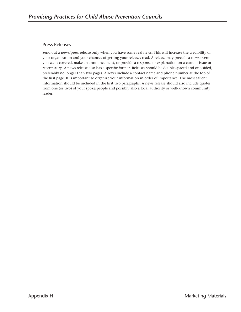# Press Releases

Send out a news/press release only when you have some real news. This will increase the credibility of your organization and your chances of getting your releases read. A release may precede a news event you want covered, make an announcement, or provide a response or explanation on a current issue or recent story. A news release also has a specific format. Releases should be double-spaced and one-sided, preferably no longer than two pages. Always include a contact name and phone number at the top of the first page. It is important to organize your information in order of importance. The most salient information should be included in the first two paragraphs. A news release should also include quotes from one (or two) of your spokespeople and possibly also a local authority or well-known community leader.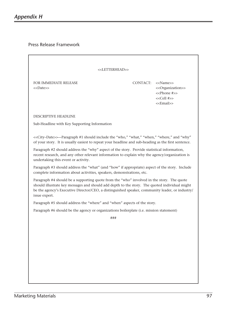Press Release Framework

| < <letterhead>&gt;</letterhead>                                                                                                                                                                                                                                                                                |          |                                                                                                                                                           |
|----------------------------------------------------------------------------------------------------------------------------------------------------------------------------------------------------------------------------------------------------------------------------------------------------------------|----------|-----------------------------------------------------------------------------------------------------------------------------------------------------------|
| <b>FOR IMMEDIATE RELEASE</b><br>< <date>&gt;</date>                                                                                                                                                                                                                                                            | CONTACT: | < <name>&gt;<br/>&lt;<organization>&gt;<br/>&lt;<phone #="">&gt;<br/>&lt;<cell #="">&gt;<br/>&lt;<email>&gt;</email></cell></phone></organization></name> |
| DESCRIPTIVE HEADLINE                                                                                                                                                                                                                                                                                           |          |                                                                                                                                                           |
| Sub-Headline with Key Supporting Information                                                                                                                                                                                                                                                                   |          |                                                                                                                                                           |
| < <city-date>&gt;--Paragraph #1 should include the "who," "what," "when," "where," and "why"<br/>of your story. It is usually easiest to repeat your headline and sub-heading as the first sentence.</city-date>                                                                                               |          |                                                                                                                                                           |
| Paragraph #2 should address the "why" aspect of the story. Provide statistical information,<br>recent research, and any other relevant information to explain why the agency/organization is<br>undertaking this event or activity.                                                                            |          |                                                                                                                                                           |
| Paragraph #3 should address the "what" (and "how" if appropriate) aspect of the story. Include<br>complete information about activities, speakers, demonstrations, etc.                                                                                                                                        |          |                                                                                                                                                           |
| Paragraph #4 should be a supporting quote from the "who" involved in the story. The quote<br>should illustrate key messages and should add depth to the story. The quoted individual might<br>be the agency's Executive Director/CEO, a distinguished speaker, community leader, or industry/<br>issue expert. |          |                                                                                                                                                           |
| Paragraph #5 should address the "where" and "when" aspects of the story.                                                                                                                                                                                                                                       |          |                                                                                                                                                           |
| Paragraph #6 should be the agency or organizations boilerplate (i.e. mission statement)                                                                                                                                                                                                                        |          |                                                                                                                                                           |
| ###                                                                                                                                                                                                                                                                                                            |          |                                                                                                                                                           |
|                                                                                                                                                                                                                                                                                                                |          |                                                                                                                                                           |
|                                                                                                                                                                                                                                                                                                                |          |                                                                                                                                                           |
|                                                                                                                                                                                                                                                                                                                |          |                                                                                                                                                           |
|                                                                                                                                                                                                                                                                                                                |          |                                                                                                                                                           |
|                                                                                                                                                                                                                                                                                                                |          |                                                                                                                                                           |
|                                                                                                                                                                                                                                                                                                                |          |                                                                                                                                                           |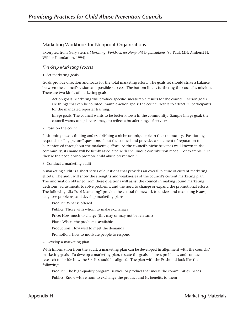### Marketing Workbook for Nonprofit Organizations

Excerpted from Gary Stern's *Marketing Workbook for Nonprofit Organizations (*St. Paul, MN: Amherst H. Wilder Foundation, 1994)

#### *Five-Step Marketing Process*

#### 1. Set marketing goals

Goals provide direction and focus for the total marketing effort. The goals set should strike a balance between the council's vision and possible success. The bottom line is furthering the council's mission. There are two kinds of marketing goals.

Action goals: Marketing will produce specific, measurable results for the council. Action goals are things that can be counted. Sample action goals: the council wants to attract 50 participants for the mandated reporter training.

Image goals: The council wants to be better known in the community. Sample image goal: the council wants to update its image to reflect a broader range of services.

#### 2. Position the council

Positioning means finding and establishing a niche or unique role in the community. Positioning responds to "big picture" questions about the council and provides a statement of reputation to be reinforced throughout the marketing effort. As the council's niche becomes well known in the community, its name will be firmly associated with the unique contribution made. For example, "Oh, they're the people who promote child abuse prevention."

#### 3. Conduct a marketing audit

A marketing audit is a short series of questions that provides an overall picture of current marketing efforts. The audit will show the strengths and weaknesses of the council's current marketing plan. The information obtained from these questions will assist the council in making sound marketing decisions, adjustments to solve problems, and the need to change or expand the promotional efforts. The following "Six Ps of Marketing" provide the central framework to understand marketing issues, diagnose problems, and develop marketing plans.

Product: What is offered

Publics: Those with whom to make exchanges

Price: How much to charge (this may or may not be relevant)

Place: Where the product is available

Production: How well to meet the demands

Promotion: How to motivate people to respond

#### 4. Develop a marketing plan

With information from the audit, a marketing plan can be developed in alignment with the councils' marketing goals. To develop a marketing plan, restate the goals, address problems, and conduct research to decide how the Six Ps should be aligned. The plan with the Ps should look like the following:

Product: The high-quality program, service, or product that meets the communities' needs Publics: Know with whom to exchange the product and its benefits to them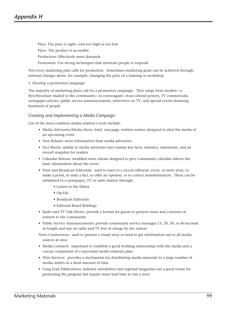Price: The price is right—not too high or too low Place: The product is accessible Production: Effectively meet demands Promotion: Use strong techniques that motivate people to respond

Not every marketing plan calls for promotion. Sometimes marketing goals can be achieved through internal changes alone, for example, changing the price of a training or workshop.

#### 5. Develop a promotion campaign

The majority of marketing plans call for a promotion campaign. They range from modest—a flyer/brochure mailed to the community—to extravagant—four-colored posters, TV commercials, newspaper articles, public service announcements, interviews on TV, and special events featuring hundreds of people.

#### *Creating and Implementing a Media Campaign*

List of the most common media relation's tools include:

- Media Advisories/Media Alerts: brief, one-page, written notices designed to alert the media of an upcoming event
- New Release: more information than media advisories
- Fact Sheets: similar to media advisories but contain key facts, statistics, milestones, and an overall snapshot for readers
- Calendar Release: modified news release designed to give community calendar editors the basic information about the event
- Print and Broadcast Editorials: used to react to a recent editorial, event, or news story, to make a point, to state a fact, to offer an opinion, or to correct misinformation. These can be submitted to a newspaper, TV or radio station through:
	- Letters to the Editor
	- Op-Eds
	- Broadcast Editorials
	- Editorial Board Briefings
- Radio and TV Talk Shows: provide a format for guests to present issues and concerns of interest to the community
- Public Service Announcements: provide community service messages 15, 20, 30, or 60 seconds in length and run on radio and TV free of charge by the station

News Conferences: used to present a visual story or need to get information out to all media sources at once

- Media Contacts: important to establish a good working relationship with the media and a crucial component of a successful media relations plan
- Wire Services: provides a mechanism for distributing media materials to a large number of media outlets in a short amount of time
- Long Lead Publications: industry newsletters and regional magazines are a good venue for promoting the program but require more lead time to run a story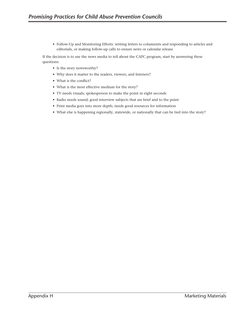• Follow-Up and Monitoring Efforts: writing letters to columnists and responding to articles and editorials, or making follow-up calls to ensure news or calendar release

If the decision is to use the news media to tell about the CAPC program, start by answering these questions:

- Is the story newsworthy?
- Why does it matter to the readers, viewers, and listeners?
- What is the conflict?
- What is the most effective medium for the story?
- TV needs visuals; spokesperson to make the point in eight seconds
- Radio needs sound; good interview subjects that are brief and to the point
- Print media goes into more depth; needs good resources for information
- What else is happening regionally, statewide, or nationally that can be tied into the story?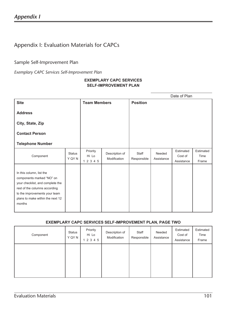# Appendix I: Evaluation Materials for CAPCs

# Sample Self-Improvement Plan

*Exemplary CAPC Services Self-Improvement Plan*

## **EXEMPLARY CAPC SERVICES SELF-IMPROVEMENT PLAN**

|                                                                                                                                                                                                           |                         |                                |                                |                      |                      | Date of Plan                       |                            |
|-----------------------------------------------------------------------------------------------------------------------------------------------------------------------------------------------------------|-------------------------|--------------------------------|--------------------------------|----------------------|----------------------|------------------------------------|----------------------------|
| <b>Site</b>                                                                                                                                                                                               |                         | <b>Team Members</b>            |                                | <b>Position</b>      |                      |                                    |                            |
| <b>Address</b>                                                                                                                                                                                            |                         |                                |                                |                      |                      |                                    |                            |
| City, State, Zip                                                                                                                                                                                          |                         |                                |                                |                      |                      |                                    |                            |
| <b>Contact Person</b>                                                                                                                                                                                     |                         |                                |                                |                      |                      |                                    |                            |
| <b>Telephone Number</b>                                                                                                                                                                                   |                         |                                |                                |                      |                      |                                    |                            |
| Component                                                                                                                                                                                                 | <b>Status</b><br>Y QY N | Priority<br>Hi Lo<br>1 2 3 4 5 | Description of<br>Modification | Staff<br>Responsible | Needed<br>Assistance | Estimated<br>Cost of<br>Assistance | Estimated<br>Time<br>Frame |
| In this column, list the<br>components marked "NO" on<br>your checklist, and complete the<br>rest of the columns according<br>to the improvements your team<br>plans to make within the next 12<br>months |                         |                                |                                |                      |                      |                                    |                            |

## **EXEMPLARY CAPC SERVICES SELF-IMPROVEMENT PLAN, PAGE TWO**

| Component | <b>Status</b><br>Y QY N | Priority<br>Hi Lo<br>1 2 3 4 5 | Description of<br>Modification | Staff<br>Responsible | Needed<br>Assistance | Estimated<br>Cost of<br>Assistance | Estimated<br>Time<br>Frame |
|-----------|-------------------------|--------------------------------|--------------------------------|----------------------|----------------------|------------------------------------|----------------------------|
|           |                         |                                |                                |                      |                      |                                    |                            |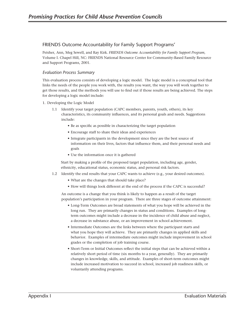# FRIENDS Outcome Accountability for Family Support Programs'

Peisher, Ann, Meg Sewell, and Ray Kirk. *FRIENDS Outcome Accountability for Family Support Program*, Volume I. Chapel Hill, NC: FRIENDS National Resource Center for Community-Based Family Resource and Support Programs, 2001.

### *Evaluation Process Summary*

This evaluation process consists of developing a logic model. The logic model is a conceptual tool that links the needs of the people you work with, the results you want, the way you will work together to get those results, and the methods you will use to find out if those results are being achieved. The steps for developing a logic model include:

- 1. Developing the Logic Model
	- 1.1 Identify your target population (CAPC members, parents, youth, others), its key characteristics, its community influences, and its personal goals and needs. Suggestions include:
		- Be as specific as possible in characterizing the target population
		- Encourage staff to share their ideas and experiences
		- Integrate participants in the development since they are the best source of information on their lives, factors that influence them, and their personal needs and goals
		- Use the information once it is gathered

Start by making a profile of the proposed target population, including age, gender, ethnicity, educational status, economic status, and personal risk factors.

- 1.2 Identify the end results that your CAPC wants to achieve (e.g., your desired outcomes).
	- What are the changes that should take place?
	- How will things look different at the end of the process if the CAPC is successful?

An outcome is a change that you think is likely to happen as a result of the target population's participation in your program. There are three stages of outcome attainment:

- Long-Term Outcomes are broad statements of what you hope will be achieved in the long run. They are primarily changes in status and conditions. Examples of longterm outcomes might include a decrease in the incidence of child abuse and neglect, a decrease in substance abuse, or an improvement in school achievement.
- Intermediate Outcomes are the links between where the participant starts and what you hope they will achieve. They are primarily changes in applied skills and behavior. Examples of intermediate outcomes might include improvement in school grades or the completion of job training course.
- Short-Term or Initial Outcomes reflect the initial steps that can be achieved within a relatively short period of time (six months to a year, generally). They are primarily changes in knowledge, skills, and attitude. Examples of short-term outcomes might include increased motivation to succeed in school, increased job readiness skills, or voluntarily attending programs.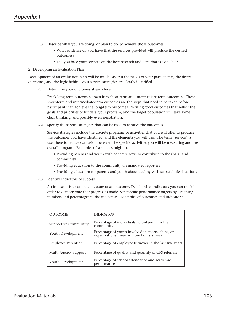- 1.3 Describe what you are doing, or plan to do, to achieve those outcomes.
	- What evidence do you have that the services provided will produce the desired outcomes?
	- Did you base your services on the best research and data that is available?

### 2. Developing an Evaluation Plan

Development of an evaluation plan will be much easier if the needs of your participants, the desired outcomes, and the logic behind your service strategies are clearly identified.

2.1 Determine your outcomes at each level

 Break long-term outcomes down into short-term and intermediate-term outcomes. These short-term and intermediate-term outcomes are the steps that need to be taken before participants can achieve the long-term outcomes. Writing good outcomes that reflect the goals and priorities of funders, your program, and the target population will take some clear thinking, and possibly even negotiation.

2.2 Specify the service strategies that can be used to achieve the outcomes

 Service strategies include the discrete programs or activities that you will offer to produce the outcomes you have identified, and the elements you will use. The term "service" is used here to reduce confusion between the specific activities you will be measuring and the overall program. Examples of strategies might be:

- Providing parents and youth with concrete ways to contribute to the CAPC and community
- Providing education to the community on mandated reporters
- Providing education for parents and youth about dealing with stressful life situations
- 2.3 Identify indicators of success

 An indicator is a concrete measure of an outcome. Decide what indicators you can track in order to demonstrate that progress is made. Set specific performance targets by assigning numbers and percentages to the indicators. Examples of outcomes and indicators:

| <b>OUTCOME</b>              | <b>INDICATOR</b>                                                                              |
|-----------------------------|-----------------------------------------------------------------------------------------------|
| <b>Supportive Community</b> | Percentage of individuals volunteering in their<br>community                                  |
| Youth Development           | Percentage of youth involved in sports, clubs, or<br>organizations three or more hours a week |
| <b>Employee Retention</b>   | Percentage of employee turnover in the last five years                                        |
| Multi-Agency Support        | Percentage of quality and quantity of CPS referrals                                           |
| Youth Development           | Percentage of school attendance and academic<br>performance                                   |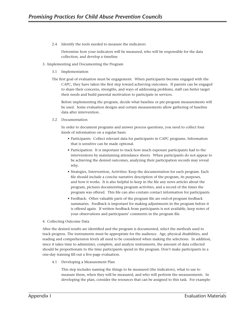2.4 Identify the tools needed to measure the indicators

 Determine how your indicators will be measured, who will be responsible for the data collection, and develop a timeline

- 3. Implementing and Documenting the Program
	- 3.1 Implementation
	- The first goal of evaluation must be engagement. When participants become engaged with the CAPC, they have taken the first step toward achieving outcomes. If parents can be engaged to share their concerns, strengths, and ways of addressing problems, staff can better target their needs and build parental motivation to participate in services.

 Before implementing the program, decide what baseline or pre-program measurements will be used. Some evaluation designs and certain measurements allow gathering of baseline data after intervention.

3.2 Documentation

 In order to document programs and answer process questions, you need to collect four kinds of information on a regular basis:

- Participants: Collect relevant data for participants in CAPC programs. Information that is sensitive can be made optional.
- Participation: It is important to track how much exposure participants had to the interventions by maintaining attendance sheets. When participants do not appear to be achieving the desired outcomes, analyzing their participation records may reveal why.
- Strategies, Intervention, Activities: Keep the documentation for each program. Each file should include a concise narrative description of the program, its purposes, and how it works. It is also helpful to keep in the file any news articles about the program, pictures documenting program activities, and a record of the times the program was offered. This file can also contain contact information for participants.
- Feedback: Other valuable parts of the program file are end-of-program feedback summaries. Feedback is important for making adjustments in the program before it is offered again. If written feedback from participants is not available, keep notes of your observations and participants' comments in the program file.
- 4. Collecting Outcome Data

After the desired results are identified and the program is documented, select the methods used to track progress. The instruments must be appropriate for the audience. Age, physical disabilities, and reading and comprehension levels all need to be considered when making the selections. In addition, since it takes time to administer, complete, and analyze instruments, the amount of data collected should be proportionate to the time participants spend in the program. Don't make participants in a one-day training fill out a five-page evaluation.

4.1 Developing a Measurement Plan

 This step includes naming the things to be measured (the indicators), what to use to measure them, when they will be measured, and who will perform the measurements. In developing the plan, consider the resources that can be assigned to this task. For example: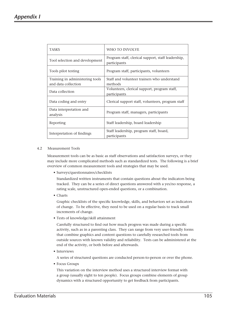| <b>TASKS</b>                        | WHO TO INVOLVE                                                     |
|-------------------------------------|--------------------------------------------------------------------|
| Tool selection and development      | Program staff, clerical support, staff leadership,<br>participants |
| Tools pilot testing                 | Program staff, participants, volunteers                            |
| Training in administering tools     | Staff and volunteer trainers who understand                        |
| and data collection                 | methods                                                            |
| Data collection                     | Volunteers, clerical support, program staff,<br>participants       |
| Data coding and entry               | Clerical support staff, volunteers, program staff                  |
| Data interpretation and<br>analysis | Program staff, managers, participants                              |
| Reporting                           | Staff leadership, board leadership                                 |
| Interpretation of findings          | Staff leadership, program staff, board,<br>participants            |

### 4.2 Measurement Tools

 Measurement tools can be as basic as staff observations and satisfaction surveys, or they may include more complicated methods such as standardized tests. The following is a brief overview of common measurement tools and strategies that may be used.

• Surveys/questionnaires/checklists

 Standardized written instruments that contain questions about the indicators being tracked. They can be a series of direct questions answered with a yes/no response, a rating scale, unstructured open-ended questions, or a combination.

• Charts

 Graphic checklists of the specific knowledge, skills, and behaviors set as indicators of change. To be effective, they need to be used on a regular basis to track small increments of change.

• Tests of knowledge/skill attainment

 Carefully structured to find out how much progress was made during a specific activity, such as in a parenting class. They can range from very user-friendly forms that combine graphics and content questions to carefully researched tools from outside sources with known validity and reliability. Tests can be administered at the end of the activity, or both before and afterwards.

• Interviews

A series of structured questions are conducted person-to-person or over the phone.

• Focus Groups

 This variation on the interview method uses a structured interview format with a group (usually eight to ten people). Focus groups combine elements of group dynamics with a structured opportunity to get feedback from participants.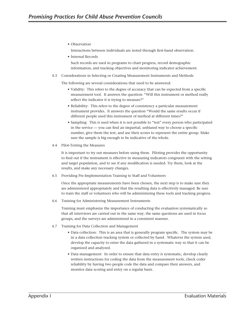• Observation

Interactions between individuals are noted through first-hand observation.

• Internal Records

 Such records are used in programs to chart progress, record demographic information, and tracking objectives and monitoring indicator achievement.

4.3 Considerations in Selecting or Creating Measurement Instruments and Methods

The following are several considerations that need to be answered:

- Validity: This refers to the degree of accuracy that can be expected from a specific measurement tool. It answers the question: "Will this instrument or method really reflect the indicator it is trying to measure?"
- Reliability: This refers to the degree of consistency a particular measurement instrument provides. It answers the question "Would the same results occur if different people used this instrument of method at different times?"
- Sampling: This is used when it is not possible to "test" every person who participated in the service — you can find an impartial, unbiased way to choose a specific number, give them the test, and use their scores to represent the entire group. Make sure the sample is big enough to be indicative of the whole.
- 4.4 Pilot-Testing the Measures

 It is important to try out measures before using them. Piloting provides the opportunity to find out if the instrument is effective in measuring indicators congruent with the setting and target population, and to see if any modification is needed. Try them, look at the results, and make any necessary changes.

4.5 Providing Pre-Implementation Training to Staff and Volunteers

 Once the appropriate measurements have been chosen, the next step is to make sure they are administered appropriately and that the resulting data is effectively managed. Be sure to train the staff or volunteers who will be administering these tools and tracking progress.

4.6 Training for Administering Measurement Instruments

 Training must emphasize the importance of conducting the evaluation systematically so that all interviews are carried out in the same way, the same questions are used in focus groups, and the surveys are administered in a consistent manner.

- 4.7 Training for Data Collection and Management
	- Data collection: This is an area that is generally program specific. The system may be in a data collection tracking system or collected by hand. Whatever the system used, develop the capacity to enter the data gathered in a systematic way so that it can be organized and analyzed.
	- Data management: In order to ensure that data entry is systematic, develop clearly written instructions for coding the data from the measurement tools, check coder reliability by having two people code the data and compare their answers, and monitor data scoring and entry on a regular basis.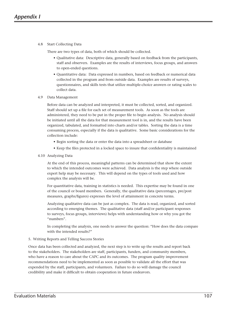4.8 Start Collecting Data

There are two types of data, both of which should be collected.

- Qualitative data: Descriptive data, generally based on feedback from the participants, staff and observers. Examples are the results of interviews, focus groups, and answers to open-ended questions.
- Quantitative data: Data expressed in numbers, based on feedback or numerical data collected in the program and from outside data. Examples are results of surveys, questionnaires, and skills tests that utilize multiple-choice answers or rating scales to collect data.
- 4.9 Data Management

 Before data can be analyzed and interpreted, it must be collected, sorted, and organized. Staff should set up a file for each set of measurement tools. As soon as the tools are administered, they need to be put in the proper file to begin analysis. No analysis should be initiated until all the data for that measurement tool is in, and the results have been organized, tabulated, and formatted into charts and/or tables. Sorting the data is a time consuming process, especially if the data is qualitative. Some basic considerations for the collection include:

- Begin sorting the data or enter the data into a spreadsheet or database
- Keep the files protected in a locked space to insure that confidentiality is maintained
- 4.10 Analyzing Data

 At the end of this process, meaningful patterns can be determined that show the extent to which the intended outcomes were achieved. Data analysis is the step where outside expert help may be necessary. This will depend on the types of tools used and how complex the analysis will be.

 For quantitative data, training in statistics is needed. This expertise may be found in one of the council or board members. Generally, the qualitative data (percentages, pre/post measures, graphs/figures) expresses the level of attainment in concrete terms.

 Analyzing qualitative data can be just as complex. The data is read, organized, and sorted according to emerging themes. The qualitative data (staff and/or participant responses to surveys, focus groups, interviews) helps with understanding how or why you got the "numbers".

 In completing the analysis, one needs to answer the question: "How does the data compare with the intended results?"

### 5. Writing Reports and Telling Success Stories

Once data has been collected and analyzed, the next step is to write up the results and report back to the stakeholders. The stakeholders are staff, participants, funders, and community members, who have a reason to care about the CAPC and its outcomes. The program quality improvement recommendations need to be implemented as soon as possible to validate all the effort that was expended by the staff, participants, and volunteers. Failure to do so will damage the council credibility and make it difficult to obtain cooperation in future endeavors.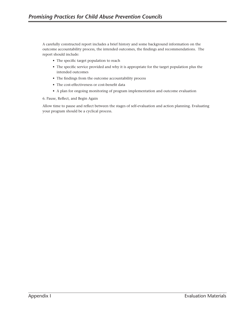A carefully constructed report includes a brief history and some background information on the outcome accountability process, the intended outcomes, the findings and recommendations. The report should include:

- The specific target population to reach
- The specific service provided and why it is appropriate for the target population plus the intended outcomes
- The findings from the outcome accountability process
- The cost-effectiveness or cost-benefit data
- A plan for ongoing monitoring of program implementation and outcome evaluation

6. Pause, Reflect, and Begin Again

Allow time to pause and reflect between the stages of self-evaluation and action planning. Evaluating your program should be a cyclical process.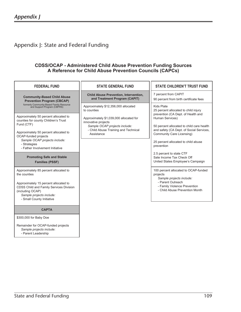# Appendix J: State and Federal Funding

# **CDSS/OCAP - Administered Child Abuse Prevention Funding Sources A Reference for Child Abuse Prevention Councils (CAPCs)**

| <b>FEDERAL FUND</b>                                                                                                                                                                                                                                                                                                         | <b>STATE GENERAL FUND</b>                                                                                                                                                                                    | <b>STATE CHILDREN'T TRUST FUND</b>                                                                                                                                                                                                                                                     |
|-----------------------------------------------------------------------------------------------------------------------------------------------------------------------------------------------------------------------------------------------------------------------------------------------------------------------------|--------------------------------------------------------------------------------------------------------------------------------------------------------------------------------------------------------------|----------------------------------------------------------------------------------------------------------------------------------------------------------------------------------------------------------------------------------------------------------------------------------------|
| <b>Community-Based Child Abuse</b><br><b>Prevention Program (CBCAP)</b>                                                                                                                                                                                                                                                     | <b>Child Abuse Prevention, Intervention,</b><br>and Treatment Program (CAPIT)                                                                                                                                | 7 percent from CAPIT<br>90 percent from birth certificate fees                                                                                                                                                                                                                         |
| formerly Community-Based Family Resource<br>and Support Program (CBFRS)<br>Approximately 50 percent allocated to<br>counties for county Children's Trust<br>Fund (CTF)<br>Approximately 50 percent allocated to<br>OCAP-funded projects<br>Sample OCAP projects include:<br>- Strategies<br>- Father Involvement Initiative | Approximately \$12,356,000 allocated<br>to counties<br>Approximately \$1,039,000 allocated for<br>innovative projects<br>Sample OCAP projects include:<br>- Child Abuse Training and Technical<br>Assistance | Kids Plate<br>25 percent allocated to child injury<br>prevention (CA Dept. of Health and<br>Human Services)<br>50 percent allocated to child care health<br>and safety (CA Dept. of Social Services,<br>Community Care Licensing)<br>25 percent allocated to child abuse<br>prevention |
| <b>Promoting Safe and Stable</b><br><b>Families (PSSF)</b>                                                                                                                                                                                                                                                                  |                                                                                                                                                                                                              | 2.5 percent to state CTF<br>Sate Income Tax Check Off<br>United States Employee's Campaign                                                                                                                                                                                             |
| Approximately 85 percent allocated to<br>the counties<br>Approximately 15 percent allocated to<br>CDSS Child and Family Services Division<br>(including OCAP)<br>Sample projects include:<br>- Small County Initiative                                                                                                      |                                                                                                                                                                                                              | 100 percent allocated to OCAP-funded<br>projects<br>Sample projects include:<br>- Parent Outreach<br>- Family Violence Prevention<br>- Child Abuse Prevention Month                                                                                                                    |
| <b>CAPTA</b>                                                                                                                                                                                                                                                                                                                |                                                                                                                                                                                                              |                                                                                                                                                                                                                                                                                        |
| \$300,000 for Baby Doe<br>Remainder for OCAP-funded projects<br>Sample projects include:<br>- Parent Leadership                                                                                                                                                                                                             |                                                                                                                                                                                                              |                                                                                                                                                                                                                                                                                        |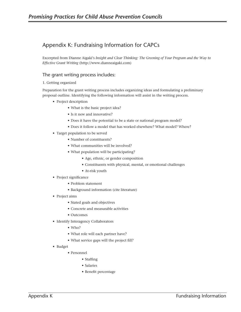# Appendix K: Fundraising Information for CAPCs

Excerpted from Dianne Aigaki's *Insight and Clear Thinking: The Greening of Your Program and the Way to Effective Grant Writing* (http://www.dianneaigaki.com)

# The grant writing process includes:

### 1. Getting organized

Preparation for the grant writing process includes organizing ideas and formulating a preliminary proposal outline. Identifying the following information will assist in the writing process.

- Project description
	- What is the basic project idea?
	- Is it new and innovative?
	- Does it have the potential to be a state or national program model?
	- Does it follow a model that has worked elsewhere? What model? Where?
- Target population to be served
	- Number of constituents?
	- What communities will be involved?
	- What population will be participating?
		- Age, ethnic, or gender composition
		- Constituents with physical, mental, or emotional challenges
		- At-risk youth
- Project significance
	- Problem statement
	- Background information (cite literature)
- Project aims
	- Stated goals and objectives
	- Concrete and measurable activities
	- Outcomes
- Identify Interagency Collaborators
	- Who?
	- What role will each partner have?
	- What service gaps will the project fill?
- Budget
	- Personnel
		- Staffing
		- Salaries
		- Benefit percentage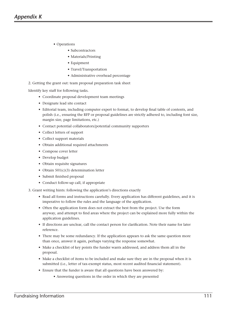- Operations
	- Subcontractors
	- Materials/Printing
	- Equipment
	- Travel/Transportation
	- Administrative overhead percentage
- 2. Getting the grant out: team proposal preparation task sheet

Identify key staff for following tasks.

- Coordinate proposal development team meetings
- Designate lead site contact
- Editorial team, including computer expert to format, to develop final table of contents, and polish (i.e., ensuring the RFP or proposal guidelines are strictly adhered to, including font size, margin size, page limitations, etc.)
- Contact potential collaborators/potential community supporters
- Collect letters of support
- Collect support materials
- Obtain additional required attachments
- Compose cover letter
- Develop budget
- Obtain requisite signatures
- Obtain 501(c)(3) determination letter
- Submit finished proposal
- Conduct follow-up call, if appropriate
- 3. Grant writing hints: following the application's directions exactly
	- Read all forms and instructions carefully. Every application has different guidelines, and it is imperative to follow the rules and the language of the application.
	- Often the application form does not extract the best from the project. Use the form anyway, and attempt to find areas where the project can be explained more fully within the application guidelines.
	- If directions are unclear, call the contact person for clarification. Note their name for later reference.
	- There may be some redundancy. If the application appears to ask the same question more than once, answer it again, perhaps varying the response somewhat.
	- Make a checklist of key points the funder wants addressed, and address them all in the proposal.
	- Make a checklist of items to be included and make sure they are in the proposal when it is submitted (i.e., letter of tax-exempt status, most recent audited financial statement).
	- Ensure that the funder is aware that all questions have been answered by:
		- Answering questions in the order in which they are presented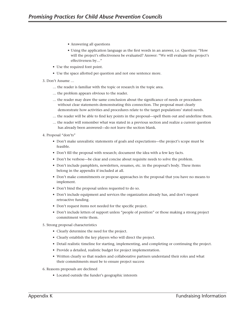- Answering all questions
- Using the application language as the first words in an answer, i.e. Question: "How will the project's effectiveness be evaluated? Answer: "We will evaluate the project's effectiveness by…"
- Use the required font point.
- Use the space allotted per question and not one sentence more.
- 3. Don't Assume …
	- … the reader is familiar with the topic or research in the topic area.
	- … the problem appears obvious to the reader.
	- … the reader may draw the same conclusion about the significance of needs or procedures without clear statements demonstrating this connection. The proposal must clearly demonstrate how activities and procedures relate to the target populations' stated needs.
	- … the reader will be able to find key points in the proposal—spell them out and underline them.
	- … the reader will remember what was stated in a previous section and realize a current question has already been answered—do not leave the section blank.
- 4. Proposal "don'ts"
	- Don't make unrealistic statements of goals and expectations—the project's scope must be feasible.
	- Don't fill the proposal with research; document the idea with a few key facts.
	- Don't be verbose—be clear and concise about requisite needs to solve the problem.
	- Don't include pamphlets, newsletters, resumes, etc. in the proposal's body. These items belong in the appendix if included at all.
	- Don't make commitments or propose approaches in the proposal that you have no means to implement.
	- Don't bind the proposal unless requested to do so.
	- Don't include equipment and services the organization already has, and don't request retroactive funding.
	- Don't request items not needed for the specific project.
	- Don't include letters of support unless "people of position" or those making a strong project commitment write them.
- 5. Strong proposal characteristics
	- Clearly determine the need for the project.
	- Clearly establish the key players who will direct the project.
	- Detail realistic timeline for starting, implementing, and completing or continuing the project.
	- Provide a detailed, realistic budget for project implementation.
	- Written clearly so that readers and collaborative partners understand their roles and what their commitments must be to ensure project success
- 6. Reasons proposals are declined
	- Located outside the funder's geographic interests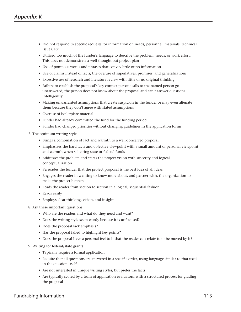- Did not respond to specific requests for information on needs, personnel, materials, technical issues, etc.
- Utilized too much of the funder's language to describe the problem, needs, or work effort. This does not demonstrate a well-thought out project plan
- Use of pompous words and phrases that convey little or no information
- Use of claims instead of facts; the overuse of superlatives, promises, and generalizations
- Excessive use of research and literature review with little or no original thinking
- Failure to establish the proposal's key contact person; calls to the named person go unanswered; the person does not know about the proposal and can't answer questions intelligently
- Making unwarranted assumptions that create suspicion in the funder or may even alienate them because they don't agree with stated assumptions
- Overuse of boilerplate material
- Funder had already committed the fund for the funding period
- Funder had changed priorities without changing guidelines in the application forms

7. The optimum writing style

- Brings a combination of fact and warmth to a well-conceived proposal
- Emphasizes the hard facts and objective viewpoint with a small amount of personal viewpoint and warmth when soliciting state or federal funds
- Addresses the problem and states the project vision with sincerity and logical conceptualization
- Persuades the funder that the project proposal is the best idea of all ideas
- Engages the reader in wanting to know more about, and partner with, the organization to make the project happen
- Leads the reader from section to section in a logical, sequential fashion
- Reads easily
- Employs clear thinking, vision, and insight
- 8. Ask these important questions
	- Who are the readers and what do they need and want?
	- Does the writing style seem wordy because it is unfocused?
	- Does the proposal lack emphasis?
	- Has the proposal failed to highlight key points?
	- Does the proposal have a personal feel to it that the reader can relate to or be moved by it?
- 9. Writing for federal/state grants
	- Typically require a formal application
	- Require that all questions are answered in a specific order, using language similar to that used in the question itself
	- Are not interested in unique writing styles, but prefer the facts
	- Are typically scored by a team of application evaluators, with a structured process for grading the proposal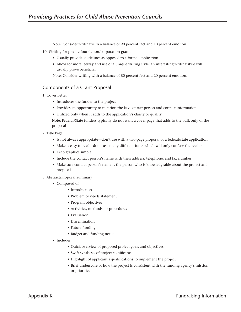Note: Consider writing with a balance of 90 percent fact and 10 percent emotion.

10. Writing for private foundation/corporation grants

- Usually provide guidelines as opposed to a formal application
- Allow for more leeway and use of a unique writing style; an interesting writing style will usually prove beneficial

Note: Consider writing with a balance of 80 percent fact and 20 percent emotion.

### Components of a Grant Proposal

- 1. Cover Letter
	- Introduces the funder to the project
	- Provides an opportunity to mention the key contact person and contact information
	- Utilized only when it adds to the application's clarity or quality

Note: Federal/State funders typically do not want a cover page that adds to the bulk only of the proposal

### 2. Title Page

- Is not always appropriate—don't use with a two-page proposal or a federal/state application
- Make it easy to read—don't use many different fonts which will only confuse the reader
- Keep graphics simple
- Include the contact person's name with their address, telephone, and fax number
- Make sure contact person's name is the person who is knowledgeable about the project and proposal

### 3. Abstract/Proposal Summary

- Composed of:
	- Introduction
	- Problem or needs statement
	- Program objectives
	- Activities, methods, or procedures
	- Evaluation
	- Dissemination
	- Future funding
	- Budget and funding needs
- Includes:
	- Quick overview of proposed project goals and objectives
	- Swift synthesis of project significance
	- Highlight of applicant's qualifications to implement the project
	- Brief underscore of how the project is consistent with the funding agency's mission or priorities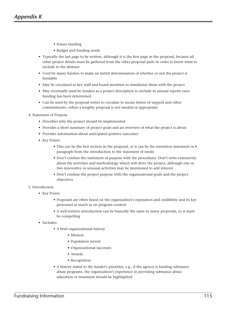- Future funding
- Budget and funding needs
- Typically the last page to be written, although it is the first page in the proposal, because all other project details must be gathered from the other proposal parts in order to know what to include in the abstract
- Used by many funders to make an initial determination of whether or not the project is fundable
- May be circulated to key staff and board members to familiarize them with the project
- May eventually used be funders as a project description to include in annual reports once funding has been determined
- Can be used by the proposal writer to circulate to secure letters of support and other commitments—when a lengthy proposal is not needed or appropriate
- 4. Statement of Purpose
	- Describes why the project should be implemented
	- Provides a short summary of project goals and an overview of what the project is about
	- Provides information about anticipated positive outcomes
	- Key Points
		- This can be the first section in the proposal, or it can be the transition statement or paragraph from the introduction to the statement of needs
		- Don't confuse the statement of purpose with the procedures. Don't write extensively about the activities and methodology which will drive the project, although one or two innovative or unusual activities may be mentioned to add interest
		- Don't confuse the project purpose with the organizational goals and the project objectives
- 5. Introduction
	- Key Points
		- Proposals are often based on the organization's reputation and credibility and its key personnel as much as on program content
		- A well-written introduction can be basically the same in many proposals, so it must be compelling
	- Includes:
		- A brief organizational history
			- Mission
			- Population served
			- Organizational successes
			- Awards
			- Recognition
		- A history slated to the funder's priorities, e.g., if the agency is funding substance abuse programs, the organization's experience in providing substance abuse education or treatment should be highlighted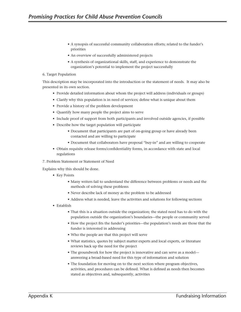- A synopsis of successful community collaboration efforts; related to the funder's priorities
- An overview of successfully administered projects
- A synthesis of organizational skills, staff, and experience to demonstrate the organization's potential to implement the project successfully

### 6. Target Population

This description may be incorporated into the introduction or the statement of needs. It may also be presented in its own section.

- Provide detailed information about whom the project will address (individuals or groups)
- Clarify why this population is in need of services; define what is unique about them
- Provide a history of the problem development
- Quantify how many people the project aims to serve
- Include proof of support from both participants and involved outside agencies, if possible
- Describe how the target population will participate
	- Document that participants are part of on-going group or have already been contacted and are willing to participate
	- Document that collaborators have proposal "buy-in" and are willing to cooperate
- Obtain requisite release forms/confidentiality forms, in accordance with state and local regulations

### 7. Problem Statement or Statement of Need

Explains why this should be done.

- Key Points
	- Many writers fail to understand the difference between problems or needs and the methods of solving these problems
	- Never describe lack of money as the problem to be addressed
	- Address what is needed, leave the activities and solutions for following sections
- Establish
	- That this is a situation outside the organization; the stated need has to do with the population outside the organization's boundaries—the people or community served
	- How the project fits the funder's priorities—the population's needs are those that the funder is interested in addressing
	- Who the people are that this project will serve
	- What statistics, quotes by subject matter experts and local experts, or literature reviews back up the need for the project
	- The groundwork for how the project is innovative and can serve as a model answering a broad-based need for this type of information and solution
	- The foundation for moving on to the next section where program objectives, activities, and procedures can be defined. What is defined as needs then becomes stated as objectives and, subsequently, activities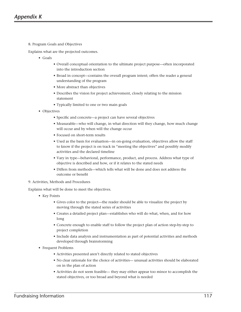8. Program Goals and Objectives

Explains what are the projected outcomes.

- Goals
	- Overall conceptual orientation to the ultimate project purpose—often incorporated into the introduction section
	- Broad in concept—contains the overall program intent; offers the reader a general understanding of the program
	- More abstract than objectives
	- Describes the vision for project achievement, closely relating to the mission statement
	- Typically limited to one or two main goals
- Objectives
	- Specific and concrete—a project can have several objectives
	- Measurable—who will change, in what direction will they change, how much change will occur and by when will the change occur
	- Focused on short-term results
	- Used as the basis for evaluation—in on-going evaluation, objectives allow the staff to know if the project is on track in "meeting the objectives" and possibly modify activities and the declared timeline
	- Vary in type—behavioral, performance, product, and process. Address what type of objective is described and how, or if it relates to the stated needs
	- Differs from methods—which tells what will be done and does not address the outcome or benefit
- 9. Activities, Methods and Procedures

Explains what will be done to meet the objectives.

- Key Points
	- Gives color to the project—the reader should be able to visualize the project by moving through the stated series of activities
	- Creates a detailed project plan—establishes who will do what, when, and for how long
	- Concrete enough to enable staff to follow the project plan of action step-by-step to project completion
	- Include data analysis and instrumentation as part of potential activities and methods developed through brainstorming
- Frequent Problems
	- Activities presented aren't directly related to stated objectives
	- No clear rationale for the choice of activities— unusual activities should be elaborated on in the plan of action
	- Activities do not seem feasible— they may either appear too minor to accomplish the stated objectives, or too broad and beyond what is needed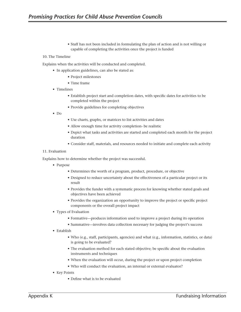• Staff has not been included in formulating the plan of action and is not willing or capable of completing the activities once the project is funded

### 10. The Timeline

Explains when the activities will be conducted and completed.

- In application guidelines, can also be stated as:
	- Project milestones
	- Time frame
- Timelines
	- Establish project start and completion dates, with specific dates for activities to be completed within the project
	- Provide guidelines for completing objectives
- Do
- Use charts, graphs, or matrices to list activities and dates
- Allow enough time for activity completion- be realistic
- Depict what tasks and activities are started and completed each month for the project duration
- Consider staff, materials, and resources needed to initiate and complete each activity

### 11. Evaluation

Explains how to determine whether the project was successful.

- Purpose
	- Determines the worth of a program, product, procedure, or objective
	- Designed to reduce uncertainty about the effectiveness of a particular project or its result
	- Provides the funder with a systematic process for knowing whether stated goals and objectives have been achieved
	- Provides the organization an opportunity to improve the project or specific project components or the overall project impact
- Types of Evaluation
	- Formative—produces information used to improve a project during its operation
	- Summative—involves data collection necessary for judging the project's success
- Establish
	- Who (e.g., staff, participants, agencies) and what (e.g., information, statistics, or data) is going to be evaluated?
	- The evaluation method for each stated objective; be specific about the evaluation instruments and techniques
	- When the evaluation will occur, during the project or upon project completion
	- Who will conduct the evaluation, an internal or external evaluator?
- Key Points
	- Define what is to be evaluated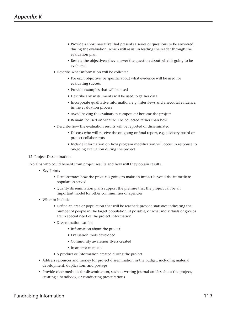- Provide a short narrative that presents a series of questions to be answered during the evaluation, which will assist in leading the reader through the evaluation plan
- Restate the objectives; they answer the question about what is going to be evaluated
- Describe what information will be collected
	- For each objective, be specific about what evidence will be used for evaluating success
	- Provide examples that will be used
	- Describe any instruments will be used to gather data
	- Incorporate qualitative information, e.g. interviews and anecdotal evidence, in the evaluation process
	- Avoid having the evaluation component become the project
	- Remain focused on what will be collected rather than how
- Describe how the evaluation results will be reported or disseminated
	- Discuss who will receive the on-going or final report, e.g. advisory board or project collaborators
	- Include information on how program modification will occur in response to on-going evaluation during the project

### 12. Project Dissemination

Explains who could benefit from project results and how will they obtain results.

- Key Points
	- Demonstrates how the project is going to make an impact beyond the immediate population served
	- Quality dissemination plans support the premise that the project can be an important model for other communities or agencies
- What to Include
	- Define an area or population that will be reached; provide statistics indicating the number of people in the target population, if possible, or what individuals or groups are in special need of the project information
	- Dissemination can be:
		- Information about the project
		- Evaluation tools developed
		- Community awareness flyers created
		- Instructor manuals
	- A product or information created during the project
- Address resources and money for project dissemination in the budget, including material development, duplication, and postage
- Provide clear methods for dissemination, such as writing journal articles about the project, creating a handbook, or conducting presentations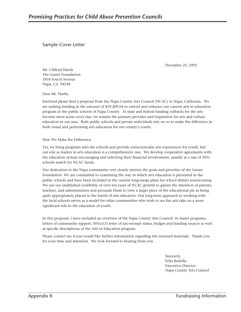Sample Cover Letter

December 21, 1992

Mr. Clifford Hartle The Gasser Foundation 1834 Soscol Avenue Napa, CA 94558

Dear Mr. Hartle,

Enclosed please find a proposal from the Napa County Arts Council (NCAC) in Napa, California. We are seeking funding in the amount of \$59,209.04 to extend and enhance our current arts in education program in the public schools of Napa County. As state and federal funding cutbacks for the arts become more acute every day, we remain the primary provider and inspiration for arts and culture education in our area. Both public schools and private individuals rely on us to make the difference in both visual and performing arts education for our county's youth.

How We Make the Difference

Yes, we bring programs into the schools and provide extracurricular arts experiences for youth, but our role as leaders in arts education is a comprehensive one. We develop cooperative agreements with the education system encouraging and soliciting their financial involvement, usually at a rate of 50% schools match for NCAC funds.

Our dedication to the Napa community very closely mirrors the goals and priorities of the Gasser Foundation. We are committed to examining the way in which arts education is presented in the public schools and have been included in the current long-range plans for school district restructuring. We use our established credibility of over ten years of NCAC growth to garner the attention of parents, teachers, and administrators and persuade them to view a larger piece of the educational pie as being quite appropriately placed in the hands of arts educators. Our long-term approach to working with the local schools serves as a model for other communities who wish to see the arts take on a more significant role in the education of youth.

In this proposal, I have included an overview of the Napa County Arts Council, its major programs, letters of community support,  $501(c)(3)$  letter of tax-exempt status, budget and funding sources as well as specific descriptions of the Arts in Education program.

Please contact me if you would like further information regarding the enclosed materials. Thank you for your time and attention. We look forward to hearing from you.

> Sincerely, Felix Bedolla Executive Director Napa County Arts Council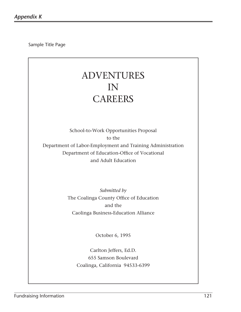Sample Title Page

# ADVENTURES IN **CAREERS**

School-to-Work Opportunities Proposal to the

Department of Labor-Employment and Training Administration Department of Education-Office of Vocational and Adult Education

> *Submitted by* The Coalinga County Office of Education and the Caolinga Business-Education Alliance

> > October 6, 1995

Carlton Jeffers, Ed.D. 655 Samson Boulevard Coalinga, California 94533-6399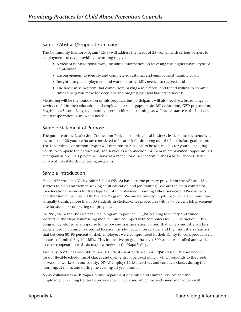# Sample Abstract/Proposal Summary

The Community Mentor Program (CMP) will address the needs of 25 women with serious barriers to employment success, providing mentoring to give:

- A view of nontraditional work including information on accessing this higher paying type of employment,
- Encouragement to identify and complete educational and employment training goals,
- Insight into pre-employment and work maturity skills needed to succeed, and
- The boost in self-esteem that comes from having a role model and friend willing to commit time to help you make life decisions and progress past real barriers to success.

Mentoring will be the foundation of this proposal, but participants will also receive a broad range of services to fill in their education and employment skills gaps: basic skills education, GED preparation, English as a Second Language training, job specific skills training, as well as assistance with child care and transportation costs, when needed.

# Sample Statement of Purpose

The purpose of the Leadership Connection Project is to bring local business leaders into the schools as mentors for 120 youth who are considered to be at risk for dropping out of school before graduation. The Leadership Connection Project will train business people to be role models for youth, encourage youth to complete their education, and service as a connection for them to employment opportunities after graduation. This project will serve as a model for other schools in the Gradias School District who wish to establish mentoring programs.

# Sample Introduction

Since 1976 the Napa Valley Adult School (NVAS) has been the primary provider of the ABE and ESL services to men and women seeking adult education and job training. We are the main contractor for educational services for the Napa County Employment Training Office, servicing JTPA contracts and the Human Services GAIN Welfare Program. We are well-versed in job specific literacy training annually training more than 300 students in clerical/office procedures with a 95 percent job placement rate for students completing our program.

In 1991, we began the Literacy Line! program to provide ESL/JSL training to winery and winery workers in the Napa Valley using mobile unites equipped with computers for ESL instruction. This program developed as a response to the obvious transportation barriers that winery industry workers experienced in coming to a central location for adult education services and their industry's statistics that between 80–95 percent of their employees were compromised in their ability to work productively because of limited English skills. This innovative program has over 300 students enrolled and works in close cooperation with six major wineries in the Napa Valley.

Annually, NVAS has over 500 minority students in attendance in ABE/JSL classes. We are known for our flexible scheduling of classes and open-entry, open-exit policy, which responds to the needs of seasonal workers in our county. NVAS employs 12 ESL teachers and conducts classes during the morning, at noon, and during the evening all year around.

NVAS collaborates with Napa County Department of Health and Human Services and the Employment Training Center to provide Job Club classes, which instructs men and women with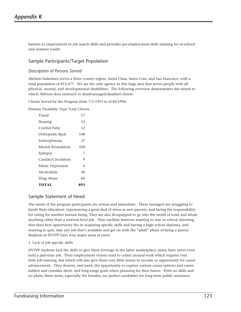barriers to employment in job search skills and provides pre-employment skills training for in-school and summer youth.

# Sample Participants/Target Population

### *Description of Persons Served*

Abelton Industries serves a three county region, Santa Clara, Santa Cruz, and San Francisco, with a total population of 812,477. We are the only agency in this large area that serves people with all physical, mental, and developmental disabilities. The following overview demonstrates the extent to which Ableton does outreach to disadvantaged/disabled clients:

Clients Served by the Program from 7/1/1993 to 6/30/1994:

Primary Disability Type Total Clients

| Visual              | 17  |
|---------------------|-----|
| Hearing             | 53  |
| Cerebal Palsy       | 12  |
| Orthopedic-Back     | 148 |
| Schizophrenia       | 37  |
| Mental Retardation  | 104 |
| Epilepsy            | 7   |
| Cardiac/Circulatory | 9   |
| Manic Depression    | 6   |
| Alcoholism          | 40  |
| Drug Abuse          | 60  |
| TOTAL               | 493 |

# Sample Statement of Need

The needs of the program participants are serious and immediate. These teenagers are struggling to finish their education, experiencing a great deal of stress as new parents, and facing the responsibility for caring for another human being. They are also ill-equipped to go into the world of work and attain anything other than a survival-level job. They vacillate between wanting to stay in school, knowing that their best opportunity lies in acquiring specific skills and having a high school diploma, and wanting to quit, take any job that's available and get on with the "adult" phase of being a parent. Students at HVTPP have four major areas of need:

### 1. Lack of job specific skills

HVTPP students lack the skills to give them leverage in the labor marketplace; many have never even held a part-time job. Their employment visions tend to center around work which requires very little job training, but which will also give them very little return in income or opportunity for career advancement. They deserve, and need, the opportunity to explore various career options and career ladders and consider short- and long-range goals when planning for their future. With no skills and no plans, these teens, especially the females, are perfect candidates for long-term public assistance.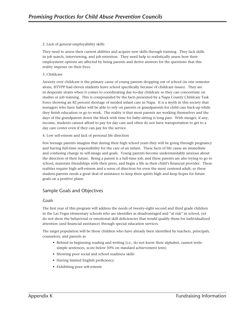### 2. Lack of general employability skills

They need to assess their current abilities and acquire new skills through training. They lack skills in job search, interviewing, and job retention. They need help to realistically assess how their employment options are affected by being parents and derive answers for the questions that this reality imposes on their lives.

### 3. Childcare

Anxiety over childcare is the primary cause of young parents dropping out of school (in one semester alone, HTVPP had eleven students leave school specifically because of childcare issues). They are in desperate straits when it comes to coordinating day-to-day childcare so they can concentrate on studies or job training. This is compounded by the facts presented by a Napa County Childcare Task Force showing an 82 percent shortage of needed infant care in Napa. It is a myth in this society that teenagers who have babies will be able to rely on parents or grandparents for child care back-up while they finish education or go to work. The reality is that most parents are working themselves and the days of the grandparent down the block with time for baby-sitting is long past. With meager, if any, income, students cannot afford to pay for day care and often do not have transportation to get to a day care center even if they can pay for the service.

4. Low self-esteem and lack of personal life direction

Few teenage parents imagine that during their high school years they will be going through pregnancy and having full-time responsibility for the care of an infant. These facts of life cause an immediate and confusing change in self-image and goals. Young parents become understandably anxious about the direction of their future. Being a parent is a full-time job, and these parents are also trying to go to school, maintain friendships with their peers, and begin a life as their child's financial provider. These realities require high self-esteem and a sense of direction for even the most centered adult; so these student-parents needs a great deal of assistance to keep their spirits high and keep hopes for future goals on a positive plane.

# Sample Goals and Objectives

### *Goals*

The first year of this program will address the needs of twenty-eight second and third grade children in the Las Vegas elementary schools who are identifies as disadvantaged and "at risk" in school, yet do not show the behavioral or emotional skill deficiencies that would qualify them for individualized attention (and financial assistance) through special education services.

The target population will be those children who have already been identified by teachers, principals, counselors, and parents as

- Behind in beginning reading and writing (i.e., do not know their alphabet, cannot write simple sentences, score below 50% on standard achievement tests)
- Showing poor social and school readiness skills
- Having limited English proficiency
- Exhibiting poor self-esteem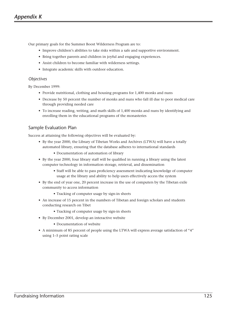Our primary goals for the Summer Boost Wilderness Program are to:

- Improve children's abilities to take risks within a safe and supportive environment.
- Bring together parents and children in joyful and engaging experiences.
- Assist children to become familiar with wilderness settings.
- Integrate academic skills with outdoor education.

### *Objectives*

By December 1999:

- Provide nutritional, clothing and housing programs for 1,400 monks and nuns
- Decrease by 50 percent the number of monks and nuns who fall ill due to poor medical care through providing needed care
- To increase reading, writing, and math skills of 1,400 monks and nuns by identifying and enrolling them in the educational programs of the monasteries

# Sample Evaluation Plan

Success at attaining the following objectives will be evaluated by:

- By the year 2000, the Library of Tibetan Works and Archives (LTWA) will have a totally automated library, ensuring that the database adheres to international standards
	- Documentation of automation of library
- By the year 2000, four library staff will be qualified in running a library using the latest computer technology in information storage, retrieval, and dissemination
	- Staff will be able to pass proficiency assessment indicating knowledge of computer usage at the library and ability to help users effectively access the system
- By the end of year one, 20 percent increase in the use of computers by the Tibetan exile community to access information
	- Tracking of computer usage by sign-in sheets
- An increase of 15 percent in the numbers of Tibetan and foreign scholars and students conducting research on Tibet
	- Tracking of computer usage by sign-in sheets
- By December 2001, develop an interactive website
	- Documentation of website
- A minimum of 85 percent of people using the LTWA will express average satisfaction of "4" using 1–5 point rating scale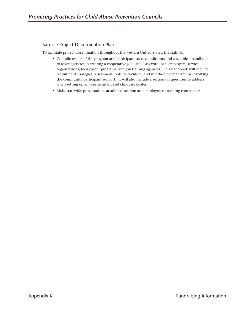# Sample Project Dissemination Plan

To facilitate project dissemination throughout the western United States, the staff will:

- Compile results of the program and participant success indicators and assemble a handbook to assist agencies in creating a cooperative Job Club class with local employers, service organizations, teen parent programs, and job training agencies. This handbook will include recruitment strategies, assessment tools, curriculum, and interface mechanism for involving the community participant support. It will also include a section on questions to address when setting up an on-site infant and childcare center.
- Make statewide presentations at adult education and employment training conferences.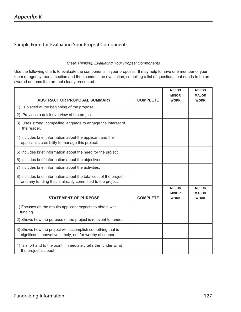# Sample Form for Evaluating Your Propsal Components

## *Clear Thinking: Evaluating Your Propsal Components*

Use the following charts to evaluate the components in your proposal. It may help to have one member of your team or agency read a section and then conduct the evaluation, compiling a list of questions that needs to be answered or items that are not clearly presented.

|                                                                                                                                |                 | <b>NEEDS</b> | <b>NEEDS</b> |
|--------------------------------------------------------------------------------------------------------------------------------|-----------------|--------------|--------------|
|                                                                                                                                |                 | <b>MINOR</b> | <b>MAJOR</b> |
| <b>ABSTRACT OR PROPOSAL SUMMARY</b>                                                                                            | <b>COMPLETE</b> | <b>WORK</b>  | <b>WORK</b>  |
| 1) Is placed at the beginning of the proposal.                                                                                 |                 |              |              |
| 2) Provides a quick overview of the project.                                                                                   |                 |              |              |
| 3) Uses strong, compelling language to engage the interest of<br>the reader.                                                   |                 |              |              |
| 4) Includes brief information about the applicant and the<br>applicant's credibility to manage this project.                   |                 |              |              |
| 5) Includes brief information about the need for the project.                                                                  |                 |              |              |
| 6) Includes brief information about the objectives.                                                                            |                 |              |              |
| 7) Includes brief information about the activities.                                                                            |                 |              |              |
| 8) Includes brief information about the total cost of the project<br>and any funding that is already committed to the project. |                 |              |              |
|                                                                                                                                |                 | <b>NEEDS</b> | <b>NEEDS</b> |
|                                                                                                                                |                 | <b>MINOR</b> | <b>MAJOR</b> |
| <b>STATEMENT OF PURPOSE</b>                                                                                                    | <b>COMPLETE</b> | <b>WORK</b>  | <b>WORK</b>  |
| 1) Focuses on the results applicant expects to obtain with<br>funding.                                                         |                 |              |              |
| 2) Shows how the purpose of the project is relevant to funder.                                                                 |                 |              |              |
| 3) Shows how the project will accomplish something that is<br>significant, innovative, timely, and/or worthy of support.       |                 |              |              |
| 4) Is short and to the point; immediately tells the funder what<br>the project is about.                                       |                 |              |              |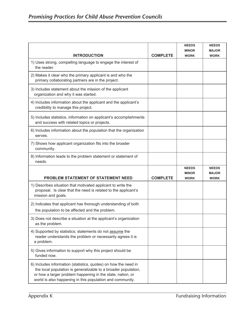|                                                                                                                                                      |                 | <b>NEEDS</b>                                | <b>NEEDS</b>                                |
|------------------------------------------------------------------------------------------------------------------------------------------------------|-----------------|---------------------------------------------|---------------------------------------------|
|                                                                                                                                                      |                 | <b>MINOR</b>                                | <b>MAJOR</b>                                |
| <b>INTRODUCTION</b>                                                                                                                                  | <b>COMPLETE</b> | <b>WORK</b>                                 | <b>WORK</b>                                 |
| 1) Uses strong, compelling language to engage the interest of<br>the reader.                                                                         |                 |                                             |                                             |
| 2) Makes it clear who the primary applicant is and who the<br>primary collaborating partners are in the project.                                     |                 |                                             |                                             |
| 3) Includes statement about the mission of the applicant<br>organization and why it was started.                                                     |                 |                                             |                                             |
| 4) Includes information about the applicant and the applicant's<br>credibility to manage this project.                                               |                 |                                             |                                             |
| 5) Includes statistics, information on applicant's accomplishments<br>and success with related topics or projects.                                   |                 |                                             |                                             |
| 6) Includes information about the population that the organization<br>serves.                                                                        |                 |                                             |                                             |
| 7) Shows how applicant organization fits into the broader<br>community.                                                                              |                 |                                             |                                             |
| 8) Information leads to the problem statement or statement of<br>needs.                                                                              |                 |                                             |                                             |
| <b>PROBLEM STATEMENT OF STATEMENT NEED</b>                                                                                                           | <b>COMPLETE</b> | <b>NEEDS</b><br><b>MINOR</b><br><b>WORK</b> | <b>NEEDS</b><br><b>MAJOR</b><br><b>WORK</b> |
|                                                                                                                                                      |                 |                                             |                                             |
|                                                                                                                                                      |                 |                                             |                                             |
| 1) Describes situation that motivated applicant to write the<br>proposal. Is clear that the need is related to the applicant's<br>mission and goals. |                 |                                             |                                             |
| 2) Indicates that applicant has thorough understanding of both<br>the population to be affected and the problem.                                     |                 |                                             |                                             |
| 3) Does not describe a situation at the applicant's organization<br>as the problem.                                                                  |                 |                                             |                                             |
| 4) Supported by statistics; statements do not assume the<br>reader understands the problem or necessarily agrees it is<br>a problem.                 |                 |                                             |                                             |
| 5) Gives information to support why this project should be<br>funded now.                                                                            |                 |                                             |                                             |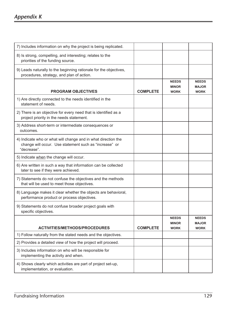# *Appendix K*

| 7) Includes information on why the project is being replicated.                                                                        |                 |                                             |                                             |
|----------------------------------------------------------------------------------------------------------------------------------------|-----------------|---------------------------------------------|---------------------------------------------|
| 8) Is strong, compelling, and interesting; relates to the<br>priorities of the funding source.                                         |                 |                                             |                                             |
| 9) Leads naturally to the beginning rationale for the objectives,<br>procedures, strategy, and plan of action.                         |                 |                                             |                                             |
| <b>PROGRAM OBJECTIVES</b>                                                                                                              | <b>COMPLETE</b> | <b>NEEDS</b><br><b>MINOR</b><br><b>WORK</b> | <b>NEEDS</b><br><b>MAJOR</b><br><b>WORK</b> |
| 1) Are directly connected to the needs identified in the<br>statement of needs.                                                        |                 |                                             |                                             |
| 2) There is an objective for every need that is identified as a<br>project priority in the needs statement.                            |                 |                                             |                                             |
| 3) Address short-term or intermediate consequences or<br>outcomes.                                                                     |                 |                                             |                                             |
| 4) Indicate who or what will change and in what direction the<br>change will occur. Use statement such as "increase" or<br>"decrease". |                 |                                             |                                             |
| 5) Indicate when the change will occur.                                                                                                |                 |                                             |                                             |
| 6) Are written in such a way that information can be collected<br>later to see if they were achieved.                                  |                 |                                             |                                             |
| 7) Statements do not confuse the objectives and the methods<br>that will be used to meet those objectives.                             |                 |                                             |                                             |
| 8) Language makes it clear whether the objects are behavioral,<br>performance product or process objectives.                           |                 |                                             |                                             |
| 9) Statements do not confuse broader project goals with<br>specific objectives.                                                        |                 |                                             |                                             |
| <b>ACTIVITIES/METHODS/PROCEDURES</b>                                                                                                   | <b>COMPLETE</b> | <b>NEEDS</b><br><b>MINOR</b><br><b>WORK</b> | <b>NEEDS</b><br><b>MAJOR</b><br><b>WORK</b> |
| 1) Follow naturally from the stated needs and the objectives.                                                                          |                 |                                             |                                             |
| 2) Provides a detailed view of how the project will proceed.                                                                           |                 |                                             |                                             |
| 3) Includes information on who will be responsible for<br>implementing the activity and when.                                          |                 |                                             |                                             |
| 4) Shows clearly which activities are part of project set-up,<br>implementation, or evaluation.                                        |                 |                                             |                                             |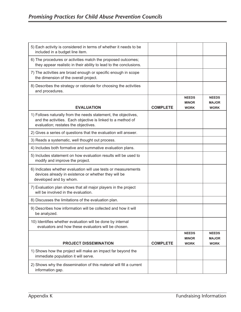| 5) Each activity is considered in terms of whether it needs to be<br>included in a budget line item.                                                                  |                 |                                             |                                             |
|-----------------------------------------------------------------------------------------------------------------------------------------------------------------------|-----------------|---------------------------------------------|---------------------------------------------|
| 6) The procedures or activities match the proposed outcomes;<br>they appear realistic in their ability to lead to the conclusions.                                    |                 |                                             |                                             |
| 7) The activities are broad enough or specific enough in scope<br>the dimension of the overall project.                                                               |                 |                                             |                                             |
| 8) Describes the strategy or rationale for choosing the activities<br>and procedures.                                                                                 |                 |                                             |                                             |
| <b>EVALUATION</b>                                                                                                                                                     | <b>COMPLETE</b> | <b>NEEDS</b><br><b>MINOR</b><br><b>WORK</b> | <b>NEEDS</b><br><b>MAJOR</b><br><b>WORK</b> |
| 1) Follows naturally from the needs statement, the objectives,<br>and the activities. Each objective is linked to a method of<br>evaluation; restates the objectives. |                 |                                             |                                             |
| 2) Gives a series of questions that the evaluation will answer.                                                                                                       |                 |                                             |                                             |
| 3) Reads a systematic, well thought out process.                                                                                                                      |                 |                                             |                                             |
| 4) Includes both formative and summative evaluation plans.                                                                                                            |                 |                                             |                                             |
| 5) Includes statement on how evaluation results will be used to<br>modify and improve the project.                                                                    |                 |                                             |                                             |
| 6) Indicates whether evaluation will use tests or measurements<br>devices already in existence or whether they will be<br>developed and by whom.                      |                 |                                             |                                             |
| 7) Evaluation plan shows that all major players in the project<br>will be involved in the evaluation.                                                                 |                 |                                             |                                             |
| 8) Discusses the limitations of the evaluation plan.                                                                                                                  |                 |                                             |                                             |
| 9) Describes how information will be collected and how it will<br>be analyzed.                                                                                        |                 |                                             |                                             |
| 10) Identifies whether evaluation will be done by internal<br>evaluators and how these evaluators will be chosen.                                                     |                 |                                             |                                             |
|                                                                                                                                                                       |                 | <b>NEEDS</b><br><b>MINOR</b>                | <b>NEEDS</b><br><b>MAJOR</b>                |
| <b>PROJECT DISSEMINATION</b>                                                                                                                                          | <b>COMPLETE</b> | <b>WORK</b>                                 | <b>WORK</b>                                 |
| 1) Shows how the project will make an impact far beyond the<br>immediate population it will serve.                                                                    |                 |                                             |                                             |
| 2) Shows why the dissemination of this material will fill a current<br>information gap.                                                                               |                 |                                             |                                             |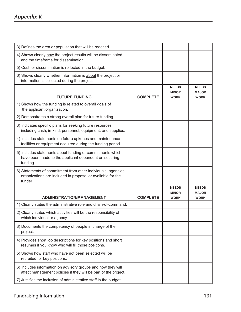# *Appendix K*

| 3) Defines the area or population that will be reached.                                                                               |                 |                              |                              |
|---------------------------------------------------------------------------------------------------------------------------------------|-----------------|------------------------------|------------------------------|
| 4) Shows clearly how the project results will be disseminated<br>and the timeframe for dissemination.                                 |                 |                              |                              |
| 5) Cost for dissemination is reflected in the budget.                                                                                 |                 |                              |                              |
| 6) Shows clearly whether information is about the project or<br>information is collected during the project.                          |                 |                              |                              |
|                                                                                                                                       |                 | <b>NEEDS</b><br><b>MINOR</b> | <b>NEEDS</b><br><b>MAJOR</b> |
| <b>FUTURE FUNDING</b>                                                                                                                 | <b>COMPLETE</b> | <b>WORK</b>                  | <b>WORK</b>                  |
| 1) Shows how the funding is related to overall goals of<br>the applicant organization.                                                |                 |                              |                              |
| 2) Demonstrates a strong overall plan for future funding.                                                                             |                 |                              |                              |
| 3) Indicates specific plans for seeking future resources,<br>including cash, in-kind, personnel, equipment, and supplies.             |                 |                              |                              |
| 4) Includes statements on future upkeeps and maintenance<br>facilities or equipment acquired during the funding period.               |                 |                              |                              |
| 5) Includes statements about funding or commitments which<br>have been made to the applicant dependent on securing<br>funding.        |                 |                              |                              |
| 6) Statements of commitment from other individuals, agencies<br>organizations are included in proposal or available for the<br>funder |                 |                              |                              |
|                                                                                                                                       |                 | <b>NEEDS</b>                 | <b>NEEDS</b>                 |
| <b>ADMINISTRATION/MANAGEMENT</b>                                                                                                      | <b>COMPLETE</b> | <b>MINOR</b><br><b>WORK</b>  | <b>MAJOR</b><br><b>WORK</b>  |
| 1) Clearly states the administrative role and chain-of-command.                                                                       |                 |                              |                              |
| 2) Clearly states which activities will be the responsibility of<br>which individual or agency.                                       |                 |                              |                              |
| 3) Documents the competency of people in charge of the<br>project.                                                                    |                 |                              |                              |
| 4) Provides short job descriptions for key positions and short<br>resumes if you know who will fill those positions.                  |                 |                              |                              |
| 5) Shows how staff who have not been selected will be<br>recruited for key positions.                                                 |                 |                              |                              |
| 6) Includes information on advisory groups and how they will<br>affect management policies if they will be part of the project.       |                 |                              |                              |
| 7) Justifies the inclusion of administrative staff in the budget.                                                                     |                 |                              |                              |